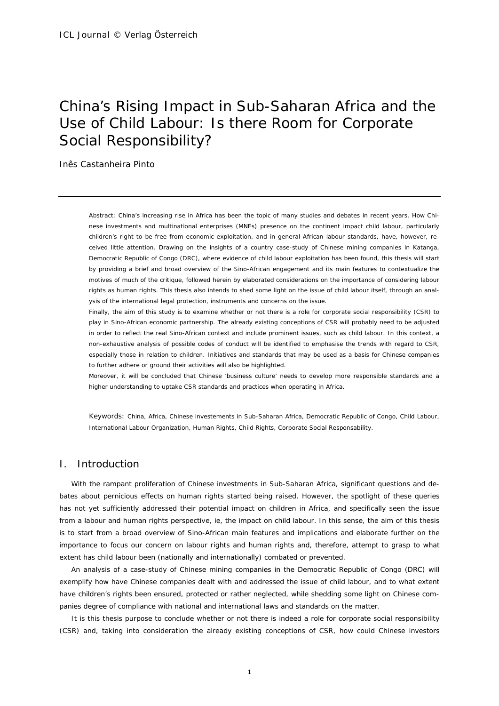# China's Rising Impact in Sub-Saharan Africa and the Use of Child Labour: Is there Room for Corporate Social Responsibility?

Inês Castanheira Pinto

*Abstract:* China's increasing rise in Africa has been the topic of many studies and debates in recent years. How Chinese investments and multinational enterprises (MNEs) presence on the continent impact child labour, particularly children's right to be free from economic exploitation, and in general African labour standards, have, however, received little attention. Drawing on the insights of a country case-study of Chinese mining companies in Katanga, Democratic Republic of Congo (DRC), where evidence of child labour exploitation has been found, this thesis will start by providing a brief and broad overview of the Sino-African engagement and its main features to contextualize the motives of much of the critique, followed herein by elaborated considerations on the importance of considering labour rights as human rights. This thesis also intends to shed some light on the issue of child labour itself, through an analysis of the international legal protection, instruments and concerns on the issue.

Finally, the aim of this study is to examine whether or not there is a role for corporate social responsibility (CSR) to play in Sino-African economic partnership. The already existing conceptions of CSR will probably need to be adjusted in order to reflect the real Sino-African context and include prominent issues, such as child labour. In this context, a non-exhaustive analysis of possible codes of conduct will be identified to emphasise the trends with regard to CSR, especially those in relation to children. Initiatives and standards that may be used as a basis for Chinese companies to further adhere or ground their activities will also be highlighted.

Moreover, it will be concluded that Chinese 'business culture' needs to develop more responsible *standards and a higher understanding to uptake CSR standards and practices when operating in Africa.* 

*Keywords:* China, Africa, Chinese investements in Sub-Saharan Africa, Democratic Republic of Congo, Child Labour, International Labour Organization, Human Rights, Child Rights, Corporate Social Responsability.

# I. Introduction

With the rampant proliferation of Chinese investments in Sub-Saharan Africa, significant questions and debates about pernicious effects on human rights started being raised. However, the spotlight of these queries has not yet sufficiently addressed their potential impact on children in Africa, and specifically seen the issue from a labour and human rights perspective, ie, the impact on child labour. In this sense, the aim of this thesis is to start from a broad overview of Sino-African main features and implications and elaborate further on the importance to focus our concern on labour rights and human rights and, therefore, attempt to grasp to what extent has child labour been (nationally and internationally) combated or prevented.

An analysis of a case-study of Chinese mining companies in the Democratic Republic of Congo (DRC) will exemplify how have Chinese companies dealt with and addressed the issue of child labour, and to what extent have children's rights been ensured, protected or rather neglected, while shedding some light on Chinese companies degree of compliance with national and international laws and standards on the matter.

It is this thesis purpose to conclude whether or not there is indeed a role for corporate social responsibility (CSR) and, taking into consideration the already existing conceptions of CSR, how could Chinese investors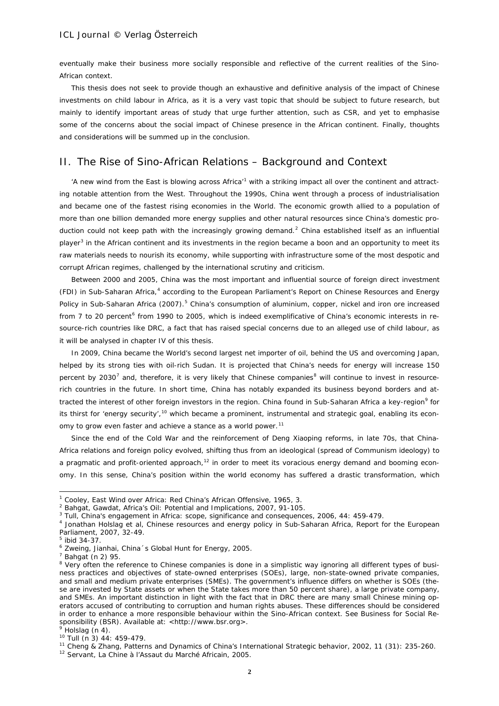eventually make their business more socially responsible and reflective of the current realities of the Sino-African context.

This thesis does not seek to provide though an exhaustive and definitive analysis of the impact of Chinese investments on child labour in Africa, as it is a very vast topic that should be subject to future research, but mainly to identify important areas of study that urge further attention, such as CSR, and yet to emphasise some of the concerns about the social impact of Chinese presence in the African continent. Finally, thoughts and considerations will be summed up in the conclusion.

# II. The Rise of Sino-African Relations – Background and Context

'A new wind from the East is blowing across Africa<sup>[1](#page-1-0)</sup> with a striking impact all over the continent and attracting notable attention from the West. Throughout the 1990s, China went through a process of industrialisation and became one of the fastest rising economies in the World. The economic growth allied to a population of more than one billion demanded more energy supplies and other natural resources since China's domestic pro-duction could not keep path with the increasingly growing demand.<sup>[2](#page-1-1)</sup> China established itself as an influential player<sup>[3](#page-1-2)</sup> in the African continent and its investments in the region became a boon and an opportunity to meet its raw materials needs to nourish its economy, while supporting with infrastructure some of the most despotic and corrupt African regimes, challenged by the international scrutiny and criticism.

Between 2000 and 2005, China was the most important and influential source of foreign direct investment (FDI) in Sub-Saharan Africa, [4](#page-1-3) according to the European Parliament's Report on Chinese Resources and Energy Policy in Sub-Saharan Africa (2007).<sup>[5](#page-1-4)</sup> China's consumption of aluminium, copper, nickel and iron ore increased from 7 to 20 percent<sup>[6](#page-1-5)</sup> from 1990 to 2005, which is indeed exemplificative of China's economic interests in resource-rich countries like DRC, a fact that has raised special concerns due to an alleged use of child labour, as it will be analysed in chapter IV of this thesis.

In 2009, China became the World's second largest net importer of oil, behind the US and overcoming Japan, helped by its strong ties with oil-rich Sudan. It is projected that China's needs for energy will increase 150 percent by 2030<sup>[7](#page-1-6)</sup> and, therefore, it is very likely that Chinese companies<sup>[8](#page-1-7)</sup> will continue to invest in resourcerich countries in the future. In short time, China has notably expanded its business beyond borders and at-tracted the interest of other foreign investors in the region. China found in Sub-Saharan Africa a key-region<sup>[9](#page-1-8)</sup> for its thirst for 'energy security',<sup>[10](#page-1-9)</sup> which became a prominent, instrumental and strategic goal, enabling its econ-omy to grow even faster and achieve a stance as a world power.<sup>[11](#page-1-10)</sup>

Since the end of the Cold War and the reinforcement of Deng Xiaoping reforms, in late 70s, that China-Africa relations and foreign policy evolved, shifting thus from an ideological (spread of Communism ideology) to a pragmatic and profit-oriented approach, $12$  in order to meet its voracious energy demand and booming economy. In this sense, China's position within the world economy has suffered a drastic transformation, which

-

<span id="page-1-11"></span><sup>12</sup> Servant, La Chine à l'Assaut du Marché Africain, 2005.

<span id="page-1-0"></span><sup>&</sup>lt;sup>1</sup> Cooley, East Wind over Africa: Red China's African Offensive, 1965, 3.<br><sup>2</sup> Bahgat, Gawdat, Africa's Oil: Potential and Implications, 2007, 91-105.

<span id="page-1-2"></span><span id="page-1-1"></span><sup>3</sup> Tull, China's engagement in Africa*:* scope*,* significance and consequences, 2006, 44: 459-479.

<span id="page-1-3"></span><sup>4</sup> Jonathan Holslag et al, Chinese resources and energy policy in Sub-Saharan Africa, Report for the European Parliament, 2007, 32-49.<br><sup>5</sup> ibid 34-37.

<span id="page-1-4"></span>

<span id="page-1-5"></span> $6$  Zweing, Jianhai, China´s Global Hunt for Energy, 2005.

 $7$  Bahgat (n 2) 95.

<span id="page-1-7"></span><span id="page-1-6"></span><sup>&</sup>lt;sup>8</sup> Very often the reference to Chinese companies is done in a simplistic way ignoring all different types of business practices and objectives of state-owned enterprises (SOEs), large, non-state-owned private companies, and small and medium private enterprises (SMEs). The government's influence differs on whether is SOEs (these are invested by State assets or when the State takes more than 50 percent share), a large private company, and SMEs. An important distinction in light with the fact that in DRC there are many small Chinese mining operators accused of contributing to corruption and human rights abuses. These differences should be considered in order to enhance a more responsible behaviour within the Sino-African context. See Business for Social Responsibility (BSR). Available at:  $\langle$ http://www.bsr.org>.<br><sup>9</sup> Holslag (n 4).<br><sup>10</sup> Tull (n 3) 44: 459-479.

<span id="page-1-8"></span>

<span id="page-1-9"></span>

<span id="page-1-10"></span><sup>&</sup>lt;sup>11</sup> Cheng & Zhang, Patterns and Dynamics of China's International Strategic behavior, 2002, 11 (31): 235-260.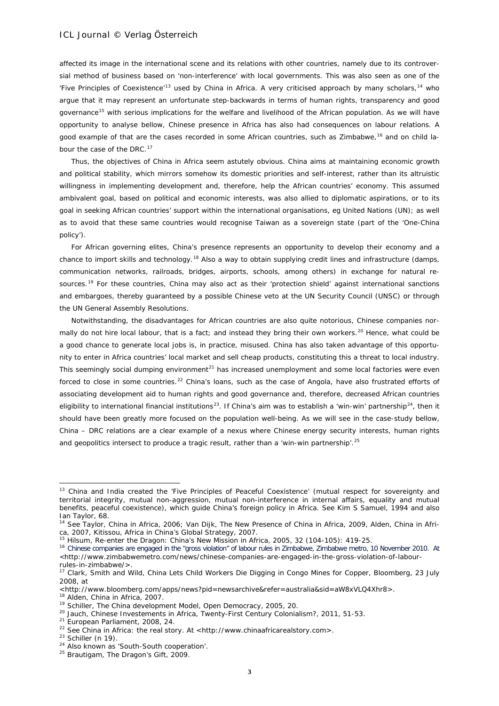affected its image in the international scene and its relations with other countries, namely due to its controversial method of business based on 'non-interference' with local governments. This was also seen as one of the 'Five Principles of Coexistence'<sup>[13](#page-2-0)</sup> used by China in Africa. A very criticised approach by many scholars,<sup>[14](#page-2-1)</sup> who argue that it may represent an unfortunate step-backwards in terms of human rights, transparency and good governance<sup>[15](#page-2-2)</sup> with serious implications for the welfare and livelihood of the African population. As we will have opportunity to analyse bellow, Chinese presence in Africa has also had consequences on labour relations. A good example of that are the cases recorded in some African countries, such as Zimbabwe,<sup>[16](#page-2-3)</sup> and on child la-bour the case of the DRC.<sup>[17](#page-2-4)</sup>

Thus, the objectives of China in Africa seem astutely obvious. China aims at maintaining economic growth and political stability, which mirrors somehow its domestic priorities and self-interest, rather than its altruistic willingness in implementing development and, therefore, help the African countries' economy. This assumed ambivalent goal, based on political and economic interests, was also allied to diplomatic aspirations, or to its goal in seeking African countries' support within the international organisations, eg United Nations (UN); as well as to avoid that these same countries would recognise Taiwan as a sovereign state (part of the 'One-China policy').

For African governing elites, China's presence represents an opportunity to develop their economy and a chance to import skills and technology.[18](#page-2-5) Also a way to obtain supplying credit lines and infrastructure (damps, communication networks, railroads, bridges, airports, schools, among others) in exchange for natural re-sources.<sup>[19](#page-2-6)</sup> For these countries, China may also act as their 'protection shield' against international sanctions and embargoes, thereby guaranteed by a possible Chinese veto at the UN Security Council (UNSC) or through the UN General Assembly Resolutions.

Notwithstanding, the disadvantages for African countries are also quite notorious, Chinese companies nor-mally do not hire local labour, that is a fact; and instead they bring their own workers.<sup>[20](#page-2-7)</sup> Hence, what could be a good chance to generate local jobs is, in practice, misused. China has also taken advantage of this opportunity to enter in Africa countries' local market and sell cheap products, constituting this a threat to local industry. This seemingly social dumping environment<sup>[21](#page-2-8)</sup> has increased unemployment and some local factories were even forced to close in some countries.<sup>[22](#page-2-9)</sup> China's loans, such as the case of Angola, have also frustrated efforts of associating development aid to human rights and good governance and, therefore, decreased African countries eligibility to international financial institutions<sup>23</sup>. If China's aim was to establish a 'win-win' partnership<sup>24</sup>, then it should have been greatly more focused on the population well-being. As we will see in the case-study bellow, China – DRC relations are a clear example of a nexus where Chinese energy security interests, human rights and geopolitics intersect to produce a tragic result, rather than a 'win-win partnership'.<sup>[25](#page-2-12)</sup>

1

<span id="page-2-0"></span><sup>&</sup>lt;sup>13</sup> China and India created the 'Five Principles of Peaceful Coexistence' (mutual respect for sovereignty and territorial integrity, mutual non-aggression, mutual non-interference in internal affairs, equality and mutual benefits, peaceful coexistence), which guide China's foreign policy in Africa. See Kim S Samuel, 1994 and also Ian Taylor, 68.

<span id="page-2-1"></span><sup>&</sup>lt;sup>14</sup> See Taylor, China in Africa, 2006; Van Dijk, The New Presence of China in Africa, 2009, Alden, China in Africa, 2007, Kitissou, Africa in China's Global Strategy, 2007. 15 Hilsum, Re-enter the Dragon: China's New Mission in Africa, 2005, 32 (104-105): 419-25.<br><sup>15</sup> Hilsum, Re-enter the Dragon: China's New Mission in Africa, 2005, 32 (104-105): 419-25.

<span id="page-2-3"></span><span id="page-2-2"></span><sup>&</sup>lt;sup>16</sup> Chinese companies are engaged in the "gross violation" of labour rules in Zimbabwe, Zimbabwe metro, 10 November 2010. At <http://www.zimbabwemetro.com/news/chinese-companies-are-engaged-in-the-gross-violation-of-labour-

<span id="page-2-4"></span>rules-in-zimbabwe/>.<br><sup>17</sup> Clark, Smith and Wild, China Lets Child Workers Die Digging in Congo Mines for Copper, Bloomberg, 23 July 2008, at

<span id="page-2-5"></span><sup>&</sup>lt;http://www.bloomberg.com/apps/news?pid=newsarchive&refer=australia&sid=aW8xVLQ4Xhr8>.

<sup>&</sup>lt;sup>18</sup> Alden, China in Africa, 2007.

<span id="page-2-6"></span><sup>&</sup>lt;sup>19</sup> Schiller, The China development Model, Open Democracy, 2005, 20.

<span id="page-2-7"></span><sup>&</sup>lt;sup>20</sup> Jauch, Chinese Investements in Africa, Twenty-First Century Colonialism?, 2011, 51-53.

<span id="page-2-8"></span><sup>21</sup> European Parliament, 2008, 24.

<span id="page-2-9"></span><sup>&</sup>lt;sup>22</sup> See China in Africa: the real story. At <http://www.chinaafricarealstory.com>.<br><sup>23</sup> Schiller (n 19).<br><sup>24</sup> Also known as 'South-South cooperation'.

<span id="page-2-11"></span><span id="page-2-10"></span>

<span id="page-2-12"></span><sup>&</sup>lt;sup>25</sup> Brautigam, The Dragon's Gift, 2009.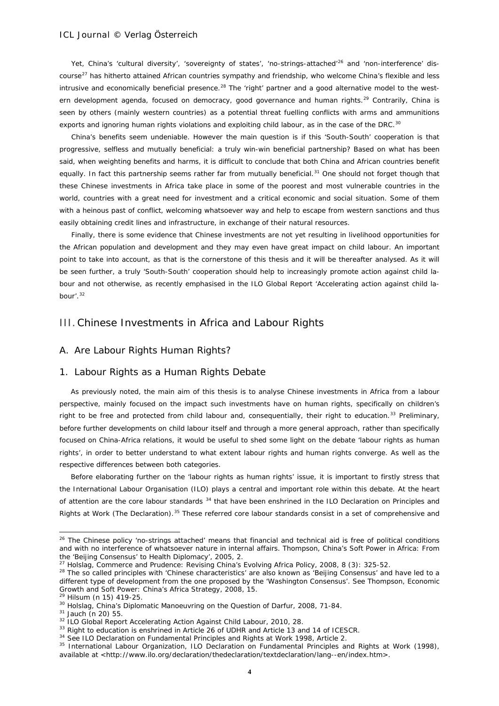Yet, China's 'cultural diversity', 'sovereignty of states', 'no-strings-attached'<sup>[26](#page-3-0)</sup> and 'non-interference' dis-course<sup>[27](#page-3-1)</sup> has hitherto attained African countries sympathy and friendship, who welcome China's flexible and less intrusive and economically beneficial presence.<sup>[28](#page-3-2)</sup> The 'right' partner and a good alternative model to the west-ern development agenda, focused on democracy, good governance and human rights.<sup>[29](#page-3-3)</sup> Contrarily, China is seen by others (mainly western countries) as a potential threat fuelling conflicts with arms and ammunitions exports and ignoring human rights violations and exploiting child labour, as in the case of the DRC.<sup>[30](#page-3-4)</sup>

China's benefits seem undeniable. However the main question is if this 'South-South' cooperation is that progressive, selfless and mutually beneficial: a truly win-win beneficial partnership? Based on what has been said, when weighting benefits and harms, it is difficult to conclude that both China and African countries benefit equally. In fact this partnership seems rather far from mutually beneficial.<sup>[31](#page-3-5)</sup> One should not forget though that these Chinese investments in Africa take place in some of the poorest and most vulnerable countries in the world, countries with a great need for investment and a critical economic and social situation. Some of them with a heinous past of conflict, welcoming whatsoever way and help to escape from western sanctions and thus easily obtaining credit lines and infrastructure, in exchange of their natural resources.

Finally, there is some evidence that Chinese investments are not yet resulting in livelihood opportunities for the African population and development and they may even have great impact on child labour. An important point to take into account, as that is the cornerstone of this thesis and it will be thereafter analysed. As it will be seen further, a truly 'South-South' cooperation should help to increasingly promote action against child labour and not otherwise, as recently emphasised in the ILO Global Report 'Accelerating action against child la-bour'.<sup>[32](#page-3-6)</sup>

# III.Chinese Investments in Africa and Labour Rights

### A. Are Labour Rights Human Rights?

### 1. Labour Rights as a Human Rights Debate

As previously noted, the main aim of this thesis is to analyse Chinese investments in Africa from a labour perspective, mainly focused on the impact such investments have on human rights, specifically on children's right to be free and protected from child labour and, consequentially, their right to education.<sup>[33](#page-3-7)</sup> Preliminary, before further developments on child labour itself and through a more general approach, rather than specifically focused on China-Africa relations, it would be useful to shed some light on the debate 'labour rights as human rights', in order to better understand to what extent labour rights and human rights converge. As well as the respective differences between both categories.

Before elaborating further on the 'labour rights as human rights' issue, it is important to firstly stress that the International Labour Organisation (ILO) plays a central and important role within this debate. At the heart of attention are the core labour standards <sup>[34](#page-3-8)</sup> that have been enshrined in the ILO Declaration on Principles and Rights at Work (The Declaration).<sup>[35](#page-3-9)</sup> These referred core labour standards consist in a set of comprehensive and

<span id="page-3-0"></span><sup>&</sup>lt;sup>26</sup> The Chinese policy 'no-strings attached' means that financial and technical aid is free of political conditions and with no interference of whatsoever nature in internal affairs. Thompson, China's Soft Power in Africa: From the 'Beijing Consensus' to Health Diplomacy', 2005, 2.

<span id="page-3-1"></span><sup>27</sup> Holslag, *Commerce and Prudence: Revising China's Evolving Africa Policy*, 2008, 8 (3): 325-52.

<span id="page-3-2"></span><sup>&</sup>lt;sup>28</sup> The so called principles with 'Chinese characteristics' are also known as 'Beijing Consensus' and have led to a different type of development from the one proposed by the 'Washington Consensus'. See Thompson, Economic Growth and Soft Power: China's Africa Strategy, 2008, 15.

<span id="page-3-3"></span><sup>29</sup> Hilsum (n 15) 419-25.

<span id="page-3-4"></span><sup>&</sup>lt;sup>30</sup> Holslag, *China's Diplomatic Manoeuvring on the Question of Darfur*, 2008, 71-84.<br><sup>31</sup> Jauch (n 20) 55.

<span id="page-3-5"></span>

<span id="page-3-6"></span> $32$  ILO Global Report Accelerating Action Against Child Labour, 2010, 28.<br> $33$  Right to education is enshrined in Article 26 of UDHR and Article 13 and 14 of ICESCR.

<span id="page-3-9"></span><span id="page-3-8"></span><span id="page-3-7"></span><sup>&</sup>lt;sup>34</sup> See ILO Declaration on Fundamental Principles and Rights at Work 1998, Article 2.

<sup>35</sup> International Labour Organization, ILO Declaration on Fundamental Principles and Rights at Work (1998), available at *<*http://www.ilo.org/declaration/thedeclaration/textdeclaration/lang--en/index.htm>.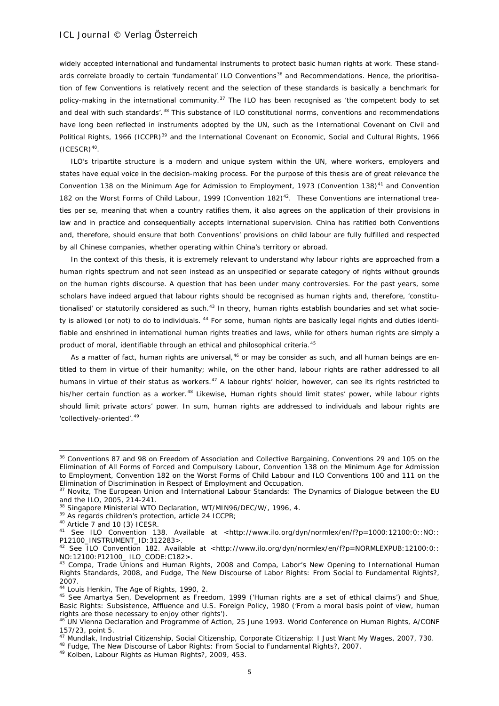widely accepted international and fundamental instruments to protect basic human rights at work. These stand-ards correlate broadly to certain 'fundamental' ILO Conventions<sup>[36](#page-4-0)</sup> and Recommendations. Hence, the prioritisation of few Conventions is relatively recent and the selection of these standards is basically a benchmark for policy-making in the international community.<sup>[37](#page-4-1)</sup> The ILO has been recognised as 'the competent body to set and deal with such standards'.<sup>[38](#page-4-2)</sup> This substance of ILO constitutional norms, conventions and recommendations have long been reflected in instruments adopted by the UN, such as the International Covenant on Civil and Political Rights, 1966 (ICCPR)<sup>[39](#page-4-3)</sup> and the International Covenant on Economic, Social and Cultural Rights, 1966  $(ICESCR)^{40}$ .

ILO's tripartite structure is a modern and unique system within the UN, where workers, employers and states have equal voice in the decision-making process. For the purpose of this thesis are of great relevance the Convention 138 on the Minimum Age for Admission to Employment, 1973 (Convention 138)<sup>[41](#page-4-5)</sup> and Convention 182 on the Worst Forms of Child Labour, 1999 (Convention 182)<sup>42</sup>. These Conventions are international treaties *per se*, meaning that when a country ratifies them, it also agrees on the application of their provisions in law and in practice and consequentially accepts international supervision. China has ratified both Conventions and, therefore, should ensure that both Conventions' provisions on child labour are fully fulfilled and respected by all Chinese companies, whether operating within China's territory or abroad.

In the context of this thesis, it is extremely relevant to understand why labour rights are approached from a human rights spectrum and not seen instead as an unspecified or separate category of rights without grounds on the human rights discourse. A question that has been under many controversies. For the past years, some scholars have indeed argued that labour rights should be recognised as human rights and, therefore, 'constitu-tionalised' or statutorily considered as such.<sup>[43](#page-4-7)</sup> In theory, human rights establish boundaries and set what socie-ty is allowed (or not) to do to individuals. <sup>[44](#page-4-8)</sup> For some, human rights are basically legal rights and duties identifiable and enshrined in international human rights treaties and laws, while for others human rights are simply a product of moral, identifiable through an ethical and philosophical criteria.<sup>[45](#page-4-9)</sup>

As a matter of fact, human rights are universal,<sup>[46](#page-4-10)</sup> or may be consider as such, and all human beings are entitled to them in virtue of their humanity; while, on the other hand, labour rights are rather addressed to all humans in virtue of their status as workers.<sup>[47](#page-4-11)</sup> A labour rights' holder, however, can see its rights restricted to his/her certain function as a worker.<sup>[48](#page-4-12)</sup> Likewise, Human rights should limit states' power, while labour rights should limit private actors' power. In sum, human rights are addressed to individuals and labour rights are 'collectively-oriented'.[49](#page-4-13)

<span id="page-4-0"></span><sup>36</sup> Conventions 87 and 98 on Freedom of Association and Collective Bargaining, Conventions 29 and 105 on the Elimination of All Forms of Forced and Compulsory Labour, Convention 138 on the Minimum Age for Admission to Employment, Convention 182 on the Worst Forms of Child Labour and ILO Conventions 100 and 111 on the Elimination of Discrimination in Respect of Employment and Occupation.

<span id="page-4-1"></span><sup>37</sup> Novitz, *The European Union and International Labour Standards: The Dynamics of Dialogue between the EU and the ILO*, 2005, 214-241.

<span id="page-4-2"></span><sup>&</sup>lt;sup>38</sup> Singapore Ministerial WTO Declaration, WT/MIN96/DEC/W/, 1996, 4.<br><sup>39</sup> As regards children's protection, article 24 ICCPR;<br><sup>40</sup> Article 7 and 10 (3) ICESR.

<span id="page-4-3"></span>

<span id="page-4-5"></span><span id="page-4-4"></span><sup>&</sup>lt;sup>41</sup> See ILO Convention 138. Available at <http://www.ilo.org/dyn/normlex/en/f?p=1000:12100:0::NO:: P12100\_INSTRUMENT\_ID:312283>.<br><sup>42</sup> See ILO Convention 182. Available at <http://www.ilo.org/dyn/normlex/en/f?p=NORMLEXPUB:12100:0::

<span id="page-4-6"></span>NO:12100:P12100\_ ILO\_CODE:C182>.<br><sup>43</sup> Compa, Trade Unions and Human Rights, 2008 and Compa, Labor's New Opening to International Human

<span id="page-4-7"></span>Rights Standards, 2008, and Fudge, The New Discourse of Labor Rights: From Social to Fundamental Rights?, 2007.

<span id="page-4-8"></span><sup>44</sup> Louis Henkin, The Age of Rights, 1990, 2.

<span id="page-4-9"></span><sup>45</sup> See Amartya Sen, Development as Freedom, 1999 ('Human rights are a set of ethical claims') and Shue, Basic Rights: Subsistence, Affluence and U.S. Foreign Policy, 1980 ('From a moral basis point of view, human rights are those necessary to enjoy other rights').

<span id="page-4-10"></span><sup>46</sup> UN Vienna Declaration and Programme of Action, 25 June 1993. World Conference on Human Rights, A/CONF 157/23, point 5.

<span id="page-4-11"></span><sup>47</sup> Mundlak, Industrial Citizenship, Social Citizenship, Corporate Citizenship: I Just Want My Wages, 2007, 730.

<span id="page-4-12"></span><sup>48</sup> Fudge, The New Discourse of Labor Rights: From Social to Fundamental Rights?, 2007.

<span id="page-4-13"></span><sup>49</sup> Kolben, Labour Rights as Human Rights?, 2009, 453.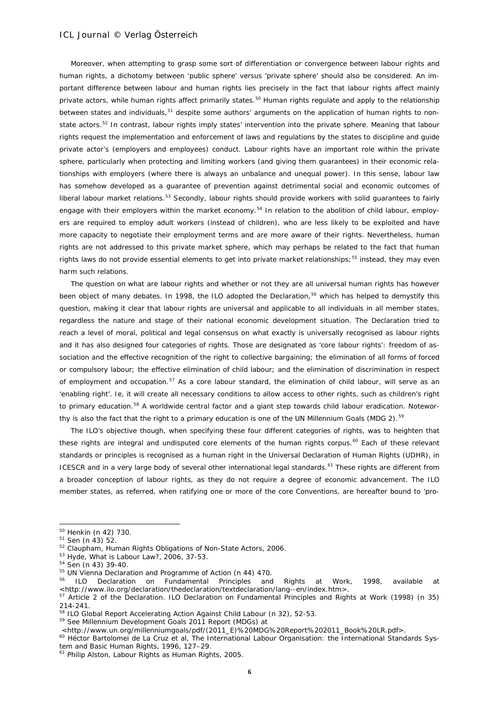Moreover, when attempting to grasp some sort of differentiation or convergence between labour rights and human rights, a dichotomy between 'public sphere' *versus* 'private sphere' should also be considered. An important difference between labour and human rights lies precisely in the fact that labour rights affect mainly private actors, while human rights affect primarily states.<sup>[50](#page-5-0)</sup> Human rights regulate and apply to the relationship between states and individuals,<sup>[51](#page-5-1)</sup> despite some authors' arguments on the application of human rights to non-state actors.<sup>[52](#page-5-2)</sup> In contrast, labour rights imply states' intervention into the private sphere. Meaning that labour rights request the implementation and enforcement of laws and regulations by the states to discipline and guide private actor's (employers and employees) conduct. Labour rights have an important role within the private sphere, particularly when protecting and limiting workers (and giving them guarantees) in their economic relationships with employers (where there is always an unbalance and unequal power). In this sense, labour law has somehow developed as a guarantee of prevention against detrimental social and economic outcomes of liberal labour market relations.<sup>[53](#page-5-3)</sup> Secondly, labour rights should provide workers with solid guarantees to fairly engage with their employers within the market economy.<sup>[54](#page-5-4)</sup> In relation to the abolition of child labour, employers are required to employ adult workers (instead of children), who are less likely to be exploited and have more capacity to negotiate their employment terms and are more aware of their rights. Nevertheless, human rights are not addressed to this private market sphere, which may perhaps be related to the fact that human rights laws do not provide essential elements to get into private market relationships;<sup>[55](#page-5-5)</sup> instead, they may even harm such relations.

The question on what are labour rights and whether or not they are all universal human rights has however been object of many debates. In 1998, the ILO adopted the Declaration,<sup>[56](#page-5-6)</sup> which has helped to demystify this question, making it clear that labour rights are universal and applicable to all individuals in all member states, regardless the nature and stage of their national economic development situation. The Declaration tried to reach a level of moral, political and legal consensus on what exactly is universally recognised as labour rights and it has also designed four categories of rights. Those are designated as 'core labour rights': freedom of association and the effective recognition of the right to collective bargaining; the elimination of all forms of forced or compulsory labour; the effective elimination of child labour; and the elimination of discrimination in respect of employment and occupation.<sup>[57](#page-5-7)</sup> As a core labour standard, the elimination of child labour, will serve as an 'enabling right'. Ie, it will create all necessary conditions to allow access to other rights, such as children's right to primary education.<sup>[58](#page-5-8)</sup> A worldwide central factor and a giant step towards child labour eradication. Notewor-thy is also the fact that the right to a primary education is one of the UN Millennium Goals (MDG 2).<sup>[59](#page-5-9)</sup>

The ILO's objective though, when specifying these four different categories of rights, was to heighten that these rights are integral and undisputed core elements of the human rights *corpus*. [60](#page-5-10) Each of these relevant standards or principles is recognised as a human right in the Universal Declaration of Human Rights (UDHR), in ICESCR and in a very large body of several other international legal standards.<sup>[61](#page-5-11)</sup> These rights are different from a broader conception of labour rights, as they do not require a degree of economic advancement. The ILO member states, as referred, when ratifying one or more of the core Conventions, are hereafter bound to 'pro-

<span id="page-5-0"></span><sup>50</sup> Henkin (n 42) 730.

<span id="page-5-1"></span><sup>51</sup> Sen (n 43) 52.

<span id="page-5-2"></span> $52$  Claupham, Human Rights Obligations of Non-State Actors, 2006.<br> $53$  Hyde, What is Labour Law?, 2006, 37-53.

<span id="page-5-4"></span><span id="page-5-3"></span><sup>54</sup> Sen (n 43) 39-40.

<span id="page-5-6"></span><span id="page-5-5"></span><sup>&</sup>lt;sup>55</sup> UN Vienna Declaration and Programme of Action (n 44) 470.<br><sup>56</sup> ILO Declaration on Fundamental Principles and Rights at Work, 1998, available at *<*http://www.ilo.org/declaration/thedeclaration/textdeclaration/lang--en/index.htm>.

<span id="page-5-7"></span><sup>&</sup>lt;sup>57</sup> Article 2 of the Declaration. ILO Declaration on Fundamental Principles and Rights at Work (1998) (n 35) 214-241.

<span id="page-5-8"></span><sup>58</sup> ILO Global Report Accelerating Action Against Child Labour (n 32), 52-53.

<span id="page-5-9"></span><sup>59</sup> See Millennium Development Goals 2011 Report (MDGs) at <br><http://www.un.org/millenniumgoals/pdf/(2011 E)%20MDG%20Report%202011 Book%20LR.pdf>.

<span id="page-5-10"></span><sup>&</sup>lt;sup>60</sup> Héctor Bartolomei de La Cruz et al. The International Labour Organisation: the International Standards System and Basic Human Rights, 1996, 127–29.

<span id="page-5-11"></span><sup>61</sup> Philip Alston, Labour Rights as Human Rights, 2005.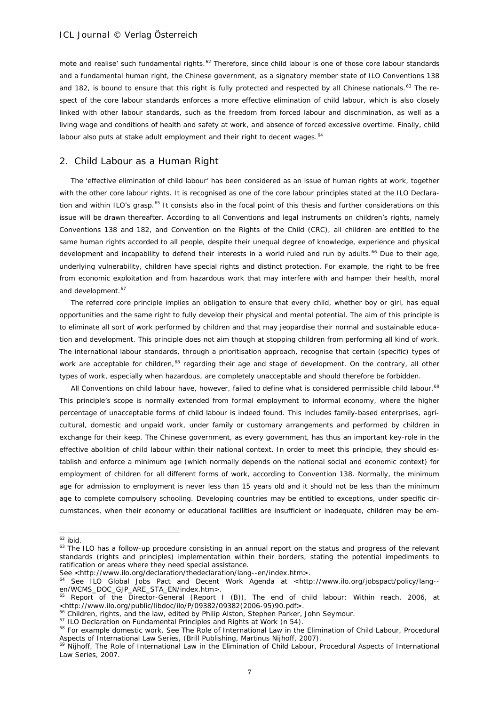mote and realise' such fundamental rights.<sup>[62](#page-6-0)</sup> Therefore, since child labour is one of those core labour standards and a fundamental human right, the Chinese government, as a signatory member state of ILO Conventions 138 and 182, is bound to ensure that this right is fully protected and respected by all Chinese nationals.<sup>[63](#page-6-1)</sup> The respect of the core labour standards enforces a more effective elimination of child labour, which is also closely linked with other labour standards, such as the freedom from forced labour and discrimination, as well as a living wage and conditions of health and safety at work, and absence of forced excessive overtime. Finally, child labour also puts at stake adult employment and their right to decent wages.<sup>[64](#page-6-2)</sup>

### 2. Child Labour as a Human Right

The 'effective elimination of child labour' has been considered as an issue of human rights at work, together with the other core labour rights. It is recognised as one of the core labour principles stated at the ILO Declara-tion and within ILO's grasp.<sup>[65](#page-6-3)</sup> It consists also in the focal point of this thesis and further considerations on this issue will be drawn thereafter. According to all Conventions and legal instruments on children's rights, namely Conventions 138 and 182, and Convention on the Rights of the Child (CRC), all children are entitled to the same human rights accorded to all people, despite their unequal degree of knowledge, experience and physical development and incapability to defend their interests in a world ruled and run by adults.<sup>[66](#page-6-4)</sup> Due to their age, underlying vulnerability, children have special rights and distinct protection. For example, the right to be free from economic exploitation and from hazardous work that may interfere with and hamper their health, moral and development.<sup>[67](#page-6-5)</sup>

The referred core principle implies an obligation to ensure that every child, whether boy or girl, has equal opportunities and the same right to fully develop their physical and mental potential. The aim of this principle is to eliminate all sort of work performed by children and that may jeopardise their normal and sustainable education and development. This principle does not aim though at stopping children from performing all kind of work. The international labour standards, through a prioritisation approach, recognise that certain (specific) types of work are acceptable for children,<sup>[68](#page-6-6)</sup> regarding their age and stage of development. On the contrary, all other types of work, especially when hazardous, are completely unacceptable and should therefore be forbidden.

All Conventions on child labour have, however, failed to define what is considered permissible child labour.<sup>[69](#page-6-7)</sup> This principle's scope is normally extended from formal employment to informal economy, where the higher percentage of unacceptable forms of child labour is indeed found. This includes family-based enterprises, agricultural, domestic and unpaid work, under family or customary arrangements and performed by children in exchange for their keep. The Chinese government, as every government, has thus an important key-role in the effective abolition of child labour within their national context. In order to meet this principle, they should establish and enforce a minimum age (which normally depends on the national social and economic context) for employment of children for all different forms of work, according to Convention 138. Normally, the minimum age for admission to employment is never less than 15 years old and it should not be less than the minimum age to complete compulsory schooling. Developing countries may be entitled to exceptions, under specific circumstances, when their economy or educational facilities are insufficient or inadequate, children may be em-

<span id="page-6-0"></span> $62$  ibid.

<span id="page-6-1"></span><sup>&</sup>lt;sup>63</sup> The ILO has a follow-up procedure consisting in an annual report on the status and progress of the relevant standards (rights and principles) implementation within their borders, stating the potential impediments to ratification or areas where they need special assistance.

See <http://www.ilo.org/declaration/thedeclaration/lang--en/index.htm>.

<span id="page-6-2"></span><sup>&</sup>lt;sup>64</sup> See ILO Global Jobs Pact and Decent Work Agenda at <http://www.ilo.org/jobspact/policy/lang--en/WCMS\_DOC\_GJP\_ARE\_STA\_EN/index.htm>.

<span id="page-6-3"></span><sup>&</sup>lt;sup>65</sup> Report of the Director-General (Report I (B)), The end of child labour: Within reach, 2006, at <http://www.ilo.org/public/libdoc/ilo/P/09382/09382(2006-95)90.pdf>.

<span id="page-6-4"></span><sup>&</sup>lt;sup>66</sup> Children, rights, and the law, edited by Philip Alston, Stephen Parker, John Seymour.<br><sup>67</sup> ILO Declaration on Fundamental Principles and Rights at Work (n 54).

<span id="page-6-5"></span>

<span id="page-6-6"></span><sup>&</sup>lt;sup>68</sup> For example domestic work. See The Role of International Law in the Elimination of Child Labour, Procedural Aspects of International Law Series. (Brill Publishing, Martinus Nilhoff, 2007).

<span id="page-6-7"></span><sup>&</sup>lt;sup>69</sup> Nijhoff, The Role of International Law in the Elimination of Child Labour, Procedural Aspects of International Law Series, 2007.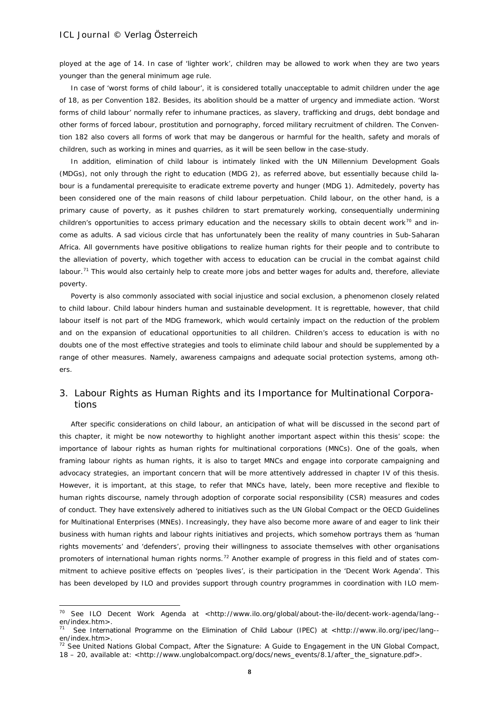1

ployed at the age of 14. In case of 'lighter work', children may be allowed to work when they are two years younger than the general minimum age rule.

In case of 'worst forms of child labour', it is considered totally unacceptable to admit children under the age of 18, as per Convention 182. Besides, its abolition should be a matter of urgency and immediate action. 'Worst forms of child labour' normally refer to inhumane practices, as slavery, trafficking and drugs, debt bondage and other forms of forced labour, prostitution and pornography, forced military recruitment of children. The Convention 182 also covers all forms of work that may be dangerous or harmful for the health, safety and morals of children, such as working in mines and quarries, as it will be seen bellow in the case-study.

In addition, elimination of child labour is intimately linked with the UN Millennium Development Goals (MDGs), not only through the right to education (MDG 2), as referred above, but essentially because child labour is a fundamental prerequisite to eradicate extreme poverty and hunger (MDG 1). Admitedely, poverty has been considered one of the main reasons of child labour perpetuation. Child labour, on the other hand, is a primary cause of poverty, as it pushes children to start prematurely working, consequentially undermining children's opportunities to access primary education and the necessary skills to obtain decent work<sup>[70](#page-7-0)</sup> and income as adults. A sad vicious circle that has unfortunately been the reality of many countries in Sub-Saharan Africa. All governments have positive obligations to realize human rights for their people and to contribute to the alleviation of poverty, which together with access to education can be crucial in the combat against child labour.<sup>[71](#page-7-1)</sup> This would also certainly help to create more jobs and better wages for adults and, therefore, alleviate poverty.

Poverty is also commonly associated with social injustice and social exclusion, a phenomenon closely related to child labour. Child labour hinders human and sustainable development. It is regrettable, however, that child labour itself is not part of the MDG framework, which would certainly impact on the reduction of the problem and on the expansion of educational opportunities to all children. Children's access to education is with no doubts one of the most effective strategies and tools to eliminate child labour and should be supplemented by a range of other measures. Namely, awareness campaigns and adequate social protection systems, among others.

# 3. Labour Rights as Human Rights and its Importance for Multinational Corporations

After specific considerations on child labour, an anticipation of what will be discussed in the second part of this chapter, it might be now noteworthy to highlight another important aspect within this thesis' scope: the importance of labour rights as human rights for multinational corporations (MNCs). One of the goals, when framing labour rights as human rights, it is also to target MNCs and engage into corporate campaigning and advocacy strategies, an important concern that will be more attentively addressed in chapter IV of this thesis. However, it is important, at this stage, to refer that MNCs have, lately, been more receptive and flexible to human rights discourse, namely through adoption of corporate social responsibility (CSR) measures and codes of conduct. They have extensively adhered to initiatives such as the UN Global Compact or the OECD Guidelines for Multinational Enterprises (MNEs). Increasingly, they have also become more aware of and eager to link their business with human rights and labour rights initiatives and projects, which somehow portrays them as 'human rights movements' and 'defenders', proving their willingness to associate themselves with other organisations promoters of international human rights norms.<sup>[72](#page-7-2)</sup> Another example of progress in this field and of states commitment to achieve positive effects on 'peoples lives', is their participation in the 'Decent Work Agenda'. This has been developed by ILO and provides support through country programmes in coordination with ILO mem-

<span id="page-7-0"></span><sup>&</sup>lt;sup>70</sup> See ILO Decent Work Agenda at <http://www.ilo.org/global/about-the-ilo/decent-work-agenda/lang-en/index.htm>.<br><sup>71</sup> See International Programme on the Elimination of Child Labour (IPEC) at <http://www.ilo.org/ipec/lang--

<span id="page-7-1"></span>en/index.htm>.

<span id="page-7-2"></span> $72$  See United Nations Global Compact, After the Signature: A Guide to Engagement in the UN Global Compact, 18 – 20, available at: <http://www.unglobalcompact.org/docs/news\_events/8.1/after\_the\_signature.pdf>.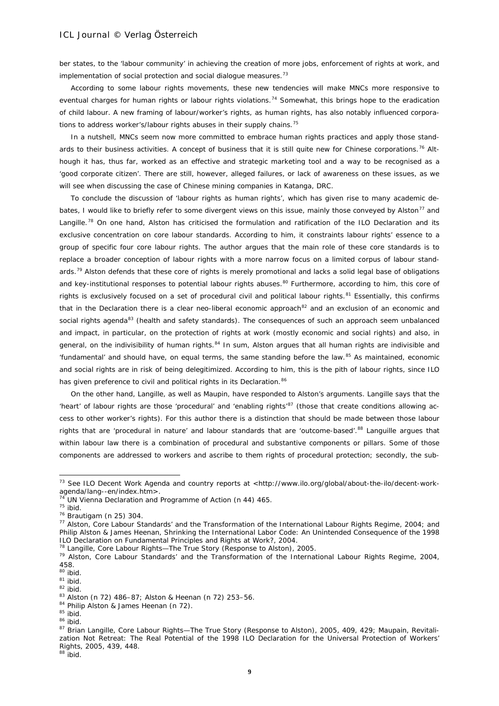ber states, to the 'labour community' in achieving the creation of more jobs, enforcement of rights at work, and implementation of social protection and social dialogue measures.<sup>[73](#page-8-0)</sup>

According to some labour rights movements, these new tendencies will make MNCs more responsive to eventual charges for human rights or labour rights violations.<sup>[74](#page-8-1)</sup> Somewhat, this brings hope to the eradication of child labour. A new framing of labour/worker's rights, as human rights, has also notably influenced corpora-tions to address worker's/labour rights abuses in their supply chains.<sup>[75](#page-8-2)</sup>

In a nutshell, MNCs seem now more committed to embrace human rights practices and apply those stand-ards to their business activities. A concept of business that it is still quite new for Chinese corporations.<sup>[76](#page-8-3)</sup> Although it has, thus far, worked as an effective and strategic marketing tool and a way to be recognised as a 'good corporate citizen'. There are still, however, alleged failures, or lack of awareness on these issues, as we will see when discussing the case of Chinese mining companies in Katanga, DRC.

To conclude the discussion of 'labour rights as human rights', which has given rise to many academic debates, I would like to briefly refer to some divergent views on this issue, mainly those conveyed by *Alston*[77](#page-8-4) and Langille.<sup>[78](#page-8-5)</sup> On one hand, Alston has criticised the formulation and ratification of the ILO Declaration and its exclusive concentration on core labour standards. According to him, it constraints labour rights' essence to a group of specific four core labour rights. The author argues that the main role of these core standards is to replace a broader conception of labour rights with a more narrow focus on a limited *corpus* of labour stand-ards.<sup>[79](#page-8-6)</sup> Alston defends that these core of rights is merely promotional and lacks a solid legal base of obligations and key-institutional responses to potential labour rights abuses.<sup>[80](#page-8-7)</sup> Furthermore, according to him, this core of rights is exclusively focused on a set of procedural civil and political labour rights.<sup>[81](#page-8-8)</sup> Essentially, this confirms that in the Declaration there is a clear neo-liberal economic approach<sup>[82](#page-8-9)</sup> and an exclusion of an economic and social rights agenda<sup>[83](#page-8-10)</sup> (health and safety standards). The consequences of such an approach seem unbalanced and impact, in particular, on the protection of rights at work (mostly economic and social rights) and also, in general, on the indivisibility of human rights.<sup>[84](#page-8-11)</sup> In sum, Alston argues that all human rights are indivisible and 'fundamental' and should have, on equal terms, the same standing before the law.[85](#page-8-12) As maintained, economic and social rights are in risk of being delegitimized. According to him, this is the pith of labour rights, since ILO has given preference to civil and political rights in its Declaration.<sup>[86](#page-8-13)</sup>

On the other hand, Langille, as well as Maupin, have responded to Alston's arguments. Langille says that the 'heart' of labour rights are those 'procedural' and 'enabling rights'<sup>[87](#page-8-14)</sup> (those that create conditions allowing access to other worker's rights). For this author there is a distinction that should be made between those labour rights that are 'procedural in nature' and labour standards that are 'outcome-based'.<sup>[88](#page-8-15)</sup> Languille argues that within labour law there is a combination of procedural and substantive components or pillars. Some of those components are addressed to workers and ascribe to them rights of procedural protection; secondly, the sub-

1

<span id="page-8-0"></span><sup>&</sup>lt;sup>73</sup> See ILO Decent Work Agenda and country reports at <http://www.ilo.org/global/about-the-ilo/decent-workagenda/lang--en/index.htm>.

<span id="page-8-1"></span>UN Vienna Declaration and Programme of Action (n 44) 465.

 $75$  ibid.

<span id="page-8-3"></span><span id="page-8-2"></span><sup>76</sup> Brautigam (n 25) 304.

<span id="page-8-4"></span><sup>77</sup> Alston, Core Labour Standards' and the Transformation of the International Labour Rights Regime, 2004; and Philip Alston & James Heenan, Shrinking the International Labor Code: An Unintended Consequence of the 1998 ILO Declaration on Fundamental Principles and Rights at Work?, 2004.

<sup>&</sup>lt;sup>78</sup> Langille, Core Labour Rights—The True Story (Response to Alston), 2005.

<span id="page-8-6"></span><span id="page-8-5"></span><sup>79</sup> Alston, Core Labour Standards' and the Transformation of the International Labour Rights Regime, 2004, 458.

<sup>80</sup> ibid.

<span id="page-8-8"></span><span id="page-8-7"></span> $81$  ibid.

<span id="page-8-9"></span> $82$  ibid.

<span id="page-8-10"></span><sup>83</sup> Alston (n 72) 486–87; Alston & Heenan (n 72) 253–56.

<sup>84</sup> Philip Alston & James Heenan (n 72).

<span id="page-8-12"></span><span id="page-8-11"></span> $85$  ibid.

<span id="page-8-13"></span><sup>86</sup> ibid.

<span id="page-8-14"></span><sup>87</sup> Brian Langille, Core Labour Rights—The True Story (Response to Alston), 2005, 409, 429; Maupain, Revitalization Not Retreat: The Real Potential of the 1998 ILO Declaration for the Universal Protection of Workers' Rights, 2005, 439, 448.

<span id="page-8-15"></span> $88$  ibid.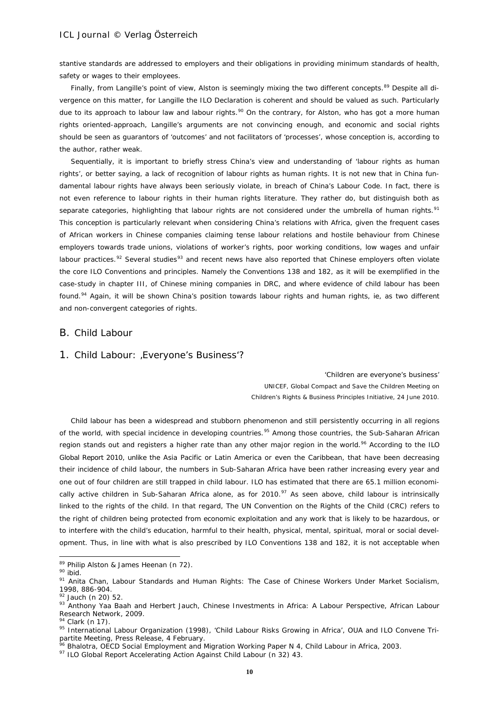stantive standards are addressed to employers and their obligations in providing minimum standards of health, safety or wages to their employees.

Finally, from Langille's point of view, Alston is seemingly mixing the two different concepts.<sup>[89](#page-9-0)</sup> Despite all divergence on this matter, for Langille the ILO Declaration is coherent and should be valued as such. Particularly due to its approach to labour law and labour rights.<sup>[90](#page-9-1)</sup> On the contrary, for Alston, who has got a more human rights oriented-approach, Langille's arguments are not convincing enough, and economic and social rights should be seen as guarantors of 'outcomes' and not facilitators of 'processes', whose conception is, according to the author, rather weak.

Sequentially, it is important to briefly stress China's view and understanding of 'labour rights as human rights', or better saying, a lack of recognition of labour rights as human rights. It is not new that in China fundamental labour rights have always been seriously violate, in breach of China's Labour Code. In fact, there is not even reference to labour rights in their human rights literature. They rather do, but distinguish both as separate categories, highlighting that labour rights are not considered under the umbrella of human rights.<sup>[91](#page-9-2)</sup> This conception is particularly relevant when considering China's relations with Africa, given the frequent cases of African workers in Chinese companies claiming tense labour relations and hostile behaviour from Chinese employers towards trade unions, violations of worker's rights, poor working conditions, low wages and unfair labour practices.<sup>[92](#page-9-3)</sup> Several studies<sup>[93](#page-9-4)</sup> and recent news have also reported that Chinese employers often violate the core ILO Conventions and principles. Namely the Conventions 138 and 182, as it will be exemplified in the case-study in chapter III, of Chinese mining companies in DRC, and where evidence of child labour has been found.<sup>[94](#page-9-5)</sup> Again, it will be shown China's position towards labour rights and human rights, ie, as two different and non-convergent categories of rights.

### B. Child Labour

### 1. Child Labour: , Everyone's Business'?

*'Children are everyone's business'* UNICEF, Global Compact and Save the Children Meeting on Children's Rights & Business Principles Initiative, 24 June 2010.

Child labour has been a widespread and stubborn phenomenon and still persistently occurring in all regions of the world, with special incidence in developing countries.<sup>[95](#page-9-6)</sup> Among those countries, the Sub-Saharan African region stands out and registers a higher rate than any other major region in the world.<sup>[96](#page-9-7)</sup> According to the ILO Global Report 2010, unlike the Asia Pacific or Latin America or even the Caribbean, that have been decreasing their incidence of child labour, the numbers in Sub-Saharan Africa have been rather increasing every year and one out of four children are still trapped in child labour. ILO has estimated that there are 65.1 million economically active children in Sub-Saharan Africa alone, as for  $2010$ .<sup>[97](#page-9-8)</sup> As seen above, child labour is intrinsically linked to the rights of the child. In that regard, The UN Convention on the Rights of the Child (CRC) refers to the right of children being protected from economic exploitation and any work that is likely to be hazardous, or to interfere with the child's education, harmful to their health, physical, mental, spiritual, moral or social development. Thus, in line with what is also prescribed by ILO Conventions 138 and 182, it is not acceptable when

<sup>&</sup>lt;sup>89</sup> Philip Alston & James Heenan (n 72).

<span id="page-9-1"></span><span id="page-9-0"></span><sup>90</sup> ibid.

<span id="page-9-2"></span><sup>91</sup> Anita Chan, Labour Standards and Human Rights: The Case of Chinese Workers Under Market Socialism, 1998, 886-904.

<span id="page-9-3"></span> $92$  Jauch (n 20) 52

<span id="page-9-4"></span><sup>93</sup> Anthony Yaa Baah and Herbert Jauch, Chinese Investments in Africa: A Labour Perspective, African Labour Research Network, 2009.

<span id="page-9-5"></span> $94$  Clark (n 17).

<span id="page-9-6"></span><sup>95</sup> International Labour Organization (1998), 'Child Labour Risks Growing in Africa', OUA and ILO Convene Tripartite Meeting, Press Release, 4 February.

<sup>&</sup>lt;sup>96</sup> Bhalotra, OECD Social Employment and Migration Working Paper N 4, Child Labour in Africa, 2003.

<span id="page-9-8"></span><span id="page-9-7"></span><sup>97</sup> ILO Global Report Accelerating Action Against Child Labour (n 32) 43.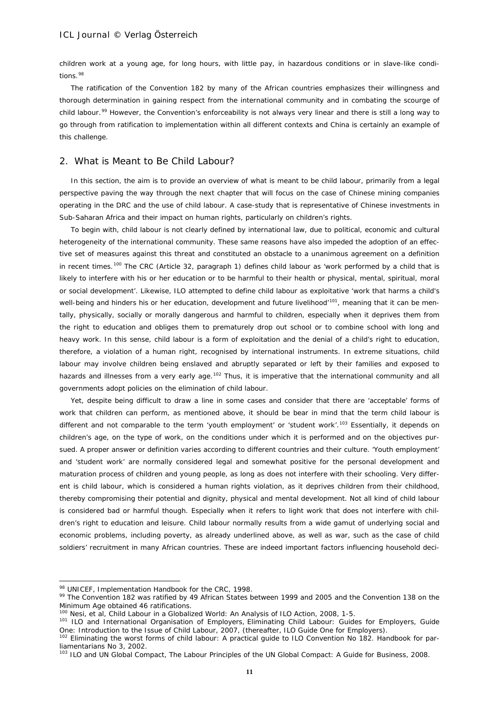children work at a young age, for long hours, with little pay, in hazardous conditions or in slave-like condi-tions.<sup>[98](#page-10-0)</sup>

The ratification of the Convention 182 by many of the African countries emphasizes their willingness and thorough determination in gaining respect from the international community and in combating the scourge of child labour.<sup>[99](#page-10-1)</sup> However, the Convention's enforceability is not always very linear and there is still a long way to go through from ratification to implementation within all different contexts and China is certainly an example of this challenge.

### 2. What is Meant to Be Child Labour?

In this section, the aim is to provide an overview of what is meant to be child labour, primarily from a legal perspective paving the way through the next chapter that will focus on the case of Chinese mining companies operating in the DRC and the use of child labour. A case-study that is representative of Chinese investments in Sub-Saharan Africa and their impact on human rights, particularly on children's rights.

To begin with, child labour is not clearly defined by international law, due to political, economic and cultural heterogeneity of the international community. These same reasons have also impeded the adoption of an effective set of measures against this threat and constituted an obstacle to a unanimous agreement on a definition in recent times.<sup>[100](#page-10-2)</sup> The CRC (Article 32, paragraph 1) defines child labour as 'work performed by a child that is likely to interfere with his or her education or to be harmful to their health or physical, mental, spiritual, moral or social development'. Likewise, ILO attempted to define child labour as exploitative 'work that harms a child's well-being and hinders his or her education, development and future livelihood<sup>,101</sup>, meaning that it can be mentally, physically, socially or morally dangerous and harmful to children, especially when it deprives them from the right to education and obliges them to prematurely drop out school or to combine school with long and heavy work. In this sense, child labour is a form of exploitation and the denial of a child's right to education, therefore, a violation of a human right, recognised by international instruments. In extreme situations, child labour may involve children being enslaved and abruptly separated or left by their families and exposed to hazards and illnesses from a very early age.<sup>[102](#page-10-4)</sup> Thus, it is imperative that the international community and all governments adopt policies on the elimination of child labour.

Yet, despite being difficult to draw a line in some cases and consider that there are 'acceptable' forms of work that children can perform, as mentioned above, it should be bear in mind that the term child labour is different and not comparable to the term 'youth employment' or 'student work'.<sup>[103](#page-10-5)</sup> Essentially, it depends on children's age, on the type of work, on the conditions under which it is performed and on the objectives pursued. A proper answer or definition varies according to different countries and their culture. 'Youth employment' and 'student work' are normally considered legal and somewhat positive for the personal development and maturation process of children and young people, as long as does not interfere with their schooling. Very different is child labour, which is considered a human rights violation, as it deprives children from their childhood, thereby compromising their potential and dignity, physical and mental development. Not all kind of child labour is considered bad or harmful though. Especially when it refers to light work that does not interfere with children's right to education and leisure. Child labour normally results from a wide gamut of underlying social and economic problems, including poverty, as already underlined above, as well as war, such as the case of child soldiers' recruitment in many African countries. These are indeed important factors influencing household deci-

<span id="page-10-0"></span><sup>98</sup> UNICEF, Implementation Handbook for the CRC, 1998.

<span id="page-10-1"></span><sup>99</sup> The Convention 182 was ratified by 49 African States between 1999 and 2005 and the Convention 138 on the Minimum Age obtained 46 ratifications.

<sup>&</sup>lt;sup>100</sup> Nesi, et al, Child Labour in a Globalized World: An Analysis of ILO Action, 2008, 1-5.

<span id="page-10-3"></span><span id="page-10-2"></span><sup>&</sup>lt;sup>101</sup> ILO and International Organisation of Employers, Eliminating Child Labour: Guides for Employers, Guide One: Introduction to the Issue of Child Labour, 2007, (thereafter, ILO Guide One for Employers).

<span id="page-10-4"></span><sup>&</sup>lt;sup>102</sup> Eliminating the worst forms of child labour: A practical guide to ILO Convention No 182. Handbook for parliamentarians No 3, 2002.<br><sup>103</sup> ILO and UN Global Compact, The Labour Principles of the UN Global Compact: A Guide for Business, 2008.

<span id="page-10-5"></span>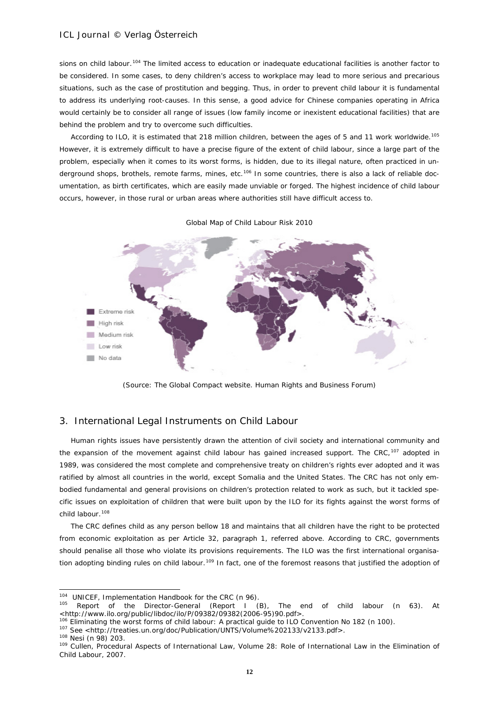sions on child labour.<sup>[104](#page-11-0)</sup> The limited access to education or inadequate educational facilities is another factor to be considered. In some cases, to deny children's access to workplace may lead to more serious and precarious situations, such as the case of prostitution and begging. Thus, in order to prevent child labour it is fundamental to address its underlying root-causes. In this sense, a good advice for Chinese companies operating in Africa would certainly be to consider all range of issues (low family income or inexistent educational facilities) that are behind the problem and try to overcome such difficulties.

According to ILO, it is estimated that 218 million children, between the ages of 5 and 11 work worldwide.<sup>[105](#page-11-1)</sup> However, it is extremely difficult to have a precise figure of the extent of child labour, since a large part of the problem, especially when it comes to its worst forms, is hidden, due to its illegal nature, often practiced in un-derground shops, brothels, remote farms, mines, etc.<sup>[106](#page-11-2)</sup> In some countries, there is also a lack of reliable documentation, as birth certificates, which are easily made unviable or forged. The highest incidence of child labour occurs, however, in those rural or urban areas where authorities still have difficult access to.



*Global Map of Child Labour Risk 2010*

*(Source: The Global Compact website. Human Rights and Business Forum)*

### 3. International Legal Instruments on Child Labour

Human rights issues have persistently drawn the attention of civil society and international community and the expansion of the movement against child labour has gained increased support. The CRC,<sup>[107](#page-11-3)</sup> adopted in 1989, was considered the most complete and comprehensive treaty on children's rights ever adopted and it was ratified by almost all countries in the world, except Somalia and the United States. The CRC has not only embodied fundamental and general provisions on children's protection related to work as such, but it tackled specific issues on exploitation of children that were built upon by the ILO for its fights against the worst forms of child labour.<sup>[108](#page-11-4)</sup>

The CRC defines child as any person bellow 18 and maintains that all children have the right to be protected from economic exploitation as per Article 32, paragraph 1, referred above. According to CRC, governments should penalise all those who violate its provisions requirements. The ILO was the first international organisa-tion adopting binding rules on child labour.<sup>[109](#page-11-5)</sup> In fact, one of the foremost reasons that justified the adoption of

1

<span id="page-11-0"></span><sup>&</sup>lt;sup>104</sup> UNICEF, Implementation Handbook for the CRC (n 96).

<span id="page-11-1"></span><sup>&</sup>lt;sup>105</sup> Report of the Director-General (Report I (B), The end of child labour (n 63). At <br><http://www.ilo.org/public/libdoc/ilo/P/09382/09382(2006-95)90.pdf>.

 $106$  Eliminating the worst forms of child labour: A practical guide to ILO Convention No 182 (n 100).

<span id="page-11-3"></span><span id="page-11-2"></span><sup>&</sup>lt;sup>107</sup> See <http://treaties.un.org/doc/Publication/UNTS/Volume%202133/v2133.pdf>.<br><sup>108</sup> Nesi (n 98) 203.

<span id="page-11-4"></span>

<span id="page-11-5"></span><sup>109</sup> Cullen, Procedural Aspects of International Law, Volume 28: Role of International Law in the Elimination of Child Labour, 2007.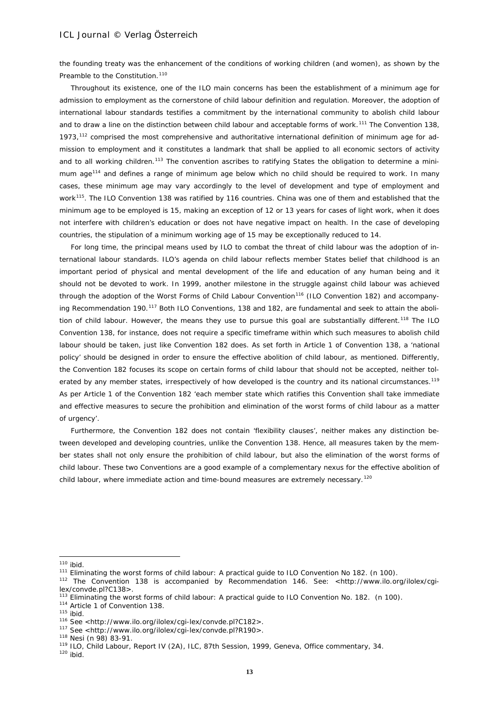the founding treaty was the enhancement of the conditions of working children (and women), as shown by the Preamble to the Constitution.<sup>[110](#page-12-0)</sup>

Throughout its existence, one of the ILO main concerns has been the establishment of a minimum age for admission to employment as the cornerstone of child labour definition and regulation. Moreover, the adoption of international labour standards testifies a commitment by the international community to abolish child labour and to draw a line on the distinction between child labour and acceptable forms of work.<sup>[111](#page-12-1)</sup> The Convention 138, 1973, $112$  comprised the most comprehensive and authoritative international definition of minimum age for admission to employment and it constitutes a landmark that shall be applied to all economic sectors of activity and to all working children.<sup>[113](#page-12-3)</sup> The convention ascribes to ratifying States the obligation to determine a minimum age[114](#page-12-4) and defines a range of minimum age below which no child should be required to work. In many cases, these minimum age may vary accordingly to the level of development and type of employment and work<sup>115</sup>. The ILO Convention 138 was ratified by 116 countries. China was one of them and established that the minimum age to be employed is 15, making an exception of 12 or 13 years for cases of light work, when it does not interfere with children's education or does not have negative impact on health. In the case of developing countries, the stipulation of a minimum working age of 15 may be exceptionally reduced to 14.

For long time, the principal means used by ILO to combat the threat of child labour was the adoption of international labour standards. ILO's agenda on child labour reflects member States belief that childhood is an important period of physical and mental development of the life and education of any human being and it should not be devoted to work. In 1999, another milestone in the struggle against child labour was achieved through the adoption of the Worst Forms of Child Labour Convention<sup>[116](#page-12-6)</sup> (ILO Convention 182) and accompany-ing Recommendation 190.<sup>[117](#page-12-7)</sup> Both ILO Conventions, 138 and 182, are fundamental and seek to attain the aboli-tion of child labour. However, the means they use to pursue this goal are substantially different.<sup>[118](#page-12-8)</sup> The ILO Convention 138, for instance, does not require a specific timeframe within which such measures to abolish child labour should be taken, just like Convention 182 does. As set forth in Article 1 of Convention 138, a 'national policy' should be designed in order to ensure the effective abolition of child labour, as mentioned. Differently, the Convention 182 focuses its scope on certain forms of child labour that should not be accepted, neither tol-erated by any member states, irrespectively of how developed is the country and its national circumstances.<sup>[119](#page-12-9)</sup> As per Article 1 of the Convention 182 'each member state which ratifies this Convention shall take immediate and effective measures to secure the prohibition and elimination of the worst forms of child labour as a matter of urgency'.

Furthermore, the Convention 182 does not contain 'flexibility clauses', neither makes any distinction between developed and developing countries, unlike the Convention 138. Hence, all measures taken by the member states shall not only ensure the prohibition of child labour, but also the elimination of the worst forms of child labour. These two Conventions are a good example of a complementary nexus for the effective abolition of child labour, where immediate action and time-bound measures are extremely necessary.<sup>[120](#page-12-10)</sup>

<span id="page-12-0"></span> $110$  ibid.

<sup>111</sup> Eliminating the worst forms of child labour: A practical guide to ILO Convention No 182. (n 100).

<span id="page-12-2"></span><span id="page-12-1"></span><sup>112</sup> The Convention 138 is accompanied by Recommendation 146. See: <http://www.ilo.org/ilolex/cgilex/convde.pl?C138>.<br><sup>113</sup> Eliminating the worst forms of child labour: A practical guide to ILO Convention No. 182. (n 100).

<span id="page-12-5"></span>

<span id="page-12-4"></span><span id="page-12-3"></span><sup>&</sup>lt;sup>114</sup> Article 1 of Convention 138.<br><sup>115</sup> ibid.<br><sup>116</sup> See <http://www.ilo.org/ilolex/cqi-lex/convde.pl?C182>.

<span id="page-12-7"></span><span id="page-12-6"></span><sup>&</sup>lt;sup>117</sup> See <http://www.ilo.org/ilolex/cgi-lex/convde.pl?R190>.<br><sup>118</sup> Nesi (n 98) 83-91.

<span id="page-12-8"></span>

<span id="page-12-9"></span><sup>&</sup>lt;sup>119</sup> ILO, Child Labour, Report IV (2A), ILC, 87th Session, 1999, Geneva, Office commentary, 34.<br><sup>120</sup> ibid.

<span id="page-12-10"></span>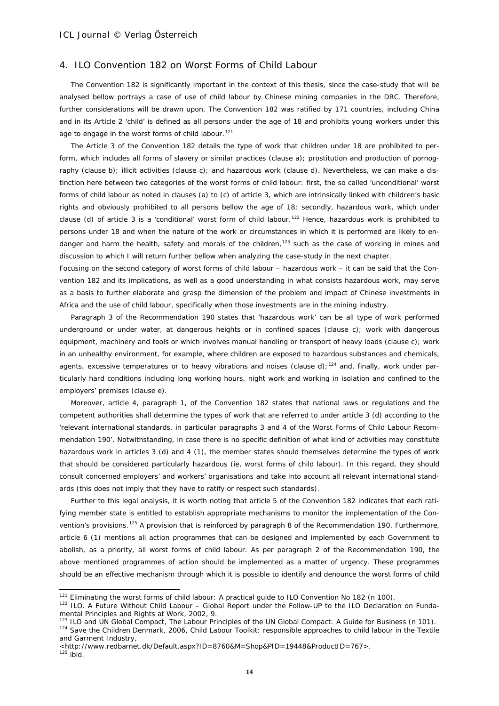### 4. ILO Convention 182 on Worst Forms of Child Labour

The Convention 182 is significantly important in the context of this thesis, since the case-study that will be analysed bellow portrays a case of use of child labour by Chinese mining companies in the DRC. Therefore, further considerations will be drawn upon. The Convention 182 was ratified by 171 countries, including China and in its Article 2 'child' is defined as all persons under the age of 18 and prohibits young workers under this age to engage in the worst forms of child labour.<sup>[121](#page-13-0)</sup>

The Article 3 of the Convention 182 details the type of work that children under 18 are prohibited to perform, which includes all forms of slavery or similar practices (clause a); prostitution and production of pornography (clause b); illicit activities (clause c); and hazardous work (clause d). Nevertheless, we can make a distinction here between two categories of the worst forms of child labour: first, the so called 'unconditional' worst forms of child labour as noted in clauses (a) to (c) of article 3, which are intrinsically linked with children's basic rights and obviously prohibited to all persons bellow the age of 18; secondly, hazardous work, which under clause (d) of article 3 is a 'conditional' worst form of child labour.<sup>[122](#page-13-1)</sup> Hence, hazardous work is prohibited to persons under 18 and when the nature of the work or circumstances in which it is performed are likely to en-danger and harm the health, safety and morals of the children,<sup>[123](#page-13-2)</sup> such as the case of working in mines and discussion to which I will return further bellow when analyzing the case-study in the next chapter.

Focusing on the second category of worst forms of child labour – hazardous work – it can be said that the Convention 182 and its implications, as well as a good understanding in what consists hazardous work, may serve as a basis to further elaborate and grasp the dimension of the problem and impact of Chinese investments in Africa and the use of child labour, specifically when those investments are in the mining industry.

Paragraph 3 of the Recommendation 190 states that 'hazardous work' can be all type of work performed underground or under water, at dangerous heights or in confined spaces (clause c); work with dangerous equipment, machinery and tools or which involves manual handling or transport of heavy loads (clause c); work in an unhealthy environment, for example, where children are exposed to hazardous substances and chemicals, agents, excessive temperatures or to heavy vibrations and noises (clause d);<sup>[124](#page-13-3)</sup> and, finally, work under particularly hard conditions including long working hours, night work and working in isolation and confined to the employers' premises (clause e).

Moreover, article 4, paragraph 1, of the Convention 182 states that national laws or regulations and the competent authorities shall determine the types of work that are referred to under article 3 (d) according to the 'relevant international standards, in particular paragraphs 3 and 4 of the Worst Forms of Child Labour Recommendation 190'. Notwithstanding, in case there is no specific definition of what kind of activities may constitute hazardous work in articles 3 (d) and 4 (1), the member states should themselves determine the types of work that should be considered particularly hazardous (ie, worst forms of child labour). In this regard, they should consult concerned employers' and workers' organisations and take into account all relevant international standards (this does not imply that they have to ratify or respect such standards).

Further to this legal analysis, it is worth noting that article 5 of the Convention 182 indicates that each ratifying member state is entitled to establish appropriate mechanisms to monitor the implementation of the Convention's provisions.[125](#page-13-4) A provision that is reinforced by paragraph 8 of the Recommendation 190. Furthermore, article 6 (1) mentions all action programmes that can be designed and implemented by each Government to abolish, as a priority, all worst forms of child labour. As per paragraph 2 of the Recommendation 190, the above mentioned programmes of action should be implemented as a matter of urgency. These programmes should be an effective mechanism through which it is possible to identify and denounce the worst forms of child

1

<span id="page-13-0"></span> $121$  Eliminating the worst forms of child labour: A practical guide to ILO Convention No 182 (n 100).

<span id="page-13-1"></span><sup>&</sup>lt;sup>122</sup> ILO. A Future Without Child Labour – Global Report under the Follow-UP to the ILO Declaration on Fundamental Principles and Rights at Work, 2002, 9.

<span id="page-13-2"></span><sup>&</sup>lt;sup>123</sup> ILO and UN Global Compact, The Labour Principles of the UN Global Compact: A Guide for Business (n 101). 124 Save the Children Denmark, 2006, Child Labour Toolkit: responsible approaches to child labour in the Textile

<span id="page-13-3"></span>and Garment Industry*,*

<span id="page-13-4"></span><sup>&</sup>lt;http://www.redbarnet.dk/Default.aspx?ID=8760&M=Shop&PID=19448&ProductID=767>.<br><sup>125</sup> ibid.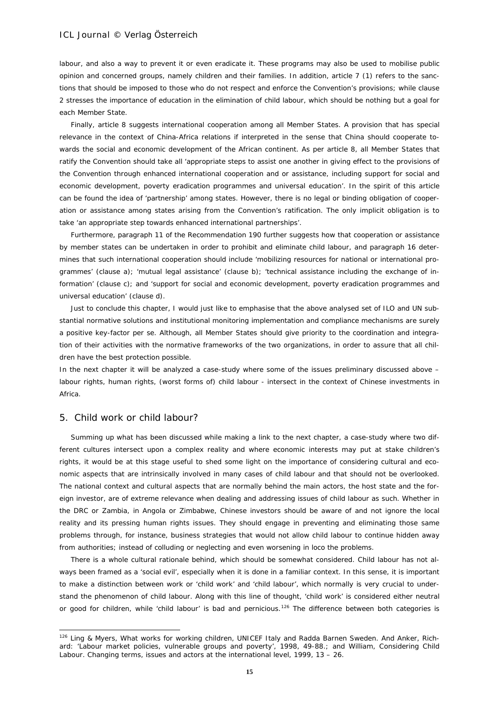labour, and also a way to prevent it or even eradicate it. These programs may also be used to mobilise public opinion and concerned groups, namely children and their families. In addition, article 7 (1) refers to the sanctions that should be imposed to those who do not respect and enforce the Convention's provisions; while clause 2 stresses the importance of education in the elimination of child labour, which should be nothing but a goal for each Member State.

Finally, article 8 suggests international cooperation among all Member States. A provision that has special relevance in the context of China-Africa relations if interpreted in the sense that China should cooperate towards the social and economic development of the African continent. As per article 8, all Member States that ratify the Convention should take all 'appropriate steps to assist one another in giving effect to the provisions of the Convention through enhanced international cooperation and or assistance, including support for social and economic development, poverty eradication programmes and universal education'. In the spirit of this article can be found the idea of 'partnership' among states. However, there is no legal or binding obligation of cooperation or assistance among states arising from the Convention's ratification. The only implicit obligation is to take 'an appropriate step towards enhanced international partnerships'.

Furthermore, paragraph 11 of the Recommendation 190 further suggests how that cooperation or assistance by member states can be undertaken in order to prohibit and eliminate child labour, and paragraph 16 determines that such international cooperation should include 'mobilizing resources for national or international programmes' (clause a); 'mutual legal assistance' (clause b); 'technical assistance including the exchange of information' (clause c); and 'support for social and economic development, poverty eradication programmes and universal education' (clause d).

Just to conclude this chapter, I would just like to emphasise that the above analysed set of ILO and UN substantial normative solutions and institutional monitoring implementation and compliance mechanisms are surely a positive key-factor *per se*. Although, all Member States should give priority to the coordination and integration of their activities with the normative frameworks of the two organizations, in order to assure that all children have the best protection possible.

In the next chapter it will be analyzed a case-study where some of the issues preliminary discussed above – labour rights, human rights, (worst forms of) child labour - intersect in the context of Chinese investments in Africa.

### 5. Child work or child labour?

-

Summing up what has been discussed while making a link to the next chapter, a case-study where two different cultures intersect upon a complex reality and where economic interests may put at stake children's rights, it would be at this stage useful to shed some light on the importance of considering cultural and economic aspects that are intrinsically involved in many cases of child labour and that should not be overlooked. The national context and cultural aspects that are normally behind the main actors, the host state and the foreign investor, are of extreme relevance when dealing and addressing issues of child labour as such. Whether in the DRC or Zambia, in Angola or Zimbabwe, Chinese investors should be aware of and not ignore the local reality and its pressing human rights issues. They should engage in preventing and eliminating those same problems through, for instance, business strategies that would not allow child labour to continue hidden away from authorities; instead of colluding or neglecting and even worsening *in loco* the problems.

There is a whole cultural *rationale* behind, which should be somewhat considered. Child labour has not always been framed as a 'social evil', especially when it is done in a familiar context. In this sense, it is important to make a distinction between work or 'child work' and 'child labour', which normally is very crucial to understand the phenomenon of child labour. Along with this line of thought, 'child work' is considered either neutral or good for children, while 'child labour' is bad and pernicious.<sup>[126](#page-14-0)</sup> The difference between both categories is

<span id="page-14-0"></span><sup>&</sup>lt;sup>126</sup> Ling & Myers, What works for working children, UNICEF Italy and Radda Barnen Sweden. And Anker, Richard: 'Labour market policies, vulnerable groups and poverty', 1998, 49-88.; and William, Considering Child Labour. Changing terms, issues and actors at the international level, 1999, 13 – 26.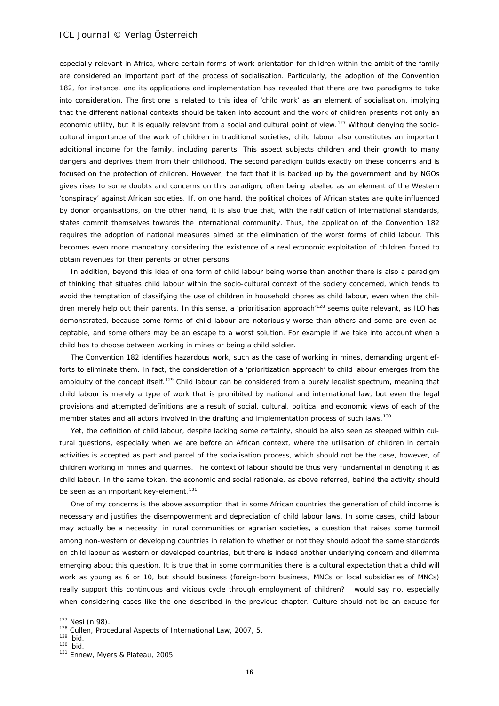especially relevant in Africa, where certain forms of work orientation for children within the ambit of the family are considered an important part of the process of socialisation. Particularly, the adoption of the Convention 182, for instance, and its applications and implementation has revealed that there are two paradigms to take into consideration. The first one is related to this idea of 'child work' as an element of socialisation, implying that the different national contexts should be taken into account and the work of children presents not only an economic utility, but it is equally relevant from a social and cultural point of view.<sup>[127](#page-15-0)</sup> Without denying the sociocultural importance of the work of children in traditional societies, child labour also constitutes an important additional income for the family, including parents. This aspect subjects children and their growth to many dangers and deprives them from their childhood. The second paradigm builds exactly on these concerns and is focused on the protection of children. However, the fact that it is backed up by the government and by NGOs gives rises to some doubts and concerns on this paradigm, often being labelled as an element of the Western 'conspiracy' against African societies. If, on one hand, the political choices of African states are quite influenced by donor organisations, on the other hand, it is also true that, with the ratification of international standards, states commit themselves towards the international community. Thus, the application of the Convention 182 requires the adoption of national measures aimed at the elimination of the worst forms of child labour. This becomes even more mandatory considering the existence of a real economic exploitation of children forced to obtain revenues for their parents or other persons.

In addition, beyond this idea of one form of child labour being worse than another there is also a paradigm of thinking that situates child labour within the socio-cultural context of the society concerned, which tends to avoid the temptation of classifying the use of children in household chores as child labour, even when the chil-dren merely help out their parents. In this sense, a 'prioritisation approach'<sup>[128](#page-15-1)</sup> seems quite relevant, as ILO has demonstrated, because some forms of child labour are notoriously worse than others and some are even acceptable, and some others may be an escape to a worst solution. For example if we take into account when a child has to choose between working in mines or being a child soldier.

The Convention 182 identifies hazardous work, such as the case of working in mines, demanding urgent efforts to eliminate them. In fact, the consideration of a 'prioritization approach' to child labour emerges from the ambiguity of the concept itself.<sup>[129](#page-15-2)</sup> Child labour can be considered from a purely legalist spectrum, meaning that child labour is merely a type of work that is prohibited by national and international law, but even the legal provisions and attempted definitions are a result of social, cultural, political and economic views of each of the member states and all actors involved in the drafting and implementation process of such laws.<sup>[130](#page-15-3)</sup>

Yet, the definition of child labour, despite lacking some certainty, should be also seen as steeped within cultural questions, especially when we are before an African context, where the utilisation of children in certain activities is accepted as part and parcel of the socialisation process, which should not be the case, however, of children working in mines and quarries. The context of labour should be thus very fundamental in denoting it as child labour. In the same token, the economic and social *rationale*, as above referred, behind the activity should be seen as an important key-element.<sup>[131](#page-15-4)</sup>

One of my concerns is the above assumption that in some African countries the generation of child income is necessary and justifies the disempowerment and depreciation of child labour laws. In some cases, child labour may actually be a necessity, in rural communities or agrarian societies, a question that raises some turmoil among non-western or developing countries in relation to whether or not they should adopt the same standards on child labour as western or developed countries, but there is indeed another underlying concern and dilemma emerging about this question. It is true that in some communities there is a cultural expectation that a child will work as young as 6 or 10, but should business (foreign-born business, MNCs or local subsidiaries of MNCs) really support this continuous and vicious cycle through employment of children? I would say no, especially when considering cases like the one described in the previous chapter. Culture should not be an excuse for

<span id="page-15-0"></span> $127$  Nesi (n 98).

<span id="page-15-1"></span><sup>128</sup> Cullen, Procedural Aspects of International Law, 2007, 5.

<span id="page-15-2"></span> $129$  ibid.

 $130$  ibid.

<span id="page-15-4"></span><span id="page-15-3"></span><sup>131</sup> Ennew, Myers & Plateau, 2005.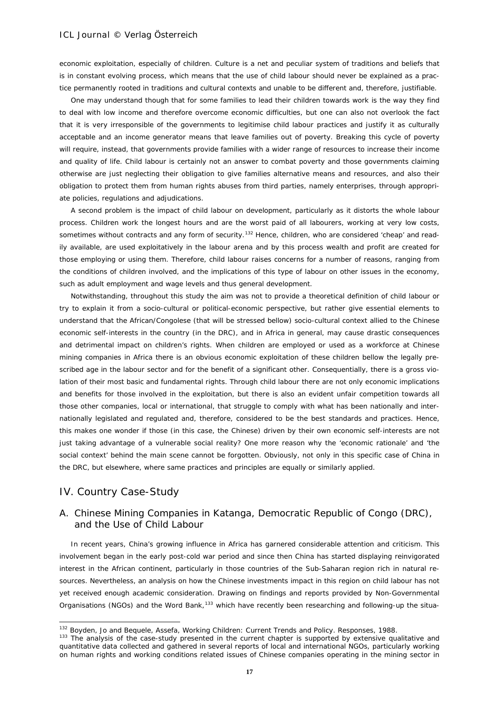economic exploitation, especially of children. Culture is a net and peculiar system of traditions and beliefs that is in constant evolving process, which means that the use of child labour should never be explained as a practice permanently rooted in traditions and cultural contexts and unable to be different and, therefore, justifiable.

One may understand though that for some families to lead their children towards work is the way they find to deal with low income and therefore overcome economic difficulties, but one can also not overlook the fact that it is very irresponsible of the governments to legitimise child labour practices and justify it as culturally acceptable and an income generator means that leave families out of poverty. Breaking this cycle of poverty will require, instead, that governments provide families with a wider range of resources to increase their income and quality of life. Child labour is certainly not an answer to combat poverty and those governments claiming otherwise are just neglecting their obligation to give families alternative means and resources, and also their obligation to protect them from human rights abuses from third parties, namely enterprises, through appropriate policies, regulations and adjudications.

A second problem is the impact of child labour on development, particularly as it distorts the whole labour process. Children work the longest hours and are the worst paid of all labourers, working at very low costs, sometimes without contracts and any form of security.<sup>[132](#page-16-0)</sup> Hence, children, who are considered 'cheap' and readily available, are used exploitatively in the labour arena and by this process wealth and profit are created for those employing or using them. Therefore, child labour raises concerns for a number of reasons, ranging from the conditions of children involved, and the implications of this type of labour on other issues in the economy, such as adult employment and wage levels and thus general development.

Notwithstanding, throughout this study the aim was not to provide a theoretical definition of child labour or try to explain it from a socio-cultural or political-economic perspective, but rather give essential elements to understand that the African/Congolese (that will be stressed bellow) socio-cultural context allied to the Chinese economic self-interests in the country (in the DRC), and in Africa in general, may cause drastic consequences and detrimental impact on children's rights. When children are employed or used as a workforce at Chinese mining companies in Africa there is an obvious economic exploitation of these children bellow the legally prescribed age in the labour sector and for the benefit of a significant other. Consequentially, there is a gross violation of their most basic and fundamental rights. Through child labour there are not only economic implications and benefits for those involved in the exploitation, but there is also an evident unfair competition towards all those other companies, local or international, that struggle to comply with what has been nationally and internationally legislated and regulated and, therefore, considered to be the best standards and practices. Hence, this makes one wonder if those (in this case, the Chinese) driven by their own economic self-interests are not just taking advantage of a vulnerable social reality? One more reason why the 'economic *rationale'* and 'the social context' behind the main scene cannot be forgotten. Obviously, not only in this specific case of China in the DRC, but elsewhere, where same practices and principles are equally or similarly applied.

# IV. Country Case-Study

-

# A. Chinese Mining Companies in Katanga, Democratic Republic of Congo (DRC), and the Use of Child Labour

In recent years, China's growing influence in Africa has garnered considerable attention and criticism. This involvement began in the early post-cold war period and since then China has started displaying reinvigorated interest in the African continent, particularly in those countries of the Sub-Saharan region rich in natural resources. Nevertheless, an analysis on how the Chinese investments impact in this region on child labour has not yet received enough academic consideration. Drawing on findings and reports provided by Non-Governmental Organisations (NGOs) and the Word Bank,<sup>[133](#page-16-1)</sup> which have recently been researching and following-up the situa-

<span id="page-16-0"></span><sup>&</sup>lt;sup>132</sup> Boyden, Jo and Bequele, Assefa, Working Children: Current Trends and Policy. Responses, 1988.

<span id="page-16-1"></span><sup>&</sup>lt;sup>133</sup> The analysis of the case-study presented in the current chapter is supported by extensive qualitative and quantitative data collected and gathered in several reports of local and international NGOs, particularly working on human rights and working conditions related issues of Chinese companies operating in the mining sector in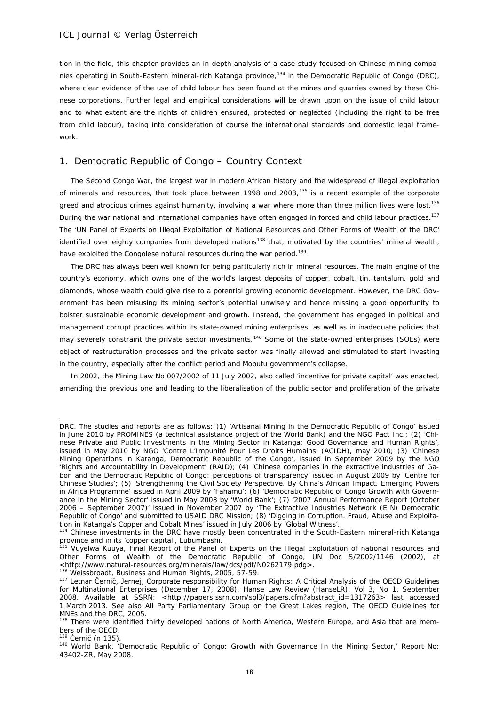tion in the field, this chapter provides an in-depth analysis of a case-study focused on Chinese mining compa-nies operating in South-Eastern mineral-rich Katanga province,<sup>[134](#page-17-0)</sup> in the Democratic Republic of Congo (DRC), where clear evidence of the use of child labour has been found at the mines and quarries owned by these Chinese corporations. Further legal and empirical considerations will be drawn upon on the issue of child labour and to what extent are the rights of children ensured, protected or neglected (including the right to be free from child labour), taking into consideration of course the international standards and domestic legal framework.

### 1. Democratic Republic of Congo – Country Context

The Second Congo War, the largest war in modern African history and the widespread of illegal exploitation of minerals and resources, that took place between 1998 and 2003, $135$  is a recent example of the corporate greed and atrocious crimes against humanity, involving a war where more than three million lives were lost.<sup>[136](#page-17-2)</sup> During the war national and international companies have often engaged in forced and child labour practices.<sup>[137](#page-17-3)</sup> The 'UN Panel of Experts on Illegal Exploitation of National Resources and Other Forms of Wealth of the DRC' identified over eighty companies from developed nations<sup>[138](#page-17-4)</sup> that, motivated by the countries' mineral wealth, have exploited the Congolese natural resources during the war period.<sup>[139](#page-17-5)</sup>

The DRC has always been well known for being particularly rich in mineral resources. The main engine of the country's economy, which owns one of the world's largest deposits of copper, cobalt, tin, tantalum, gold and diamonds, whose wealth could give rise to a potential growing economic development. However, the DRC Government has been misusing its mining sector's potential unwisely and hence missing a good opportunity to bolster sustainable economic development and growth. Instead, the government has engaged in political and management corrupt practices within its state-owned mining enterprises, as well as in inadequate policies that may severely constraint the private sector investments.<sup>[140](#page-17-6)</sup> Some of the state-owned enterprises (SOEs) were object of restructuration processes and the private sector was finally allowed and stimulated to start investing in the country, especially after the conflict period and Mobutu government's collapse.

In 2002, the Mining Law No 007/2002 of 11 July 2002, also called 'incentive for private capital' was enacted, amending the previous one and leading to the liberalisation of the public sector and proliferation of the private

<span id="page-17-5"></span> $139$  Černič (n 135).

DRC. The studies and reports are as follows: (1) *'Artisanal Mining in the Democratic Republic of Congo'* issued in June 2010 by PROMINES (a technical assistance project of the World Bank) and the NGO Pact Inc.; (2) *'Chinese Private and Public Investments in the Mining Sector in Katanga: Good Governance and Human Rights'*, issued in May 2010 by NGO 'Contre L'Impunité Pour Les Droits Humains' (ACIDH), may 2010; (3) *'Chinese Mining Operations in Katanga, Democratic Republic of the Congo'*, issued in September 2009 by the NGO 'Rights and Accountability in Development' (RAID); (4) *'Chinese companies in the extractive industries of Gabon and the Democratic Republic of Congo: perceptions of transparency'* issued in August 2009 by 'Centre for Chinese Studies'; (5) *'Strengthening the Civil Society Perspective. By China's African Impact. Emerging Powers in Africa Programme'* issued in April 2009 by 'Fahamu'; (6) *'Democratic Republic of Congo Growth with Governance in the Mining Sector'* issued in May 2008 by 'World Bank'; (7) *'2007 Annual Performance Report (October 2006 – September 2007)'* issued in November 2007 by 'The Extractive Industries Network (EIN) Democratic Republic of Congo' and submitted to USAID DRC Mission; (8) *'Digging in Corruption. Fraud, Abuse and Exploitation in Katanga's Copper and Cobalt Mines'* issued in July 2006 by 'Global Witness'.

<span id="page-17-0"></span><sup>&</sup>lt;sup>134</sup> Chinese investments in the DRC have mostly been concentrated in the South-Eastern mineral-rich Katanga province and in its 'copper capital', Lubumbashi.

<span id="page-17-1"></span><sup>&</sup>lt;sup>135</sup> Vuyelwa Kuuya, Final Report of the Panel of Experts on the Illegal Exploitation of national resources and Other Forms of Wealth of the Democratic Republic of Congo, UN Doc S/2002/1146 (2002), at <http://www.natural-resources.org/minerals/law/dcs/pdf/N0262179.pdg>. 136 Weissbroadt, Business and Human Rights, 2005, 57-59.

<span id="page-17-3"></span><span id="page-17-2"></span><sup>137</sup> Letnar Černič, Jernej, Corporate responsibility for Human Rights: A Critical Analysis of the OECD Guidelines for Multinational Enterprises (December 17, 2008). Hanse Law Review (HanseLR), Vol 3, No 1, September 2008. Available at SSRN: <http://papers.ssrn.com/sol3/papers.cfm?abstract\_id=1317263> last accessed 1 March 2013. See also All Party Parliamentary Group on the Great Lakes region, The OECD Guidelines for MNEs and the DRC, 2005.

<span id="page-17-4"></span><sup>&</sup>lt;sup>138</sup> There were identified thirty developed nations of North America, Western Europe, and Asia that are members of the OECD.

<span id="page-17-6"></span><sup>140</sup> World Bank, 'Democratic Republic of Congo: Growth with Governance In the Mining Sector,' Report No: 43402-ZR, May 2008.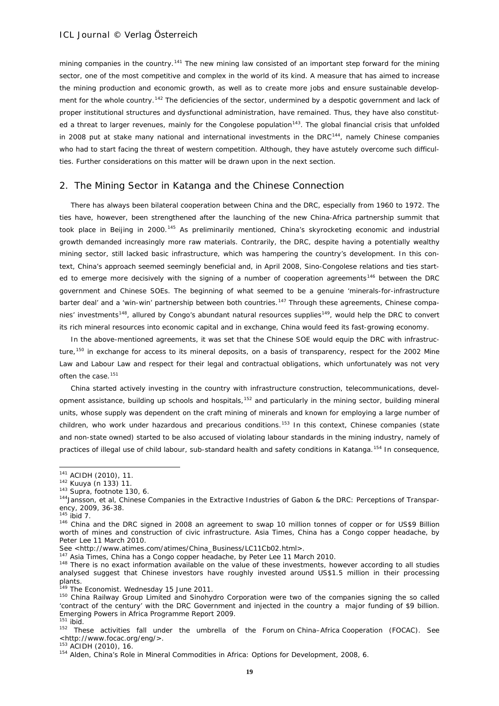mining companies in the country.<sup>[141](#page-18-0)</sup> The new mining law consisted of an important step forward for the mining sector, one of the most competitive and complex in the world of its kind. A measure that has aimed to increase the mining production and economic growth, as well as to create more jobs and ensure sustainable develop-ment for the whole country.<sup>[142](#page-18-1)</sup> The deficiencies of the sector, undermined by a despotic government and lack of proper institutional structures and dysfunctional administration, have remained. Thus, they have also constituted a threat to larger revenues, mainly for the Congolese population<sup>143</sup>. The global financial crisis that unfolded in 2008 put at stake many national and international investments in the DRC $^{144}$  $^{144}$  $^{144}$ , namely Chinese companies who had to start facing the threat of western competition. Although, they have astutely overcome such difficulties. Further considerations on this matter will be drawn upon in the next section.

### 2. The Mining Sector in Katanga and the Chinese Connection

There has always been bilateral cooperation between China and the DRC, especially from 1960 to 1972. The ties have, however, been strengthened after the launching of the new China-Africa partnership summit that took place in Beijing in 2000.<sup>[145](#page-18-4)</sup> As preliminarily mentioned, China's skyrocketing economic and industrial growth demanded increasingly more raw materials. Contrarily, the DRC, despite having a potentially wealthy mining sector, still lacked basic infrastructure, which was hampering the country's development. In this context, China's approach seemed seemingly beneficial and, in April 2008, Sino-Congolese relations and ties start-ed to emerge more decisively with the signing of a number of cooperation agreements<sup>[146](#page-18-5)</sup> between the DRC government and Chinese SOEs. The beginning of what seemed to be a genuine 'minerals-for-infrastructure barter deal' and a 'win-win' partnership between both countries.<sup>[147](#page-18-6)</sup> Through these agreements, Chinese companies' investments<sup>148</sup>, allured by Congo's abundant natural resources supplies<sup>149</sup>, would help the DRC to convert its rich mineral resources into economic capital and in exchange, China would feed its fast-growing economy.

In the above-mentioned agreements, it was set that the Chinese SOE would equip the DRC with infrastruc-ture,<sup>[150](#page-18-9)</sup> in exchange for access to its mineral deposits, on a basis of transparency, respect for the 2002 Mine Law and Labour Law and respect for their legal and contractual obligations, which unfortunately was not very often the case.<sup>[151](#page-18-10)</sup>

China started actively investing in the country with infrastructure construction, telecommunications, development assistance, building up schools and hospitals, $152$  and particularly in the mining sector, building mineral units, whose supply was dependent on the craft mining of minerals and known for employing a large number of children, who work under hazardous and precarious conditions.<sup>[153](#page-18-12)</sup> In this context, Chinese companies (state and non-state owned) started to be also accused of violating labour standards in the mining industry, namely of practices of illegal use of child labour, sub-standard health and safety conditions in Katanga.<sup>[154](#page-18-13)</sup> In consequence,

<sup>141</sup> ACIDH (2010), 11.

<span id="page-18-1"></span><span id="page-18-0"></span><sup>142</sup> Kuuya (n 133) 11.

<span id="page-18-2"></span><sup>143</sup> Supra, footnote 130, 6.

<span id="page-18-3"></span><sup>144</sup> Jansson, et al, Chinese Companies in the Extractive Industries of Gabon & the DRC: Perceptions of Transparency, 2009, 36-38.<br><sup>145</sup> ibid 7.

<span id="page-18-5"></span><span id="page-18-4"></span><sup>146</sup> China and the DRC signed in 2008 an agreement to swap 10 million tonnes of copper or for US\$9 Billion worth of mines and construction of civic infrastructure. Asia Times, *China has a Congo copper headache,* by Peter Lee 11 March 2010.

See <http://www.atimes.com/atimes/China\_Business/LC11Cb02.html>. 147 Asia Times, *China has a Congo copper headache,* by Peter Lee 11 March 2010.

<span id="page-18-7"></span><span id="page-18-6"></span><sup>&</sup>lt;sup>148</sup> There is no exact information available on the value of these investments, however according to all studies analysed suggest that Chinese investors have roughly invested around US\$1.5 million in their processing plants.

<span id="page-18-8"></span><sup>&</sup>lt;sup>149</sup> The Economist. Wednesday 15 June 2011.

<span id="page-18-9"></span><sup>&</sup>lt;sup>150</sup> China Railway Group Limited and Sinohydro Corporation were two of the companies signing the so called 'contract of the century' with the DRC Government and injected in the country a major funding of \$9 billion. Emerging Powers in Africa Programme Report 2009.  $151$  ibid.

<span id="page-18-11"></span><span id="page-18-10"></span><sup>&</sup>lt;sup>152</sup> These activities fall under the umbrella of the Forum on China–Africa Cooperation (FOCAC). See <http://www.focac.org/eng/>. 153 ACIDH (2010), 16.

<span id="page-18-13"></span><span id="page-18-12"></span><sup>154</sup> Alden, China's Role in Mineral Commodities in Africa: Options for Development, 2008, 6.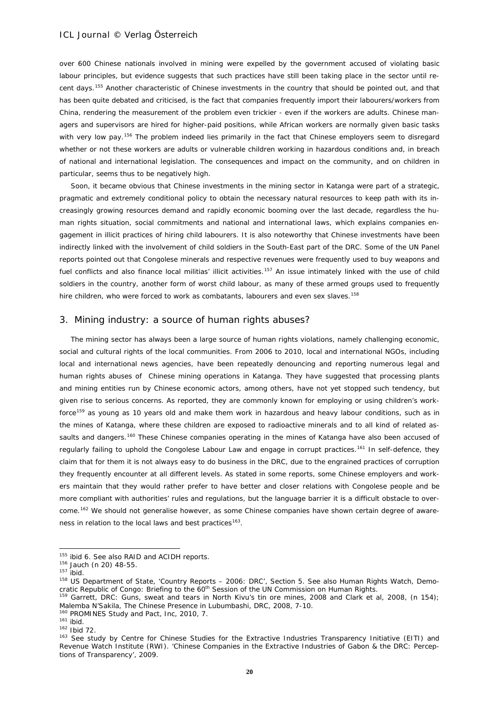over 600 Chinese nationals involved in mining were expelled by the government accused of violating basic labour principles, but evidence suggests that such practices have still been taking place in the sector until recent days.[155](#page-19-0) Another characteristic of Chinese investments in the country that should be pointed out, and that has been quite debated and criticised, is the fact that companies frequently import their labourers/workers from China, rendering the measurement of the problem even trickier - even if the workers are adults. Chinese managers and supervisors are hired for higher-paid positions, while African workers are normally given basic tasks with very low pay.<sup>[156](#page-19-1)</sup> The problem indeed lies primarily in the fact that Chinese employers seem to disregard whether or not these workers are adults or vulnerable children working in hazardous conditions and, in breach of national and international legislation. The consequences and impact on the community, and on children in particular, seems thus to be negatively high.

Soon, it became obvious that Chinese investments in the mining sector in Katanga were part of a strategic, pragmatic and extremely conditional policy to obtain the necessary natural resources to keep path with its increasingly growing resources demand and rapidly economic booming over the last decade, regardless the human rights situation, social commitments and national and international laws, which explains companies engagement in illicit practices of hiring child labourers. It is also noteworthy that Chinese investments have been indirectly linked with the involvement of child soldiers in the South-East part of the DRC. Some of the UN Panel reports pointed out that Congolese minerals and respective revenues were frequently used to buy weapons and fuel conflicts and also finance local militias' illicit activities.<sup>[157](#page-19-2)</sup> An issue intimately linked with the use of child soldiers in the country, another form of worst child labour, as many of these armed groups used to frequently hire children, who were forced to work as combatants, labourers and even sex slaves.<sup>[158](#page-19-3)</sup>

### 3. Mining industry: a source of human rights abuses?

The mining sector has always been a large source of human rights violations, namely challenging economic, social and cultural rights of the local communities. From 2006 to 2010, local and international NGOs, including local and international news agencies, have been repeatedly denouncing and reporting numerous legal and human rights abuses of Chinese mining operations in Katanga. They have suggested that processing plants and mining entities run by Chinese economic actors, among others, have not yet stopped such tendency, but given rise to serious concerns. As reported, they are commonly known for employing or using children's work-force<sup>[159](#page-19-4)</sup> as young as 10 years old and make them work in hazardous and heavy labour conditions, such as in the mines of Katanga, where these children are exposed to radioactive minerals and to all kind of related as-saults and dangers.<sup>[160](#page-19-5)</sup> These Chinese companies operating in the mines of Katanga have also been accused of regularly failing to uphold the Congolese Labour Law and engage in corrupt practices.<sup>[161](#page-19-6)</sup> In self-defence, they claim that for them it is not always easy to do business in the DRC, due to the engrained practices of corruption they frequently encounter at all different levels. As stated in some reports, some Chinese employers and workers maintain that they would rather prefer to have better and closer relations with Congolese people and be more compliant with authorities' rules and regulations, but the language barrier it is a difficult obstacle to over-come.<sup>[162](#page-19-7)</sup> We should not generalise however, as some Chinese companies have shown certain degree of awareness in relation to the local laws and best practices<sup>163</sup>.

<sup>&</sup>lt;sup>155</sup> ibid 6. See also RAID and ACIDH reports.

<span id="page-19-1"></span><span id="page-19-0"></span><sup>156</sup> Jauch (n 20) 48-55.

 $157$  ibid.

<span id="page-19-3"></span><span id="page-19-2"></span><sup>&</sup>lt;sup>158</sup> US Department of State, 'Country Reports – 2006: DRC', Section 5. See also Human Rights Watch, Demo-<br>cratic Republic of Congo: Briefing to the 60<sup>th</sup> Session of the UN Commission on Human Rights.

<span id="page-19-4"></span><sup>&</sup>lt;sup>159</sup> Garrett, DRC: Guns, sweat and tears in North Kivu's tin ore mines, 2008 and Clark et al, 2008, (n 154); Malemba N'Sakila, The Chinese Presence in Lubumbashi, DRC, 2008, 7-10.

<span id="page-19-5"></span><sup>&</sup>lt;sup>160</sup> PROMINES Study and Pact, Inc. 2010, 7.

 $161 \text{ ibid.}$ <br> $162 \text{ lbid } 72.$ 

<span id="page-19-8"></span><span id="page-19-7"></span><span id="page-19-6"></span><sup>&</sup>lt;sup>163</sup> See study by Centre for Chinese Studies for the Extractive Industries Transparency Initiative (EITI) and Revenue Watch Institute (RWI). 'Chinese Companies in the Extractive Industries of Gabon & the DRC: Perceptions of Transparency', 2009.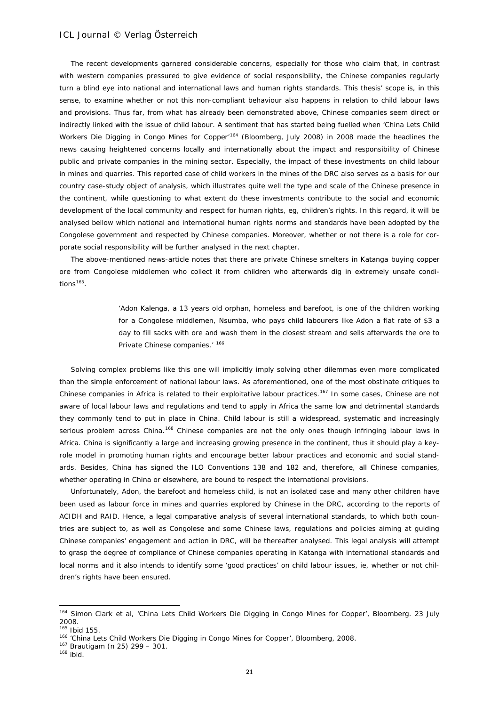The recent developments garnered considerable concerns, especially for those who claim that, in contrast with western companies pressured to give evidence of social responsibility, the Chinese companies regularly turn a blind eye into national and international laws and human rights standards. This thesis' scope is, in this sense, to examine whether or not this non-compliant behaviour also happens in relation to child labour laws and provisions. Thus far, from what has already been demonstrated above, Chinese companies seem direct or indirectly linked with the issue of child labour. A sentiment that has started being fuelled when 'China Lets Child Workers Die Digging in Congo Mines for Copper<sup>[164](#page-20-0)</sup> (Bloomberg, July 2008) in 2008 made the headlines the news causing heightened concerns locally and internationally about the impact and responsibility of Chinese public and private companies in the mining sector. Especially, the impact of these investments on child labour in mines and quarries. This reported case of child workers in the mines of the DRC also serves as a basis for our country case-study object of analysis, which illustrates quite well the type and scale of the Chinese presence in the continent, while questioning to what extent do these investments contribute to the social and economic development of the local community and respect for human rights, eg, children's rights. In this regard, it will be analysed bellow which national and international human rights norms and standards have been adopted by the Congolese government and respected by Chinese companies. Moreover, whether or not there is a role for corporate social responsibility will be further analysed in the next chapter.

The above-mentioned news-article notes that there are private Chinese smelters in Katanga buying copper ore from Congolese middlemen who collect it from children who afterwards dig in extremely unsafe condi $tions<sup>165</sup>$ .

> 'Adon Kalenga, a 13 years old orphan, homeless and barefoot, is one of the children working for a Congolese middlemen, Nsumba, who pays child labourers like Adon a flat rate of \$3 a day to fill sacks with ore and wash them in the closest stream and sells afterwards the ore to Private Chinese companies.' [166](#page-20-2)

Solving complex problems like this one will implicitly imply solving other dilemmas even more complicated than the simple enforcement of national labour laws. As aforementioned, one of the most obstinate critiques to Chinese companies in Africa is related to their exploitative labour practices.<sup>[167](#page-20-3)</sup> In some cases, Chinese are not aware of local labour laws and regulations and tend to apply in Africa the same low and detrimental standards they commonly tend to put in place in China. Child labour is still a widespread, systematic and increasingly serious problem across China.<sup>[168](#page-20-4)</sup> Chinese companies are not the only ones though infringing labour laws in Africa. China is significantly a large and increasing growing presence in the continent, thus it should play a keyrole model in promoting human rights and encourage better labour practices and economic and social standards. Besides, China has signed the ILO Conventions 138 and 182 and, therefore, all Chinese companies, whether operating in China or elsewhere, are bound to respect the international provisions.

Unfortunately, Adon, the barefoot and homeless child, is not an isolated case and many other children have been used as labour force in mines and quarries explored by Chinese in the DRC, according to the reports of ACIDH and RAID. Hence, a legal comparative analysis of several international standards, to which both countries are subject to, as well as Congolese and some Chinese laws, regulations and policies aiming at guiding Chinese companies' engagement and action in DRC, will be thereafter analysed. This legal analysis will attempt to grasp the degree of compliance of Chinese companies operating in Katanga with international standards and local norms and it also intends to identify some 'good practices' on child labour issues, ie, whether or not children's rights have been ensured.

1

<span id="page-20-0"></span><sup>164</sup> Simon Clark et al, 'China Lets Child Workers Die Digging in Congo Mines for Copper', Bloomberg. 23 July 2008. <sup>165</sup> Ibid 155.

<span id="page-20-2"></span><span id="page-20-1"></span><sup>166 &#</sup>x27;China Lets Child Workers Die Digging in Congo Mines for Copper', Bloomberg, 2008.

<span id="page-20-3"></span><sup>167</sup> Brautigam (n 25) 299 – 301.

<span id="page-20-4"></span> $168$  ibid.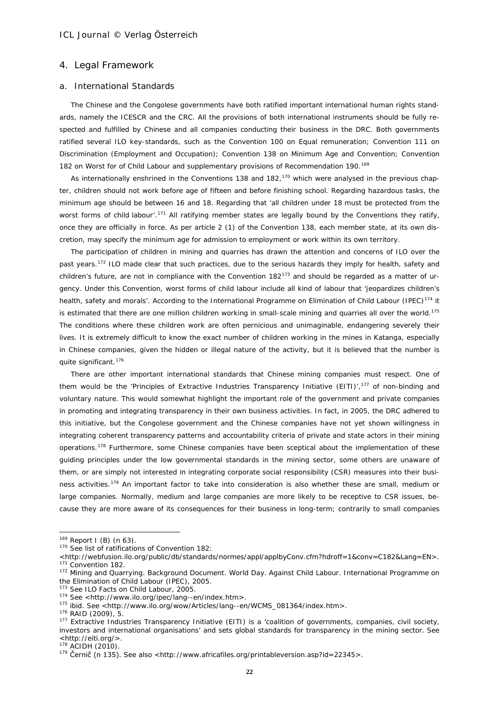### 4. Legal Framework

#### a. International Standards

The Chinese and the Congolese governments have both ratified important international human rights standards, namely the ICESCR and the CRC. All the provisions of both international instruments should be fully respected and fulfilled by Chinese and all companies conducting their business in the DRC. Both governments ratified several ILO key-standards, such as the Convention 100 on Equal remuneration; Convention 111 on Discrimination (Employment and Occupation); Convention 138 on Minimum Age and Convention; Convention 182 on Worst for of Child Labour and supplementary provisions of Recommendation 190.<sup>[169](#page-21-0)</sup>

As internationally enshrined in the Conventions 138 and 182,<sup>[170](#page-21-1)</sup> which were analysed in the previous chapter, children should not work before age of fifteen and before finishing school. Regarding hazardous tasks, the minimum age should be between 16 and 18. Regarding that 'all children under 18 must be protected from the worst forms of child labour'.<sup>[171](#page-21-2)</sup> All ratifying member states are legally bound by the Conventions they ratify, once they are officially in force. As per article 2 (1) of the Convention 138, each member state, at its own discretion, may specify the minimum age for admission to employment or work within its own territory.

The participation of children in mining and quarries has drawn the attention and concerns of ILO over the past years.<sup>[172](#page-21-3)</sup> ILO made clear that such practices, due to the serious hazards they imply for health, safety and children's future, are not in compliance with the Convention  $182^{173}$  $182^{173}$  $182^{173}$  and should be regarded as a matter of urgency. Under this Convention, worst forms of child labour include all kind of labour that 'jeopardizes children's health, safety and morals'. According to the International Programme on Elimination of Child Labour (IPEC)<sup>[174](#page-21-5)</sup> it is estimated that there are one million children working in small-scale mining and quarries all over the world.<sup>[175](#page-21-6)</sup> The conditions where these children work are often pernicious and unimaginable, endangering severely their lives. It is extremely difficult to know the exact number of children working in the mines in Katanga, especially in Chinese companies, given the hidden or illegal nature of the activity, but it is believed that the number is quite significant. [176](#page-21-7)

There are other important international standards that Chinese mining companies must respect. One of them would be the 'Principles of Extractive Industries Transparency Initiative (EITI)',<sup>[177](#page-21-8)</sup> of non-binding and voluntary nature. This would somewhat highlight the important role of the government and private companies in promoting and integrating transparency in their own business activities. In fact, in 2005, the DRC adhered to this initiative, but the Congolese government and the Chinese companies have not yet shown willingness in integrating coherent transparency patterns and accountability criteria of private and state actors in their mining operations.<sup>[178](#page-21-9)</sup> Furthermore, some Chinese companies have been sceptical about the implementation of these guiding principles under the low governmental standards in the mining sector, some others are unaware of them, or are simply not interested in integrating corporate social responsibility (CSR) measures into their busi-ness activities.<sup>[179](#page-21-10)</sup> An important factor to take into consideration is also whether these are small, medium or large companies. Normally, medium and large companies are more likely to be receptive to CSR issues, because they are more aware of its consequences for their business in long-term; contrarily to small companies

<span id="page-21-0"></span> $169$  Report I (B) (n 63).

<span id="page-21-1"></span><sup>170</sup> See list of ratifications of Convention 182:

<span id="page-21-2"></span><sup>&</sup>lt;http://webfusion.ilo.org/public/db/standards/normes/appl/applbyConv.cfm?hdroff=1&conv=C182&Lang=EN>.<br><sup>171</sup> Convention 182.<br><sup>172</sup> Mining and Quarrying. Background Document. World Day. Against Child Labour. International Pr

<span id="page-21-3"></span>the Elimination of Child Labour (IPEC), 2005.

<span id="page-21-4"></span><sup>&</sup>lt;sup>173</sup> See ILO Facts on Child Labour, 2005.<br><sup>174</sup> See <http://www.ilo.org/ipec/lang--en/index.htm>.

<span id="page-21-6"></span><span id="page-21-5"></span><sup>&</sup>lt;sup>175</sup> ibid. See <http://www.ilo.org/wow/Articles/lang--en/WCMS\_081364/index.htm>. 176 RAID (2009), 5.

<span id="page-21-7"></span>

<span id="page-21-8"></span><sup>&</sup>lt;sup>177</sup> Extractive Industries Transparency Initiative (EITI) is a 'coalition of governments, companies, civil society, investors and international organisations' and sets global standards for transparency in the mining sector. See

<sup>178</sup> ACIDH (2010).

<span id="page-21-10"></span><span id="page-21-9"></span><sup>&</sup>lt;sup>179</sup> Černič (n 135). See also <http://www.africafiles.org/printableversion.asp?id=22345>.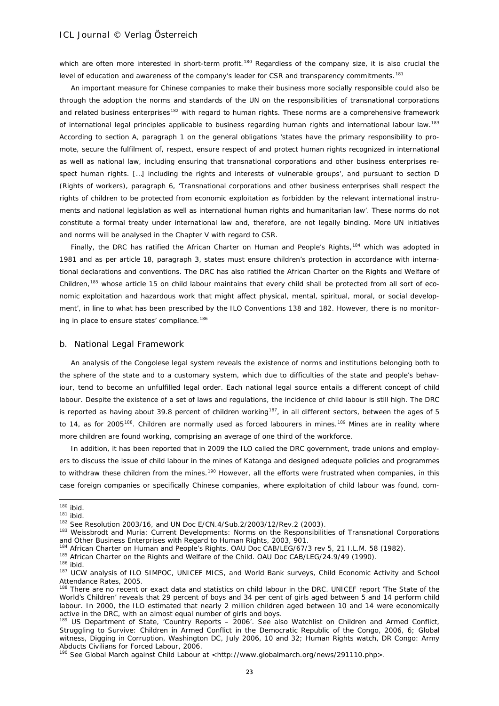which are often more interested in short-term profit.<sup>[180](#page-22-0)</sup> Regardless of the company size, it is also crucial the level of education and awareness of the company's leader for CSR and transparency commitments.<sup>[181](#page-22-1)</sup>

An important measure for Chinese companies to make their business more socially responsible could also be through the adoption the norms and standards of the UN on the responsibilities of transnational corporations and related business enterprises<sup>[182](#page-22-2)</sup> with regard to human rights. These norms are a comprehensive framework of international legal principles applicable to business regarding human rights and international labour law.<sup>[183](#page-22-3)</sup> According to section A, paragraph 1 on the general obligations 'states have the primary responsibility to promote, secure the fulfilment of, respect, ensure respect of and protect human rights recognized in international as well as national law, including ensuring that transnational corporations and other business enterprises respect human rights. […] including the rights and interests of vulnerable groups', and pursuant to section D (Rights of workers), paragraph 6, 'Transnational corporations and other business enterprises shall respect the rights of children to be protected from economic exploitation as forbidden by the relevant international instruments and national legislation as well as international human rights and humanitarian law'. These norms do not constitute a formal treaty under international law and, therefore, are not legally binding. More UN initiatives and norms will be analysed in the Chapter V with regard to CSR.

Finally, the DRC has ratified the African Charter on Human and People's Rights,<sup>[184](#page-22-4)</sup> which was adopted in 1981 and as per article 18, paragraph 3, states must ensure children's protection in accordance with international declarations and conventions. The DRC has also ratified the African Charter on the Rights and Welfare of Children,<sup>[185](#page-22-5)</sup> whose article 15 on child labour maintains that every child shall be protected from all sort of economic exploitation and hazardous work that might affect physical, mental, spiritual, moral, or social development', in line to what has been prescribed by the ILO Conventions 138 and 182. However, there is no monitor-ing in place to ensure states' compliance.<sup>[186](#page-22-6)</sup>

### b. National Legal Framework

An analysis of the Congolese legal system reveals the existence of norms and institutions belonging both to the sphere of the state and to a customary system, which due to difficulties of the state and people's behaviour, tend to become an unfulfilled legal order. Each national legal source entails a different concept of child labour. Despite the existence of a set of laws and regulations, the incidence of child labour is still high. The DRC is reported as having about 39.8 percent of children working<sup>187</sup>, in all different sectors, between the ages of 5 to 14, as for 2005<sup>[188](#page-22-8)</sup>. Children are normally used as forced labourers in mines.<sup>[189](#page-22-9)</sup> Mines are in reality where more children are found working, comprising an average of one third of the workforce.

In addition, it has been reported that in 2009 the ILO called the DRC government, trade unions and employers to discuss the issue of child labour in the mines of Katanga and designed adequate policies and programmes to withdraw these children from the mines.<sup>[190](#page-22-10)</sup> However, all the efforts were frustrated when companies, in this case foreign companies or specifically Chinese companies, where exploitation of child labour was found, com-

-

<span id="page-22-5"></span> $185$  African Charter on the Rights and Welfare of the Child. OAU Doc CAB/LEG/24.9/49 (1990).<br> $186$  ibid.

 $180$  ibid.

<span id="page-22-3"></span><span id="page-22-2"></span>

<span id="page-22-1"></span><span id="page-22-0"></span><sup>181</sup> ibid.<br><sup>181</sup> ibid.<br><sup>182</sup> See Resolution 2003/16, and UN Doc E/CN.4/Sub.2/2003/12/Rev.2 (2003).<br><sup>183</sup> Weissbrodt and Muria: Current Developments: Norms on the Responsibilities of Transnational Corporations and Other Business Enterprises with Regard to Human Rights, 2003, 901.

<span id="page-22-4"></span><sup>184</sup> African Charter on Human and People's Rights. OAU Doc CAB/LEG/67/3 rev 5, 21 I.L.M. 58 (1982).

<span id="page-22-7"></span><span id="page-22-6"></span><sup>187</sup> UCW analysis of ILO SIMPOC, UNICEF MICS, and World Bank surveys, Child Economic Activity and School Attendance Rates, 2005.

<span id="page-22-8"></span><sup>188</sup> There are no recent or exact data and statistics on child labour in the DRC. UNICEF report 'The State of the World's Children' reveals that 29 percent of boys and 34 per cent of girls aged between 5 and 14 perform child labour. In 2000, the ILO estimated that nearly 2 million children aged between 10 and 14 were economically active in the DRC, with an almost equal number of girls and boys.

<span id="page-22-9"></span><sup>189</sup> US Department of State, 'Country Reports – 2006'. See also Watchlist on Children and Armed Conflict, Struggling to Survive: Children in Armed Conflict in the Democratic Republic of the Congo, 2006, 6; Global witness, Digging in Corruption, Washington DC, July 2006, 10 and 32; Human Rights watch, DR Congo: Army Abducts Civilians for Forced Labour, 2006.

<span id="page-22-10"></span><sup>&</sup>lt;sup>190</sup> See Global March against Child Labour at <http://www.globalmarch.org/news/291110.php>.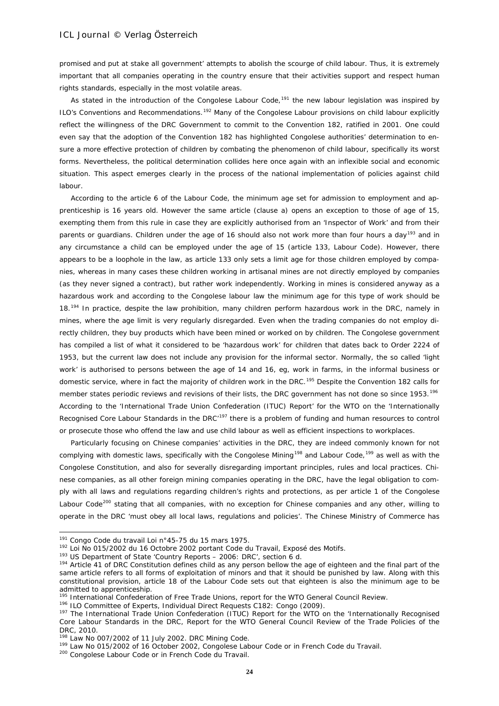promised and put at stake all government' attempts to abolish the scourge of child labour. Thus, it is extremely important that all companies operating in the country ensure that their activities support and respect human rights standards, especially in the most volatile areas.

As stated in the introduction of the Congolese Labour Code,<sup>[191](#page-23-0)</sup> the new labour legislation was inspired by ILO's Conventions and Recommendations.[192](#page-23-1) Many of the Congolese Labour provisions on child labour explicitly reflect the willingness of the DRC Government to commit to the Convention 182, ratified in 2001. One could even say that the adoption of the Convention 182 has highlighted Congolese authorities' determination to ensure a more effective protection of children by combating the phenomenon of child labour, specifically its worst forms. Nevertheless, the political determination collides here once again with an inflexible social and economic situation. This aspect emerges clearly in the process of the national implementation of policies against child labour.

According to the article 6 of the Labour Code, the minimum age set for admission to employment and apprenticeship is 16 years old. However the same article (clause a) opens an exception to those of age of 15, exempting them from this rule in case they are explicitly authorised from an 'Inspector of Work' and from their parents or guardians. Children under the age of 16 should also not work more than four hours a day<sup>[193](#page-23-2)</sup> and in any circumstance a child can be employed under the age of 15 (article 133, Labour Code). However, there appears to be a loophole in the law, as article 133 only sets a limit age for those children employed by companies, whereas in many cases these children working in artisanal mines are not directly employed by companies (as they never signed a contract), but rather work independently. Working in mines is considered anyway as a hazardous work and according to the Congolese labour law the minimum age for this type of work should be 18.<sup>[194](#page-23-3)</sup> In practice, despite the law prohibition, many children perform hazardous work in the DRC, namely in mines, where the age limit is very regularly disregarded. Even when the trading companies do not employ directly children, they buy products which have been mined or worked on by children. The Congolese government has compiled a list of what it considered to be 'hazardous work' for children that dates back to Order 2224 of 1953, but the current law does not include any provision for the informal sector. Normally, the so called 'light work' is authorised to persons between the age of 14 and 16, eg, work in farms, in the informal business or domestic service, where in fact the majority of children work in the DRC.<sup>[195](#page-23-4)</sup> Despite the Convention 182 calls for member states periodic reviews and revisions of their lists, the DRC government has not done so since 1953.<sup>[196](#page-23-5)</sup> According to the 'International Trade Union Confederation (ITUC) Report' for the WTO on the 'Internationally Recognised Core Labour Standards in the DRC'<sup>[197](#page-23-6)</sup> there is a problem of funding and human resources to control or prosecute those who offend the law and use child labour as well as efficient inspections to workplaces.

Particularly focusing on Chinese companies' activities in the DRC, they are indeed commonly known for not complying with domestic laws, specifically with the Congolese Mining<sup>[198](#page-23-7)</sup> and Labour Code,<sup>[199](#page-23-8)</sup> as well as with the Congolese Constitution, and also for severally disregarding important principles, rules and local practices. Chinese companies, as all other foreign mining companies operating in the DRC, have the legal obligation to comply with all laws and regulations regarding children's rights and protections, as per article 1 of the Congolese Labour Code<sup>[200](#page-23-9)</sup> stating that all companies, with no exception for Chinese companies and any other, willing to operate in the DRC 'must obey all local laws, regulations and policies'. The Chinese Ministry of Commerce has

<sup>&</sup>lt;sup>191</sup> Congo Code du travail Loi n°45-75 du 15 mars 1975.

<span id="page-23-1"></span><span id="page-23-0"></span><sup>192</sup> Loi No 015/2002 du 16 Octobre 2002 portant Code du Travail, Exposé des Motifs.

<sup>193</sup> US Department of State 'Country Reports - 2006: DRC', section 6 d.

<span id="page-23-3"></span><span id="page-23-2"></span><sup>194</sup> Article 41 of DRC Constitution defines child as any person bellow the age of eighteen and the final part of the same article refers to all forms of exploitation of minors and that it should be punished by law. Along with this constitutional provision, article 18 of the Labour Code sets out that eighteen is also the minimum age to be admitted to apprenticeship.

<sup>&</sup>lt;sup>195</sup> International Confederation of Free Trade Unions, report for the WTO General Council Review.

<span id="page-23-5"></span><span id="page-23-4"></span><sup>196</sup> ILO Committee of Experts, Individual Direct Requests C182: Congo (2009).

<span id="page-23-6"></span><sup>&</sup>lt;sup>197</sup> The International Trade Union Confederation (ITUC) Report for the WTO on the 'Internationally Recognised Core Labour Standards in the DRC, Report for the WTO General Council Review of the Trade Policies of the DRC, 2010.

<sup>&</sup>lt;sup>198</sup> Law No 007/2002 of 11 July 2002. DRC Mining Code.

<span id="page-23-8"></span><span id="page-23-7"></span><sup>199</sup> Law No 015/2002 of 16 October 2002, Congolese Labour Code or in French Code du Travail.

<span id="page-23-9"></span><sup>200</sup> Congolese Labour Code or in French Code du Travail.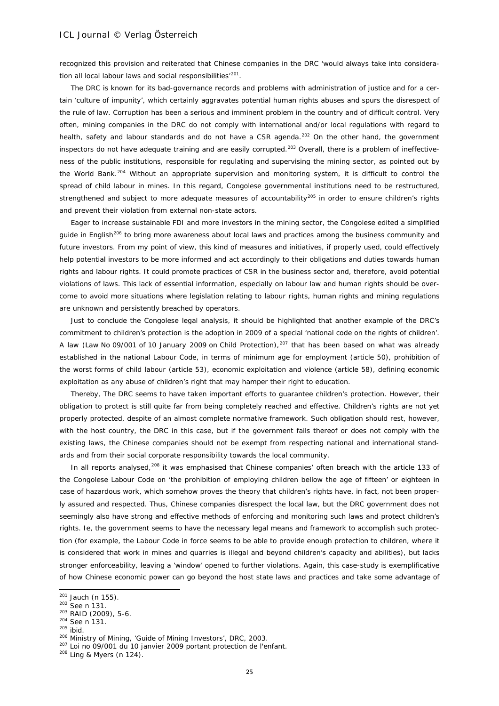recognized this provision and reiterated that Chinese companies in the DRC 'would always take into considera-tion all local labour laws and social responsibilities<sup>'[201](#page-24-0)</sup>.

The DRC is known for its bad-governance records and problems with administration of justice and for a certain 'culture of impunity', which certainly aggravates potential human rights abuses and spurs the disrespect of the rule of law. Corruption has been a serious and imminent problem in the country and of difficult control. Very often, mining companies in the DRC do not comply with international and/or local regulations with regard to health, safety and labour standards and do not have a CSR agenda.<sup>[202](#page-24-1)</sup> On the other hand, the government inspectors do not have adequate training and are easily corrupted.<sup>[203](#page-24-2)</sup> Overall, there is a problem of ineffectiveness of the public institutions, responsible for regulating and supervising the mining sector, as pointed out by the World Bank.<sup>[204](#page-24-3)</sup> Without an appropriate supervision and monitoring system, it is difficult to control the spread of child labour in mines. In this regard, Congolese governmental institutions need to be restructured, strengthened and subject to more adequate measures of accountability<sup>[205](#page-24-4)</sup> in order to ensure children's rights and prevent their violation from external non-state actors.

Eager to increase sustainable FDI and more investors in the mining sector, the Congolese edited a simplified guide in English<sup>[206](#page-24-5)</sup> to bring more awareness about local laws and practices among the business community and future investors. From my point of view, this kind of measures and initiatives, if properly used, could effectively help potential investors to be more informed and act accordingly to their obligations and duties towards human rights and labour rights. It could promote practices of CSR in the business sector and, therefore, avoid potential violations of laws. This lack of essential information, especially on labour law and human rights should be overcome to avoid more situations where legislation relating to labour rights, human rights and mining regulations are unknown and persistently breached by operators.

Just to conclude the Congolese legal analysis, it should be highlighted that another example of the DRC's commitment to children's protection is the adoption in 2009 of a special 'national code on the rights of children'. A law (Law No 09/001 of 10 January 2009 on Child Protection),  $207$  that has been based on what was already established in the national Labour Code, in terms of minimum age for employment (article 50), prohibition of the worst forms of child labour (article 53), economic exploitation and violence (article 58), defining economic exploitation as any abuse of children's right that may hamper their right to education.

Thereby, The DRC seems to have taken important efforts to guarantee children's protection. However, their obligation to protect is still quite far from being completely reached and effective. Children's rights are not yet properly protected, despite of an almost complete normative framework. Such obligation should rest, however, with the host country, the DRC in this case, but if the government fails thereof or does not comply with the existing laws, the Chinese companies should not be exempt from respecting national and international standards and from their social corporate responsibility towards the local community.

In all reports analysed,<sup>[208](#page-24-7)</sup> it was emphasised that Chinese companies' often breach with the article 133 of the Congolese Labour Code on 'the prohibition of employing children bellow the age of fifteen' or eighteen in case of hazardous work, which somehow proves the theory that children's rights have, in fact, not been properly assured and respected. Thus, Chinese companies disrespect the local law, but the DRC government does not seemingly also have strong and effective methods of enforcing and monitoring such laws and protect children's rights. Ie, the government seems to have the necessary legal means and framework to accomplish such protection (for example, the Labour Code in force seems to be able to provide enough protection to children, where it is considered that work in mines and quarries is illegal and beyond children's capacity and abilities), but lacks stronger enforceability, leaving a 'window' opened to further violations. Again, this case-study is exemplificative of how Chinese economic power can go beyond the host state laws and practices and take some advantage of

1

 $201$  Jauch (n 155).

<span id="page-24-1"></span><span id="page-24-0"></span><sup>202</sup> See n 131.

<span id="page-24-2"></span><sup>203</sup> RAID (2009), 5-6.

<span id="page-24-4"></span>

<span id="page-24-3"></span> $204$  See n 131.<br> $205$  ibid.<br> $205$  ibid.<br> $206$  Ministry of Mining, 'Guide of Mining Investors', DRC, 2003.

<span id="page-24-6"></span><span id="page-24-5"></span><sup>&</sup>lt;sup>207</sup> Loi no 09/001 du 10 janvier 2009 portant protection de l'enfant.

<span id="page-24-7"></span><sup>208</sup> Ling & Myers (n 124).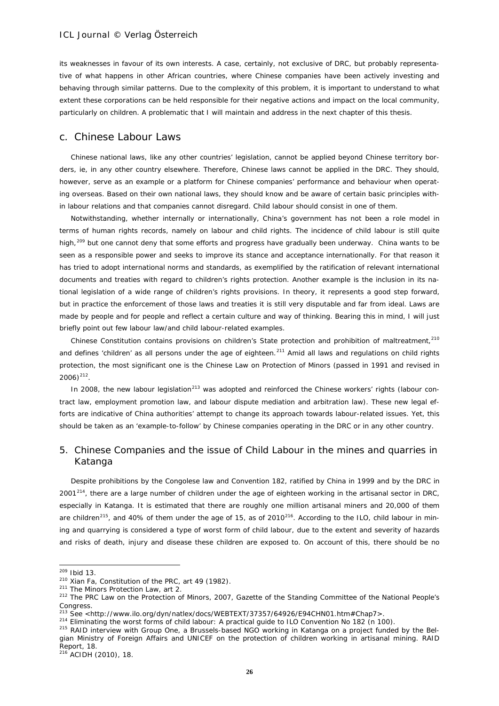its weaknesses in favour of its own interests. A case, certainly, not exclusive of DRC, but probably representative of what happens in other African countries, where Chinese companies have been actively investing and behaving through similar patterns. Due to the complexity of this problem, it is important to understand to what extent these corporations can be held responsible for their negative actions and impact on the local community, particularly on children. A problematic that I will maintain and address in the next chapter of this thesis.

## c. Chinese Labour Laws

Chinese national laws, like any other countries' legislation, cannot be applied beyond Chinese territory borders, ie, in any other country elsewhere. Therefore, Chinese laws cannot be applied in the DRC. They should, however, serve as an example or a platform for Chinese companies' performance and behaviour when operating overseas. Based on their own national laws, they should know and be aware of certain basic principles within labour relations and that companies cannot disregard. Child labour should consist in one of them.

Notwithstanding, whether internally or internationally, China's government has not been a role model in terms of human rights records, namely on labour and child rights. The incidence of child labour is still quite high,<sup>[209](#page-25-0)</sup> but one cannot deny that some efforts and progress have gradually been underway. China wants to be seen as a responsible power and seeks to improve its stance and acceptance internationally. For that reason it has tried to adopt international norms and standards, as exemplified by the ratification of relevant international documents and treaties with regard to children's rights protection. Another example is the inclusion in its national legislation of a wide range of children's rights provisions. In theory, it represents a good step forward, but in practice the enforcement of those laws and treaties it is still very disputable and far from ideal. Laws are made by people and for people and reflect a certain culture and way of thinking. Bearing this in mind, I will just briefly point out few labour law/and child labour-related examples.

Chinese Constitution contains provisions on children's State protection and prohibition of maltreatment,<sup>[210](#page-25-1)</sup> and defines 'children' as all persons under the age of eighteen.<sup>[211](#page-25-2)</sup> Amid all laws and regulations on child rights protection, the most significant one is the Chinese Law on Protection of Minors (passed in 1991 and revised in  $2006$ )<sup>[212](#page-25-3)</sup>.

In 2008, the new labour legislation<sup>[213](#page-25-4)</sup> was adopted and reinforced the Chinese workers' rights (labour contract law, employment promotion law, and labour dispute mediation and arbitration law). These new legal efforts are indicative of China authorities' attempt to change its approach towards labour-related issues. Yet, this should be taken as an 'example-to-follow' by Chinese companies operating in the DRC or in any other country.

## 5. Chinese Companies and the issue of Child Labour in the mines and quarries in Katanga

Despite prohibitions by the Congolese law and Convention 182, ratified by China in 1999 and by the DRC in 2001<sup>214</sup>, there are a large number of children under the age of eighteen working in the artisanal sector in DRC, especially in Katanga. It is estimated that there are roughly one million artisanal miners and 20,000 of them are children<sup>[215](#page-25-6)</sup>, and 40% of them under the age of 15, as of 2010<sup>216</sup>. According to the ILO, child labour in mining and quarrying is considered a type of worst form of child labour, due to the extent and severity of hazards and risks of death, injury and disease these children are exposed to. On account of this, there should be no

<span id="page-25-0"></span> $209$  Ibid 13.

<span id="page-25-1"></span><sup>&</sup>lt;sup>210</sup> Xian Fa, Constitution of the PRC, art 49 (1982).

<span id="page-25-2"></span><sup>&</sup>lt;sup>211</sup> The Minors Protection Law, art 2.

<span id="page-25-3"></span><sup>&</sup>lt;sup>212</sup> The PRC Law on the Protection of Minors, 2007, Gazette of the Standing Committee of the National People's Congress.<br><sup>213</sup> See <http://www.ilo.org/dyn/natlex/docs/WEBTEXT/37357/64926/E94CHN01.htm#Chap7>.

<span id="page-25-5"></span><span id="page-25-4"></span> $^{214}$  Eliminating the worst forms of child labour: A practical guide to ILO Convention No 182 (n 100).

<span id="page-25-6"></span><sup>&</sup>lt;sup>215</sup> RAID interview with Group One, a Brussels-based NGO working in Katanga on a project funded by the Belgian Ministry of Foreign Affairs and UNICEF on the protection of children working in artisanal mining. RAID Report, 18.

<span id="page-25-7"></span><sup>216</sup> ACIDH (2010), 18.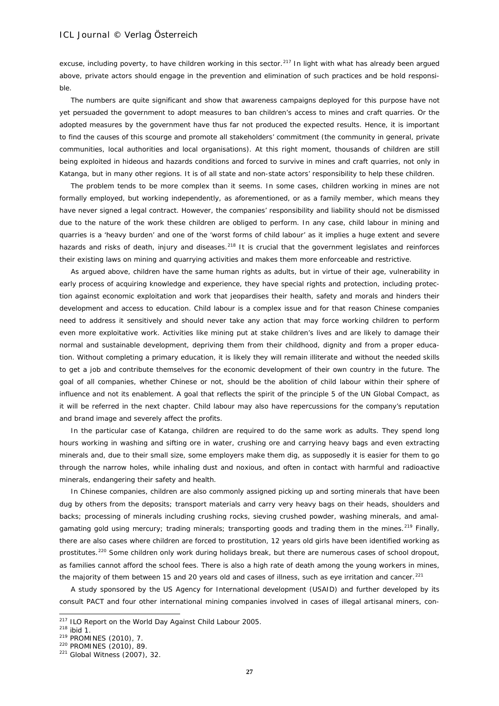excuse, including poverty, to have children working in this sector.<sup>[217](#page-26-0)</sup> In light with what has already been argued above, private actors should engage in the prevention and elimination of such practices and be hold responsible.

The numbers are quite significant and show that awareness campaigns deployed for this purpose have not yet persuaded the government to adopt measures to ban children's access to mines and craft quarries. Or the adopted measures by the government have thus far not produced the expected results. Hence, it is important to find the causes of this scourge and promote all stakeholders' commitment (the community in general, private communities, local authorities and local organisations). At this right moment, thousands of children are still being exploited in hideous and hazards conditions and forced to survive in mines and craft quarries, not only in Katanga, but in many other regions. It is of all state and non-state actors' responsibility to help these children.

The problem tends to be more complex than it seems. In some cases, children working in mines are not formally employed, but working independently, as aforementioned, or as a family member, which means they have never signed a legal contract. However, the companies' responsibility and liability should not be dismissed due to the nature of the work these children are obliged to perform. In any case, child labour in mining and quarries is a 'heavy burden' and one of the 'worst forms of child labour' as it implies a huge extent and severe hazards and risks of death, injury and diseases.<sup>[218](#page-26-1)</sup> It is crucial that the government legislates and reinforces their existing laws on mining and quarrying activities and makes them more enforceable and restrictive.

As argued above, children have the same human rights as adults, but in virtue of their age, vulnerability in early process of acquiring knowledge and experience, they have special rights and protection, including protection against economic exploitation and work that jeopardises their health, safety and morals and hinders their development and access to education. Child labour is a complex issue and for that reason Chinese companies need to address it sensitively and should never take any action that may force working children to perform even more exploitative work. Activities like mining put at stake children's lives and are likely to damage their normal and sustainable development, depriving them from their childhood, dignity and from a proper education. Without completing a primary education, it is likely they will remain illiterate and without the needed skills to get a job and contribute themselves for the economic development of their own country in the future. The goal of all companies, whether Chinese or not, should be the abolition of child labour within their sphere of influence and not its enablement. A goal that reflects the spirit of the principle 5 of the UN Global Compact, as it will be referred in the next chapter. Child labour may also have repercussions for the company's reputation and brand image and severely affect the profits.

In the particular case of Katanga, children are required to do the same work as adults. They spend long hours working in washing and sifting ore in water, crushing ore and carrying heavy bags and even extracting minerals and, due to their small size, some employers make them dig, as supposedly it is easier for them to go through the narrow holes, while inhaling dust and noxious, and often in contact with harmful and radioactive minerals, endangering their safety and health.

In Chinese companies, children are also commonly assigned picking up and sorting minerals that have been dug by others from the deposits; transport materials and carry very heavy bags on their heads, shoulders and backs; processing of minerals including crushing rocks, sieving crushed powder, washing minerals, and amal-gamating gold using mercury; trading minerals; transporting goods and trading them in the mines.<sup>[219](#page-26-2)</sup> Finally, there are also cases where children are forced to prostitution, 12 years old girls have been identified working as prostitutes.<sup>[220](#page-26-3)</sup> Some children only work during holidays break, but there are numerous cases of school dropout, as families cannot afford the school fees. There is also a high rate of death among the young workers in mines, the majority of them between 15 and 20 years old and cases of illness, such as eye irritation and cancer.<sup>[221](#page-26-4)</sup>

A study sponsored by the US Agency for International development (USAID) and further developed by its consult PACT and four other international mining companies involved in cases of illegal artisanal miners, con-

<span id="page-26-0"></span><sup>&</sup>lt;sup>217</sup> ILO Report on the World Day Against Child Labour 2005.

<span id="page-26-1"></span> $^{218}$  ibid 1.<br><sup>219</sup> PROMINES (2010), 7.

<span id="page-26-3"></span><span id="page-26-2"></span><sup>&</sup>lt;sup>220</sup> PROMINES (2010), 89.

<span id="page-26-4"></span><sup>221</sup> Global Witness (2007), 32.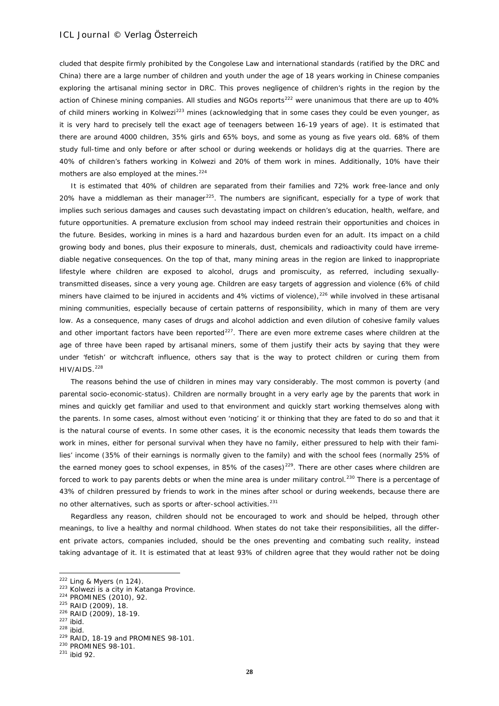cluded that despite firmly prohibited by the Congolese Law and international standards (ratified by the DRC and China) there are a large number of children and youth under the age of 18 years working in Chinese companies exploring the artisanal mining sector in DRC. This proves negligence of children's rights in the region by the action of Chinese mining companies. All studies and NGOs reports<sup>[222](#page-27-0)</sup> were unanimous that there are up to 40% of child miners working in Kolwezi<sup>[223](#page-27-1)</sup> mines (acknowledging that in some cases they could be even younger, as it is very hard to precisely tell the exact age of teenagers between 16-19 years of age). It is estimated that there are around 4000 children, 35% girls and 65% boys, and some as young as five years old. 68% of them study full-time and only before or after school or during weekends or holidays dig at the quarries. There are 40% of children's fathers working in Kolwezi and 20% of them work in mines. Additionally, 10% have their mothers are also employed at the mines.<sup>[224](#page-27-2)</sup>

It is estimated that 40% of children are separated from their families and 72% work free-lance and only 20% have a middleman as their manager<sup>225</sup>. The numbers are significant, especially for a type of work that implies such serious damages and causes such devastating impact on children's education, health, welfare, and future opportunities. A premature exclusion from school may indeed restrain their opportunities and choices in the future. Besides, working in mines is a hard and hazardous burden even for an adult. Its impact on a child growing body and bones, plus their exposure to minerals, dust, chemicals and radioactivity could have irremediable negative consequences. On the top of that, many mining areas in the region are linked to inappropriate lifestyle where children are exposed to alcohol, drugs and promiscuity, as referred, including sexuallytransmitted diseases, since a very young age. Children are easy targets of aggression and violence (6% of child miners have claimed to be injured in accidents and 4% victims of violence),<sup>[226](#page-27-4)</sup> while involved in these artisanal mining communities, especially because of certain patterns of responsibility, which in many of them are very low. As a consequence, many cases of drugs and alcohol addiction and even dilution of cohesive family values and other important factors have been reported $^{227}$  $^{227}$  $^{227}$ . There are even more extreme cases where children at the age of three have been raped by artisanal miners, some of them justify their acts by saying that they were under 'fetish' or witchcraft influence, others say that is the way to protect children or curing them from HIV/AIDS.<sup>[228](#page-27-6)</sup>

The reasons behind the use of children in mines may vary considerably. The most common is poverty (and parental socio-economic-status). Children are normally brought in a very early age by the parents that work in mines and quickly get familiar and used to that environment and quickly start working themselves along with the parents. In some cases, almost without even 'noticing' it or thinking that they are fated to do so and that it is the natural course of events. In some other cases, it is the economic necessity that leads them towards the work in mines, either for personal survival when they have no family, either pressured to help with their families' income (35% of their earnings is normally given to the family) and with the school fees (normally 25% of the earned money goes to school expenses, in 85% of the cases)<sup>[229](#page-27-7)</sup>. There are other cases where children are forced to work to pay parents debts or when the mine area is under military control.<sup>[230](#page-27-8)</sup> There is a percentage of 43% of children pressured by friends to work in the mines after school or during weekends, because there are no other alternatives, such as sports or after-school activities.<sup>[231](#page-27-9)</sup>

Regardless any reason, children should not be encouraged to work and should be helped, through other meanings, to live a healthy and normal childhood. When states do not take their responsibilities, all the different private actors, companies included, should be the ones preventing and combating such reality, instead taking advantage of it. It is estimated that at least 93% of children agree that they would rather not be doing

 $222$  Ling & Myers (n 124).

<span id="page-27-1"></span><span id="page-27-0"></span> $223$  Kolwezi is a city in Katanga Province.<br> $224$  PROMINES (2010), 92.

<span id="page-27-2"></span><sup>225</sup> RAID (2009), 18.

<span id="page-27-5"></span><span id="page-27-4"></span><span id="page-27-3"></span> $^{226}$  RAID (2009), 18-19.<br> $^{227}$  ihid

<span id="page-27-6"></span> $228$  ibid.

<span id="page-27-7"></span><sup>229</sup> RAID, 18-19 and PROMINES 98-101.

<span id="page-27-8"></span><sup>230</sup> PROMINES 98-101.

<span id="page-27-9"></span><sup>231</sup> ibid 92.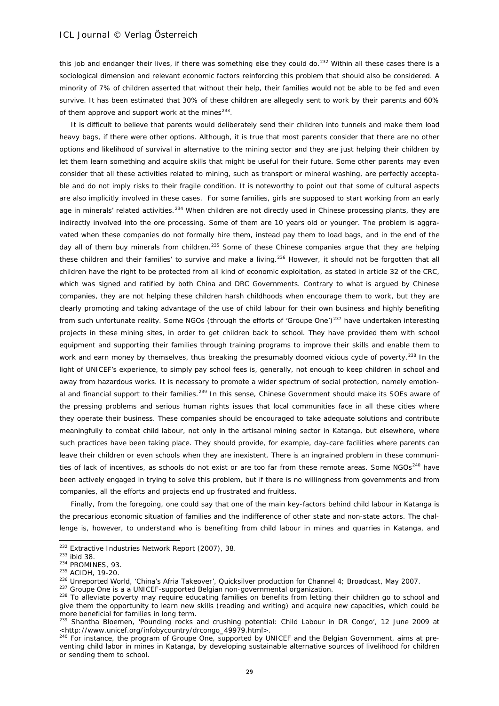this job and endanger their lives, if there was something else they could do.<sup>[232](#page-28-0)</sup> Within all these cases there is a sociological dimension and relevant economic factors reinforcing this problem that should also be considered. A minority of 7% of children asserted that without their help, their families would not be able to be fed and even survive. It has been estimated that 30% of these children are allegedly sent to work by their parents and 60% of them approve and support work at the mines $^{233}$ .

It is difficult to believe that parents would deliberately send their children into tunnels and make them load heavy bags, if there were other options. Although, it is true that most parents consider that there are no other options and likelihood of survival in alternative to the mining sector and they are just helping their children by let them learn something and acquire skills that might be useful for their future. Some other parents may even consider that all these activities related to mining, such as transport or mineral washing, are perfectly acceptable and do not imply risks to their fragile condition. It is noteworthy to point out that some of cultural aspects are also implicitly involved in these cases. For some families, girls are supposed to start working from an early age in minerals' related activities.<sup>[234](#page-28-2)</sup> When children are not directly used in Chinese processing plants, they are indirectly involved into the ore processing. Some of them are 10 years old or younger. The problem is aggravated when these companies do not formally hire them, instead pay them to load bags, and in the end of the day all of them buy minerals from children.<sup>[235](#page-28-3)</sup> Some of these Chinese companies argue that they are helping these children and their families' to survive and make a living.<sup>[236](#page-28-4)</sup> However, it should not be forgotten that all children have the right to be protected from all kind of economic exploitation, as stated in article 32 of the CRC, which was signed and ratified by both China and DRC Governments. Contrary to what is argued by Chinese companies, they are not helping these children harsh childhoods when encourage them to work, but they are clearly promoting and taking advantage of the use of child labour for their own business and highly benefiting from such unfortunate reality. Some NGOs (through the efforts of 'Groupe One')<sup>[237](#page-28-5)</sup> have undertaken interesting projects in these mining sites, in order to get children back to school. They have provided them with school equipment and supporting their families through training programs to improve their skills and enable them to work and earn money by themselves, thus breaking the presumably doomed vicious cycle of poverty.<sup>[238](#page-28-6)</sup> In the light of UNICEF's experience, to simply pay school fees is, generally, not enough to keep children in school and away from hazardous works. It is necessary to promote a wider spectrum of social protection, namely emotion-al and financial support to their families.<sup>[239](#page-28-7)</sup> In this sense, Chinese Government should make its SOEs aware of the pressing problems and serious human rights issues that local communities face in all these cities where they operate their business. These companies should be encouraged to take adequate solutions and contribute meaningfully to combat child labour, not only in the artisanal mining sector in Katanga, but elsewhere, where such practices have been taking place. They should provide, for example, day-care facilities where parents can leave their children or even schools when they are inexistent. There is an ingrained problem in these communi-ties of lack of incentives, as schools do not exist or are too far from these remote areas. Some NGOs<sup>[240](#page-28-8)</sup> have been actively engaged in trying to solve this problem, but if there is no willingness from governments and from companies, all the efforts and projects end up frustrated and fruitless.

Finally, from the foregoing, one could say that one of the main key-factors behind child labour in Katanga is the precarious economic situation of families and the indifference of other state and non-state actors. The challenge is, however, to understand who is benefiting from child labour in mines and quarries in Katanga, and

<sup>&</sup>lt;sup>232</sup> Extractive Industries Network Report (2007), 38.<br><sup>233</sup> ibid 38.

<span id="page-28-2"></span><span id="page-28-1"></span><span id="page-28-0"></span> $^{233}$  ibid 38.<br> $^{234}$  PROMINES, 93.

<span id="page-28-3"></span><sup>235</sup> ACIDH, 19-20.

<span id="page-28-4"></span> $^{236}$  Unreported World, 'China's Afria Takeover', Quicksilver production for Channel 4; Broadcast, May 2007.<br> $^{237}$  Groupe One is a a UNICEF-supported Belgian non-governmental organization.

<span id="page-28-6"></span><span id="page-28-5"></span><sup>&</sup>lt;sup>238</sup> To alleviate poverty may require educating families on benefits from letting their children go to school and give them the opportunity to learn new skills (reading and writing) and acquire new capacities, which could be more beneficial for families in long term.

<span id="page-28-7"></span><sup>&</sup>lt;sup>239</sup> Shantha Bloemen, 'Pounding rocks and crushing potential: Child Labour in DR Congo', 12 June 2009 at <http://www.unicef.org/infobycountry/drcongo\_49979.html>.

<span id="page-28-8"></span><sup>&</sup>lt;sup>240</sup> For instance, the program of Groupe One, supported by UNICEF and the Belgian Government, aims at preventing child labor in mines in Katanga, by developing sustainable alternative sources of livelihood for children or sending them to school.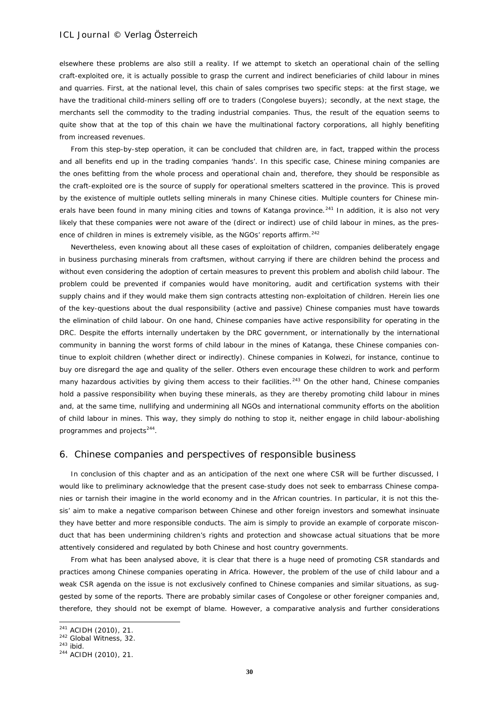elsewhere these problems are also still a reality. If we attempt to sketch an operational chain of the selling craft-exploited ore, it is actually possible to grasp the current and indirect beneficiaries of child labour in mines and quarries. First, at the national level, this chain of sales comprises two specific steps: at the first stage, we have the traditional child-miners selling off ore to traders (Congolese buyers); secondly, at the next stage, the merchants sell the commodity to the trading industrial companies. Thus, the result of the equation seems to quite show that at the top of this chain we have the multinational factory corporations, all highly benefiting from increased revenues.

From this step-by-step operation, it can be concluded that children are, in fact, trapped within the process and all benefits end up in the trading companies 'hands'. In this specific case, Chinese mining companies are the ones befitting from the whole process and operational chain and, therefore, they should be responsible as the craft-exploited ore is the source of supply for operational smelters scattered in the province. This is proved by the existence of multiple outlets selling minerals in many Chinese cities. Multiple counters for Chinese min-erals have been found in many mining cities and towns of Katanga province.<sup>[241](#page-29-0)</sup> In addition, it is also not very likely that these companies were not aware of the (direct or indirect) use of child labour in mines, as the pres-ence of children in mines is extremely visible, as the NGOs' reports affirm.<sup>[242](#page-29-1)</sup>

Nevertheless, even knowing about all these cases of exploitation of children, companies deliberately engage in business purchasing minerals from craftsmen, without carrying if there are children behind the process and without even considering the adoption of certain measures to prevent this problem and abolish child labour. The problem could be prevented if companies would have monitoring, audit and certification systems with their supply chains and if they would make them sign contracts attesting non-exploitation of children. Herein lies one of the key-questions about the dual responsibility (active and passive) Chinese companies must have towards the elimination of child labour. On one hand, Chinese companies have active responsibility for operating in the DRC. Despite the efforts internally undertaken by the DRC government, or internationally by the international community in banning the worst forms of child labour in the mines of Katanga, these Chinese companies continue to exploit children (whether direct or indirectly). Chinese companies in Kolwezi, for instance, continue to buy ore disregard the age and quality of the seller. Others even encourage these children to work and perform many hazardous activities by giving them access to their facilities.<sup>[243](#page-29-2)</sup> On the other hand, Chinese companies hold a passive responsibility when buying these minerals, as they are thereby promoting child labour in mines and, at the same time, nullifying and undermining all NGOs and international community efforts on the abolition of child labour in mines. This way, they simply do nothing to stop it, neither engage in child labour-abolishing programmes and projects<sup>244</sup>.

### 6. Chinese companies and perspectives of responsible business

In conclusion of this chapter and as an anticipation of the next one where CSR will be further discussed, I would like to preliminary acknowledge that the present case-study does not seek to embarrass Chinese companies or tarnish their imagine in the world economy and in the African countries. In particular, it is not this thesis' aim to make a negative comparison between Chinese and other foreign investors and somewhat insinuate they have better and more responsible conducts. The aim is simply to provide an example of corporate misconduct that has been undermining children's rights and protection and showcase actual situations that be more attentively considered and regulated by both Chinese and host country governments.

From what has been analysed above, it is clear that there is a huge need of promoting CSR standards and practices among Chinese companies operating in Africa. However, the problem of the use of child labour and a weak CSR agenda on the issue is not exclusively confined to Chinese companies and similar situations, as suggested by some of the reports. There are probably similar cases of Congolese or other foreigner companies and, therefore, they should not be exempt of blame. However, a comparative analysis and further considerations

 $241$  ACIDH (2010), 21.

<span id="page-29-1"></span><span id="page-29-0"></span><sup>&</sup>lt;sup>242</sup> Global Witness, 32.

<span id="page-29-2"></span> $243$  ibid.

<span id="page-29-3"></span><sup>244</sup> ACIDH (2010), 21.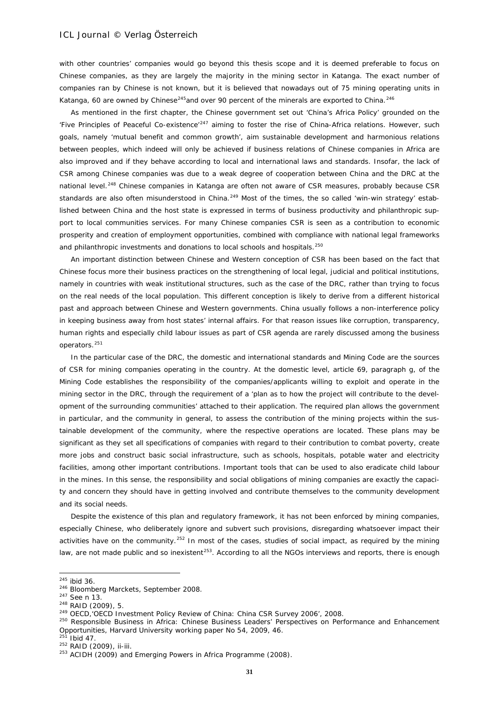with other countries' companies would go beyond this thesis scope and it is deemed preferable to focus on Chinese companies, as they are largely the majority in the mining sector in Katanga. The exact number of companies ran by Chinese is not known, but it is believed that nowadays out of 75 mining operating units in Katanga, 60 are owned by Chinese<sup>[245](#page-30-0)</sup>and over 90 percent of the minerals are exported to China.<sup>[246](#page-30-1)</sup>

As mentioned in the first chapter, the Chinese government set out 'China's Africa Policy' grounded on the 'Five Principles of Peaceful Co-existence<sup>'[247](#page-30-2)</sup> aiming to foster the rise of China-Africa relations. However, such goals, namely 'mutual benefit and common growth', aim sustainable development and harmonious relations between peoples, which indeed will only be achieved if business relations of Chinese companies in Africa are also improved and if they behave according to local and international laws and standards. Insofar, the lack of CSR among Chinese companies was due to a weak degree of cooperation between China and the DRC at the national level.<sup>[248](#page-30-3)</sup> Chinese companies in Katanga are often not aware of CSR measures, probably because CSR standards are also often misunderstood in China.<sup>[249](#page-30-4)</sup> Most of the times, the so called 'win-win strategy' established between China and the host state is expressed in terms of business productivity and philanthropic support to local communities services. For many Chinese companies CSR is seen as a contribution to economic prosperity and creation of employment opportunities, combined with compliance with national legal frameworks and philanthropic investments and donations to local schools and hospitals.<sup>[250](#page-30-5)</sup>

An important distinction between Chinese and Western conception of CSR has been based on the fact that Chinese focus more their business practices on the strengthening of local legal, judicial and political institutions, namely in countries with weak institutional structures, such as the case of the DRC, rather than trying to focus on the real needs of the local population. This different conception is likely to derive from a different historical past and approach between Chinese and Western governments. China usually follows a non-interference policy in keeping business away from host states' internal affairs. For that reason issues like corruption, transparency, human rights and especially child labour issues as part of CSR agenda are rarely discussed among the business operators.<sup>[251](#page-30-6)</sup>

In the particular case of the DRC, the domestic and international standards and Mining Code are the sources of CSR for mining companies operating in the country. At the domestic level, article 69, paragraph g, of the Mining Code establishes the responsibility of the companies/applicants willing to exploit and operate in the mining sector in the DRC, through the requirement of a 'plan as to how the project will contribute to the development of the surrounding communities' attached to their application. The required plan allows the government in particular, and the community in general, to assess the contribution of the mining projects within the sustainable development of the community, where the respective operations are located. These plans may be significant as they set all specifications of companies with regard to their contribution to combat poverty, create more jobs and construct basic social infrastructure, such as schools, hospitals, potable water and electricity facilities, among other important contributions. Important tools that can be used to also eradicate child labour in the mines. In this sense, the responsibility and social obligations of mining companies are exactly the capacity and concern they should have in getting involved and contribute themselves to the community development and its social needs.

Despite the existence of this plan and regulatory framework, it has not been enforced by mining companies, especially Chinese, who deliberately ignore and subvert such provisions, disregarding whatsoever impact their activities have on the community.<sup>[252](#page-30-7)</sup> In most of the cases, studies of social impact, as required by the mining law, are not made public and so inexistent<sup>253</sup>. According to all the NGOs interviews and reports, there is enough

<span id="page-30-0"></span> $245$  ibid 36.

<span id="page-30-1"></span><sup>246</sup> Bloomberg Marckets, September 2008.

<span id="page-30-2"></span> $^{247}$  See n 13.<br> $^{248}$  RAID (2009), 5.

<span id="page-30-4"></span><span id="page-30-3"></span><sup>&</sup>lt;sup>249</sup> OECD, OECD Investment Policy Review of China: China CSR Survey 2006', 2008.

<span id="page-30-5"></span><sup>&</sup>lt;sup>250</sup> Responsible Business in Africa: Chinese Business Leaders' Perspectives on Performance and Enhancement Opportunities, Harvard University working paper No 54, 2009, 46.

<span id="page-30-6"></span> $251$  Ibid 47.

<span id="page-30-7"></span><sup>252</sup> RAID (2009), ii-iii.

<span id="page-30-8"></span><sup>&</sup>lt;sup>253</sup> ACIDH (2009) and Emerging Powers in Africa Programme (2008).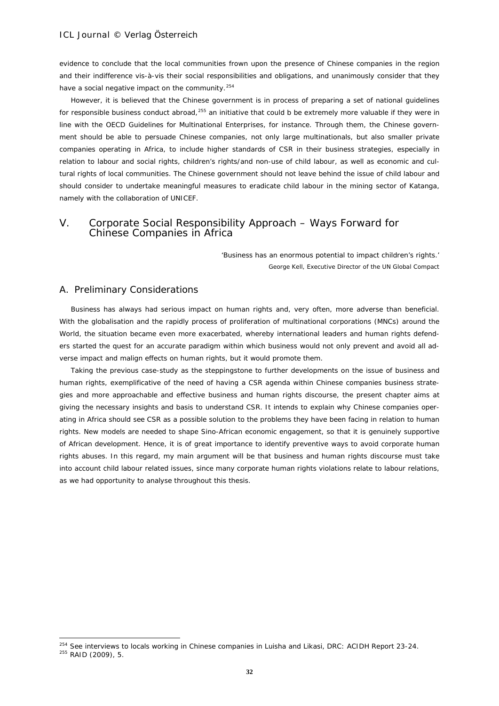evidence to conclude that the local communities frown upon the presence of Chinese companies in the region and their indifference vis-à-vis their social responsibilities and obligations, and unanimously consider that they have a social negative impact on the community.<sup>[254](#page-31-0)</sup>

However, it is believed that the Chinese government is in process of preparing a set of national guidelines for responsible business conduct abroad,<sup>[255](#page-31-1)</sup> an initiative that could b be extremely more valuable if they were in line with the OECD Guidelines for Multinational Enterprises, for instance. Through them, the Chinese government should be able to persuade Chinese companies, not only large multinationals, but also smaller private companies operating in Africa, to include higher standards of CSR in their business strategies, especially in relation to labour and social rights, children's rights/and non-use of child labour, as well as economic and cultural rights of local communities. The Chinese government should not leave behind the issue of child labour and should consider to undertake meaningful measures to eradicate child labour in the mining sector of Katanga, namely with the collaboration of UNICEF.

# V. Corporate Social Responsibility Approach – Ways Forward for Chinese Companies in Africa

*'Business has an enormous potential to impact children's rights.'* George Kell, Executive Director of the UN Global Compact

# A. Preliminary Considerations

-

Business has always had serious impact on human rights and, very often, more adverse than beneficial. With the globalisation and the rapidly process of proliferation of multinational corporations (MNCs) around the World, the situation became even more exacerbated, whereby international leaders and human rights defenders started the quest for an accurate paradigm within which business would not only prevent and avoid all adverse impact and malign effects on human rights, but it would promote them.

Taking the previous case-study as the steppingstone to further developments on the issue of business and human rights, exemplificative of the need of having a CSR agenda within Chinese companies business strategies and more approachable and effective business and human rights discourse, the present chapter aims at giving the necessary insights and basis to understand CSR. It intends to explain why Chinese companies operating in Africa should see CSR as a possible solution to the problems they have been facing in relation to human rights. New models are needed to shape Sino-African economic engagement, so that it is genuinely supportive of African development. Hence, it is of great importance to identify preventive ways to avoid corporate human rights abuses. In this regard, my main argument will be that business and human rights discourse must take into account child labour related issues, since many corporate human rights violations relate to labour relations, as we had opportunity to analyse throughout this thesis.

<span id="page-31-1"></span><span id="page-31-0"></span><sup>&</sup>lt;sup>254</sup> See interviews to locals working in Chinese companies in Luisha and Likasi, DRC: ACIDH Report 23-24. <sup>255</sup> RAID (2009), 5.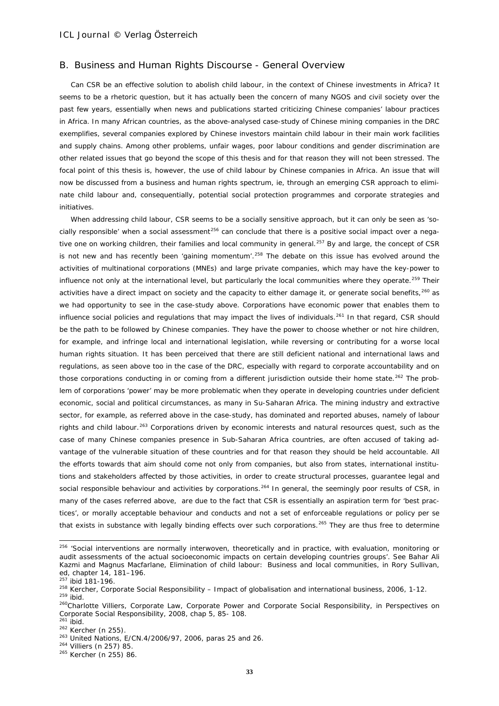## B. Business and Human Rights Discourse - General Overview

Can CSR be an effective solution to abolish child labour, in the context of Chinese investments in Africa? It seems to be a rhetoric question, but it has actually been the concern of many NGOS and civil society over the past few years, essentially when news and publications started criticizing Chinese companies' labour practices in Africa. In many African countries, as the above-analysed case-study of Chinese mining companies in the DRC exemplifies, several companies explored by Chinese investors maintain child labour in their main work facilities and supply chains. Among other problems, unfair wages, poor labour conditions and gender discrimination are other related issues that go beyond the scope of this thesis and for that reason they will not been stressed. The focal point of this thesis is, however, the use of child labour by Chinese companies in Africa. An issue that will now be discussed from a business and human rights spectrum, ie, through an emerging CSR approach to eliminate child labour and, consequentially, potential social protection programmes and corporate strategies and initiatives.

When addressing child labour, CSR seems to be a socially sensitive approach, but it can only be seen as 'socially responsible' when a social assessment $256$  can conclude that there is a positive social impact over a nega-tive one on working children, their families and local community in general.<sup>[257](#page-32-1)</sup> By and large, the concept of CSR is not new and has recently been 'gaining momentum'.<sup>[258](#page-32-2)</sup> The debate on this issue has evolved around the activities of multinational corporations (MNEs) and large private companies, which may have the key-power to influence not only at the international level, but particularly the local communities where they operate.<sup>[259](#page-32-3)</sup> Their activities have a direct impact on society and the capacity to either damage it, or generate social benefits, $260$  as we had opportunity to see in the case-study above. Corporations have economic power that enables them to influence social policies and regulations that may impact the lives of individuals.<sup>[261](#page-32-5)</sup> In that regard, CSR should be the path to be followed by Chinese companies. They have the power to choose whether or not hire children, for example, and infringe local and international legislation, while reversing or contributing for a worse local human rights situation. It has been perceived that there are still deficient national and international laws and regulations, as seen above too in the case of the DRC, especially with regard to corporate accountability and on those corporations conducting in or coming from a different jurisdiction outside their home state.<sup>[262](#page-32-6)</sup> The problem of corporations 'power' may be more problematic when they operate in developing countries under deficient economic, social and political circumstances, as many in Su-Saharan Africa. The mining industry and extractive sector, for example, as referred above in the case-study, has dominated and reported abuses, namely of labour rights and child labour.<sup>[263](#page-32-7)</sup> Corporations driven by economic interests and natural resources quest, such as the case of many Chinese companies presence in Sub-Saharan Africa countries, are often accused of taking advantage of the vulnerable situation of these countries and for that reason they should be held accountable. All the efforts towards that aim should come not only from companies, but also from states, international institutions and stakeholders affected by those activities, in order to create structural processes, guarantee legal and social responsible behaviour and activities by corporations.<sup>[264](#page-32-8)</sup> In general, the seemingly poor results of CSR, in many of the cases referred above, are due to the fact that CSR is essentially an aspiration term for 'best practices', or morally acceptable behaviour and conducts and not a set of enforceable regulations or policy per se that exists in substance with legally binding effects over such corporations.<sup>[265](#page-32-9)</sup> They are thus free to determine

<span id="page-32-0"></span><sup>&</sup>lt;sup>256</sup> 'Social interventions are normally interwoven, theoretically and in practice, with evaluation, monitoring or audit assessments of the actual socioeconomic impacts on certain developing countries groups'. See Bahar Ali Kazmi and Magnus Macfarlane, Elimination of child labour: Business and local communities, in Rory Sullivan, ed, chapter 14, 181–196.

<sup>257</sup> ibid 181-196.

<span id="page-32-2"></span><span id="page-32-1"></span><sup>&</sup>lt;sup>258</sup> Kercher, Corporate Social Responsibility – Impact of globalisation and international business, 2006, 1-12.  $259$  ibid.

<span id="page-32-4"></span><span id="page-32-3"></span><sup>260</sup>Charlotte Villiers, Corporate Law, Corporate Power and Corporate Social Responsibility, in Perspectives on Corporate Social Responsibility, 2008, chap 5, 85- 108.

<span id="page-32-6"></span><span id="page-32-5"></span><sup>&</sup>lt;sup>262</sup> Kercher (n 255). <sup>262</sup> Kercher (n 255). <sup>263</sup> United Nations, E/CN.4/2006/97, 2006, paras 25 and 26.

<span id="page-32-8"></span><span id="page-32-7"></span><sup>264</sup> Villiers (n 257) 85.

<span id="page-32-9"></span><sup>265</sup> Kercher (n 255) 86.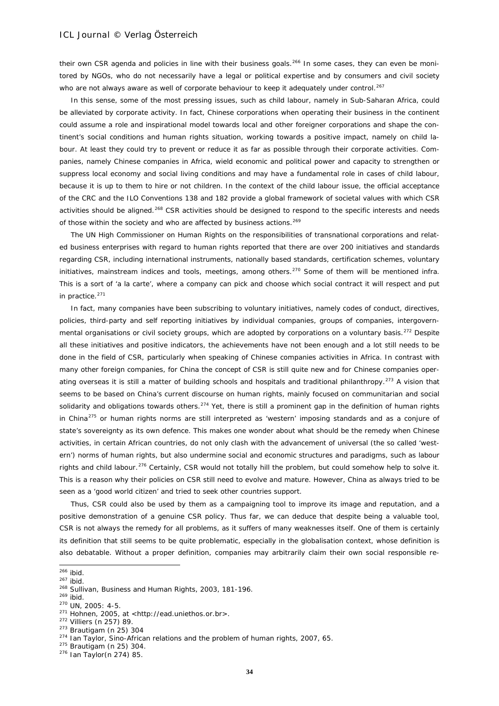their own CSR agenda and policies in line with their business goals.<sup>[266](#page-33-0)</sup> In some cases, they can even be monitored by NGOs, who do not necessarily have a legal or political expertise and by consumers and civil society who are not always aware as well of corporate behaviour to keep it adequately under control.<sup>[267](#page-33-1)</sup>

In this sense, some of the most pressing issues, such as child labour, namely in Sub-Saharan Africa, could be alleviated by corporate activity. In fact, Chinese corporations when operating their business in the continent could assume a role and inspirational model towards local and other foreigner corporations and shape the continent's social conditions and human rights situation, working towards a positive impact, namely on child labour. At least they could try to prevent or reduce it as far as possible through their corporate activities. Companies, namely Chinese companies in Africa, wield economic and political power and capacity to strengthen or suppress local economy and social living conditions and may have a fundamental role in cases of child labour, because it is up to them to hire or not children. In the context of the child labour issue, the official acceptance of the CRC and the ILO Conventions 138 and 182 provide a global framework of societal values with which CSR activities should be aligned.<sup>[268](#page-33-2)</sup> CSR activities should be designed to respond to the specific interests and needs of those within the society and who are affected by business actions.<sup>[269](#page-33-3)</sup>

The UN High Commissioner on Human Rights on the responsibilities of transnational corporations and related business enterprises with regard to human rights reported that there are over 200 initiatives and standards regarding CSR, including international instruments, nationally based standards, certification schemes, voluntary initiatives, mainstream indices and tools, meetings, among others.[270](#page-33-4) Some of them will be mentioned infra. This is a sort of 'a la carte', where a company can pick and choose which social contract it will respect and put in practice. $271$ 

In fact, many companies have been subscribing to voluntary initiatives, namely codes of conduct, directives, policies, third-party and self reporting initiatives by individual companies, groups of companies, intergovern-mental organisations or civil society groups, which are adopted by corporations on a voluntary basis.<sup>[272](#page-33-6)</sup> Despite all these initiatives and positive indicators, the achievements have not been enough and a lot still needs to be done in the field of CSR, particularly when speaking of Chinese companies activities in Africa. In contrast with many other foreign companies, for China the concept of CSR is still quite new and for Chinese companies oper-ating overseas it is still a matter of building schools and hospitals and traditional philanthropy.<sup>[273](#page-33-7)</sup> A vision that seems to be based on China's current discourse on human rights, mainly focused on communitarian and social solidarity and obligations towards others.<sup>[274](#page-33-8)</sup> Yet, there is still a prominent gap in the definition of human rights in China<sup>[275](#page-33-9)</sup> or human rights norms are still interpreted as 'western' imposing standards and as a conjure of state's sovereignty as its own defence. This makes one wonder about what should be the remedy when Chinese activities, in certain African countries, do not only clash with the advancement of universal (the so called 'western') norms of human rights, but also undermine social and economic structures and paradigms, such as labour rights and child labour.<sup>[276](#page-33-10)</sup> Certainly, CSR would not totally hill the problem, but could somehow help to solve it. This is a reason why their policies on CSR still need to evolve and mature. However, China as always tried to be seen as a 'good world citizen' and tried to seek other countries support.

Thus, CSR could also be used by them as a campaigning tool to improve its image and reputation, and a positive demonstration of a genuine CSR policy. Thus far, we can deduce that despite being a valuable tool, CSR is not always the remedy for all problems, as it suffers of many weaknesses itself. One of them is certainly its definition that still seems to be quite problematic, especially in the globalisation context, whose definition is also debatable. Without a proper definition, companies may arbitrarily claim their own social responsible re-

<span id="page-33-0"></span> $266$  ibid.

<span id="page-33-2"></span><span id="page-33-1"></span><sup>&</sup>lt;sup>267</sup> ibid.<br><sup>268</sup> Sullivan, Business and Human Rights, 2003, 181-196.<br><sup>269</sup> ibid.

<span id="page-33-4"></span><span id="page-33-3"></span> $270$  UN, 2005: 4-5.

<span id="page-33-5"></span><sup>271</sup> Hohnen, 2005, at <http://ead.uniethos.or.br>.

<span id="page-33-6"></span><sup>272</sup> Villiers (n 257) 89.

<span id="page-33-7"></span><sup>273</sup> Brautigam (n 25) 304

<span id="page-33-8"></span><sup>&</sup>lt;sup>274</sup> Ian Taylor, Sino-African relations and the problem of human rights, 2007, 65.

<span id="page-33-9"></span><sup>275</sup> Brautigam (n 25) 304.

<span id="page-33-10"></span><sup>276</sup> Ian Taylor(n 274) 85.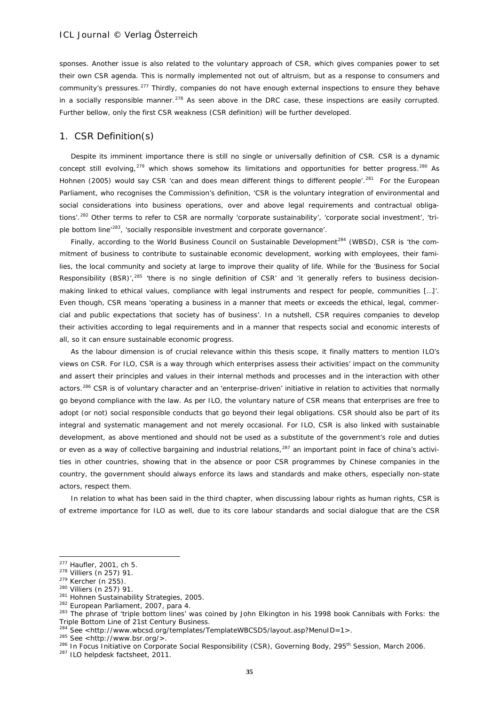sponses. Another issue is also related to the voluntary approach of CSR, which gives companies power to set their own CSR agenda. This is normally implemented not out of altruism, but as a response to consumers and community's pressures.<sup>[277](#page-34-0)</sup> Thirdly, companies do not have enough external inspections to ensure they behave in a socially responsible manner.<sup>[278](#page-34-1)</sup> As seen above in the DRC case, these inspections are easily corrupted. Further bellow, only the first CSR weakness (CSR definition) will be further developed.

### 1. CSR Definition(s)

Despite its imminent importance there is still no single or universally definition of CSR. CSR is a dynamic concept still evolving, $279$  which shows somehow its limitations and opportunities for better progress.  $280$  As Hohnen (2005) would say CSR 'can and does mean different things to different people'.<sup>[281](#page-34-4)</sup> For the European Parliament, who recognises the Commission's definition, 'CSR is the voluntary integration of environmental and social considerations into business operations, over and above legal requirements and contractual obliga-tions'.<sup>[282](#page-34-5)</sup> Other terms to refer to CSR are normally 'corporate sustainability', 'corporate social investment', 'triple bottom line<sup>'283</sup>, 'socially responsible investment and corporate governance'.

Finally, according to the World Business Council on Sustainable Development<sup>[284](#page-34-7)</sup> (WBSD), CSR is 'the commitment of business to contribute to sustainable economic development, working with employees, their families, the local community and society at large to improve their quality of life. While for the 'Business for Social Responsibility (BSR)',<sup>[285](#page-34-8)</sup> 'there is no single definition of CSR' and 'it generally refers to business decisionmaking linked to ethical values, compliance with legal instruments and respect for people, communities […]'. Even though, CSR means 'operating a business in a manner that meets or exceeds the ethical, legal, commercial and public expectations that society has of business'. In a nutshell, CSR requires companies to develop their activities according to legal requirements and in a manner that respects social and economic interests of all, so it can ensure sustainable economic progress.

As the labour dimension is of crucial relevance within this thesis scope, it finally matters to mention ILO's views on CSR. For ILO, CSR is a way through which enterprises assess their activities' impact on the community and assert their principles and values in their internal methods and processes and in the interaction with other actors.<sup>[286](#page-34-9)</sup> CSR is of voluntary character and an 'enterprise-driven' initiative in relation to activities that normally go beyond compliance with the law. As per ILO, the voluntary nature of CSR means that enterprises are free to adopt (or not) social responsible conducts that go beyond their legal obligations. CSR should also be part of its integral and systematic management and not merely occasional. For ILO, CSR is also linked with sustainable development, as above mentioned and should not be used as a substitute of the government's role and duties or even as a way of collective bargaining and industrial relations,<sup>[287](#page-34-10)</sup> an important point in face of china's activities in other countries, showing that in the absence or poor CSR programmes by Chinese companies in the country, the government should always enforce its laws and standards and make others, especially non-state actors, respect them.

In relation to what has been said in the third chapter, when discussing labour rights as human rights, CSR is of extreme importance for ILO as well, due to its core labour standards and social dialogue that are the CSR

<sup>&</sup>lt;sup>277</sup> Haufler, 2001, ch 5.<br><sup>278</sup> Villiers (n 257) 91.

<span id="page-34-2"></span><span id="page-34-1"></span><span id="page-34-0"></span> $^{278}$  Villiers (n 257) 91.<br> $^{279}$  Kercher (n 255).

<span id="page-34-3"></span><sup>280</sup> Villiers (n 257) 91.

<span id="page-34-4"></span><sup>&</sup>lt;sup>281</sup> Hohnen Sustainability Strategies, 2005.

<span id="page-34-5"></span><sup>&</sup>lt;sup>282</sup> European Parliament, 2007, para 4.

<span id="page-34-6"></span><sup>&</sup>lt;sup>283</sup> The phrase of 'triple bottom lines' was coined by John Elkington in his 1998 book Cannibals with Forks: the Triple Bottom Line of 21st Century Business.<br>
<sup>284</sup> See <http://www.wbcsd.org/templates/TemplateWBCSD5/layout.asp?MenuID=1>.

<span id="page-34-7"></span>

<span id="page-34-8"></span><sup>&</sup>lt;sup>285</sup> See <http://www.bsr.org/>.<br><sup>285</sup> See <http://www.bsr.org/>. 2006.<br><sup>286</sup> In Focus Initiative on Corporate Social Responsibility (CSR), Governing Body, 295<sup>th</sup> Session, March 2006.

<span id="page-34-10"></span><span id="page-34-9"></span><sup>287</sup> ILO helpdesk factsheet, 2011.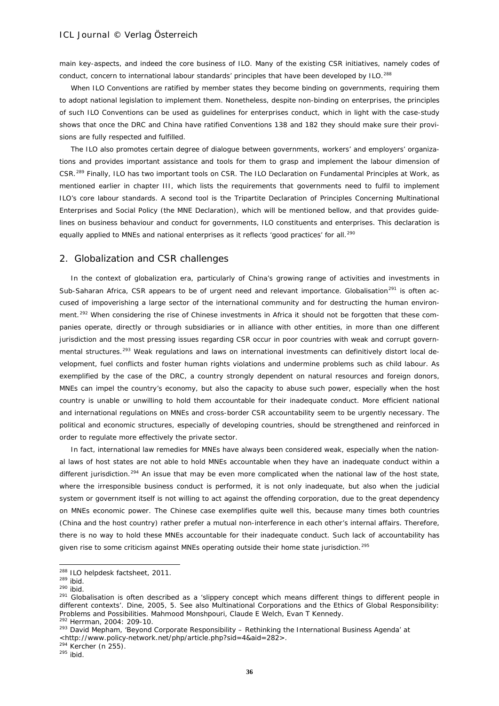main key-aspects, and indeed the core business of ILO. Many of the existing CSR initiatives, namely codes of conduct, concern to international labour standards' principles that have been developed by ILO.<sup>[288](#page-35-0)</sup>

When ILO Conventions are ratified by member states they become binding on governments, requiring them to adopt national legislation to implement them. Nonetheless, despite non-binding on enterprises, the principles of such ILO Conventions can be used as guidelines for enterprises conduct, which in light with the case-study shows that once the DRC and China have ratified Conventions 138 and 182 they should make sure their provisions are fully respected and fulfilled.

The ILO also promotes certain degree of dialogue between governments, workers' and employers' organizations and provides important assistance and tools for them to grasp and implement the labour dimension of CSR.[289](#page-35-1) Finally, ILO has two important tools on CSR. The ILO Declaration on Fundamental Principles at Work, as mentioned earlier in chapter III, which lists the requirements that governments need to fulfil to implement ILO's core labour standards. A second tool is the Tripartite Declaration of Principles Concerning Multinational Enterprises and Social Policy (the MNE Declaration), which will be mentioned bellow, and that provides guidelines on business behaviour and conduct for governments, ILO constituents and enterprises. This declaration is equally applied to MNEs and national enterprises as it reflects 'good practices' for all.<sup>[290](#page-35-2)</sup>

### 2. Globalization and CSR challenges

In the context of globalization era, particularly of China's growing range of activities and investments in Sub-Saharan Africa, CSR appears to be of urgent need and relevant importance. Globalisation<sup>[291](#page-35-3)</sup> is often accused of impoverishing a large sector of the international community and for destructing the human environ-ment.<sup>[292](#page-35-4)</sup> When considering the rise of Chinese investments in Africa it should not be forgotten that these companies operate, directly or through subsidiaries or in alliance with other entities, in more than one different jurisdiction and the most pressing issues regarding CSR occur in poor countries with weak and corrupt govern-mental structures.<sup>[293](#page-35-5)</sup> Weak regulations and laws on international investments can definitively distort local development, fuel conflicts and foster human rights violations and undermine problems such as child labour. As exemplified by the case of the DRC, a country strongly dependent on natural resources and foreign donors, MNEs can impel the country's economy, but also the capacity to abuse such power, especially when the host country is unable or unwilling to hold them accountable for their inadequate conduct. More efficient national and international regulations on MNEs and cross-border CSR accountability seem to be urgently necessary. The political and economic structures, especially of developing countries, should be strengthened and reinforced in order to regulate more effectively the private sector.

In fact, international law remedies for MNEs have always been considered weak, especially when the national laws of host states are not able to hold MNEs accountable when they have an inadequate conduct within a different jurisdiction.<sup>[294](#page-35-6)</sup> An issue that may be even more complicated when the national law of the host state, where the irresponsible business conduct is performed, it is not only inadequate, but also when the judicial system or government itself is not willing to act against the offending corporation, due to the great dependency on MNEs economic power. The Chinese case exemplifies quite well this, because many times both countries (China and the host country) rather prefer a mutual non-interference in each other's internal affairs. Therefore, there is no way to hold these MNEs accountable for their inadequate conduct. Such lack of accountability has given rise to some criticism against MNEs operating outside their home state jurisdiction.<sup>[295](#page-35-7)</sup>

1

<span id="page-35-6"></span>

<sup>&</sup>lt;sup>288</sup> ILO helpdesk factsheet, 2011.

<span id="page-35-3"></span>

<span id="page-35-2"></span><span id="page-35-1"></span><span id="page-35-0"></span><sup>289</sup> ibid.<br>
<sup>289</sup> ibid.<br>
<sup>290</sup> ibid.<br>
<sup>291</sup> Globalisation is often described as a 'slippery concept which means different things to different people in different contexts'. Dine, 2005, 5. See also Multinational Corporations and the Ethics of Global Responsibility: Problems and Possibilities. Mahmood Monshpouri, Claude E Welch, Evan T Kennedy.

<span id="page-35-4"></span><sup>292</sup> Herrman, 2004: 209-10.

<span id="page-35-5"></span><sup>&</sup>lt;sup>293</sup> David Mepham, 'Beyond Corporate Responsibility - Rethinking the International Business Agenda' at  $\lt$ http://www.policy-network.net/php/article.php?sid=4&aid=282>.<br><sup>294</sup> Kercher (n 255). <sup>295</sup> ibid.

<span id="page-35-7"></span>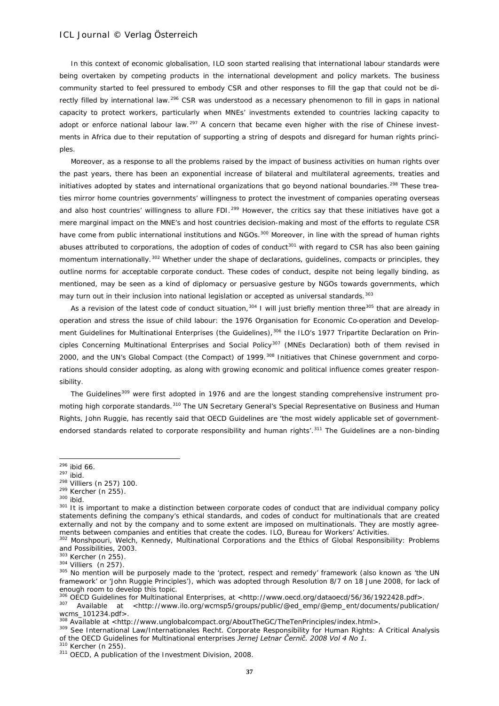In this context of economic globalisation, ILO soon started realising that international labour standards were being overtaken by competing products in the international development and policy markets. The business community started to feel pressured to embody CSR and other responses to fill the gap that could not be di-rectly filled by international law.<sup>[296](#page-36-0)</sup> CSR was understood as a necessary phenomenon to fill in gaps in national capacity to protect workers, particularly when MNEs' investments extended to countries lacking capacity to adopt or enforce national labour law.<sup>[297](#page-36-1)</sup> A concern that became even higher with the rise of Chinese investments in Africa due to their reputation of supporting a string of despots and disregard for human rights principles.

Moreover, as a response to all the problems raised by the impact of business activities on human rights over the past years, there has been an exponential increase of bilateral and multilateral agreements, treaties and initiatives adopted by states and international organizations that go beyond national boundaries.<sup>[298](#page-36-2)</sup> These treaties mirror home countries governments' willingness to protect the investment of companies operating overseas and also host countries' willingness to allure FDI.<sup>[299](#page-36-3)</sup> However, the critics say that these initiatives have got a mere marginal impact on the MNE's and host countries decision-making and most of the efforts to regulate CSR have come from public international institutions and NGOs.<sup>[300](#page-36-4)</sup> Moreover, in line with the spread of human rights abuses attributed to corporations, the adoption of codes of conduct<sup>[301](#page-36-5)</sup> with regard to CSR has also been gaining momentum internationally.<sup>[302](#page-36-6)</sup> Whether under the shape of declarations, guidelines, compacts or principles, they outline norms for acceptable corporate conduct. These codes of conduct, despite not being legally binding, as mentioned, may be seen as a kind of diplomacy or persuasive gesture by NGOs towards governments, which may turn out in their inclusion into national legislation or accepted as universal standards.<sup>[303](#page-36-7)</sup>

As a revision of the latest code of conduct situation.<sup>[304](#page-36-8)</sup> I will just briefly mention three<sup>[305](#page-36-9)</sup> that are already in operation and stress the issue of child labour: the 1976 Organisation for Economic Co‐operation and Develop-ment Guidelines for Multinational Enterprises (the Guidelines),<sup>[306](#page-36-10)</sup> the ILO's 1977 Tripartite Declaration on Prin-ciples Concerning Multinational Enterprises and Social Policy<sup>[307](#page-36-11)</sup> (MNEs Declaration) both of them revised in 2000, and the UN's Global Compact (the Compact) of 1999.<sup>[308](#page-36-12)</sup> Initiatives that Chinese government and corporations should consider adopting, as along with growing economic and political influence comes greater responsibility.

The Guidelines<sup>[309](#page-36-13)</sup> were first adopted in 1976 and are the longest standing comprehensive instrument pro-moting high corporate standards.<sup>[310](#page-36-14)</sup> The UN Secretary General's Special Representative on Business and Human Rights, John Ruggie, has recently said that OECD Guidelines are 'the most widely applicable set of government-endorsed standards related to corporate responsibility and human rights'.<sup>[311](#page-36-15)</sup> The Guidelines are a non-binding

-

<span id="page-36-7"></span> $303$  Kercher (n 255).<br> $304$  Villiers (n 257).

<sup>296</sup> ibid 66.

<span id="page-36-1"></span><span id="page-36-0"></span> $297$  ibid.

<span id="page-36-2"></span><sup>298</sup> Villiers (n 257) 100.

<span id="page-36-3"></span> $^{299}$  Kercher (n 255).<br> $^{300}$  ibid.

<span id="page-36-5"></span><span id="page-36-4"></span><sup>301</sup> It is important to make a distinction between corporate codes of conduct that are individual company policy statements defining the company's ethical standards, and codes of conduct for multinationals that are created externally and not by the company and to some extent are imposed on multinationals. They are mostly agreements between companies and entities that create the codes. ILO, Bureau for Workers' Activities.

<span id="page-36-6"></span><sup>302</sup> Monshpouri, Welch, Kennedy, Multinational Corporations and the Ethics of Global Responsibility: Problems and Possibilities, 2003.

<span id="page-36-9"></span><span id="page-36-8"></span><sup>305</sup> No mention will be purposely made to the 'protect, respect and remedy' framework (also known as 'the UN framework' or 'John Ruggie Principles'), which was adopted through Resolution 8/7 on 18 June 2008, for lack of enough room to develop this topic.<br><sup>306</sup> OECD Guidelines for Multinational Enterprises, at <http://www.oecd.org/dataoecd/56/36/1922428.pdf>.

<span id="page-36-11"></span><span id="page-36-10"></span><sup>307</sup> Available at <http://www.ilo.org/wcmsp5/groups/public/@ed\_emp/@emp\_ent/documents/publication/ wcms\_101234.pdf>.<br><sup>308</sup> Available at <http://www.unglobalcompact.org/AboutTheGC/TheTenPrinciples/index.html>.<br><sup>309</sup> See International Law/Internationales Recht. Corporate Responsibility for Human Rights: A Critical Analysi

<span id="page-36-12"></span>

<span id="page-36-13"></span>of the OECD Guidelines for Multinational enterprises *Jernej Letnar Černič. 2008 Vol 4 No 1.* 

<span id="page-36-14"></span><sup>310</sup> Kercher (n 255).

<span id="page-36-15"></span><sup>&</sup>lt;sup>311</sup> OECD, A publication of the Investment Division, 2008.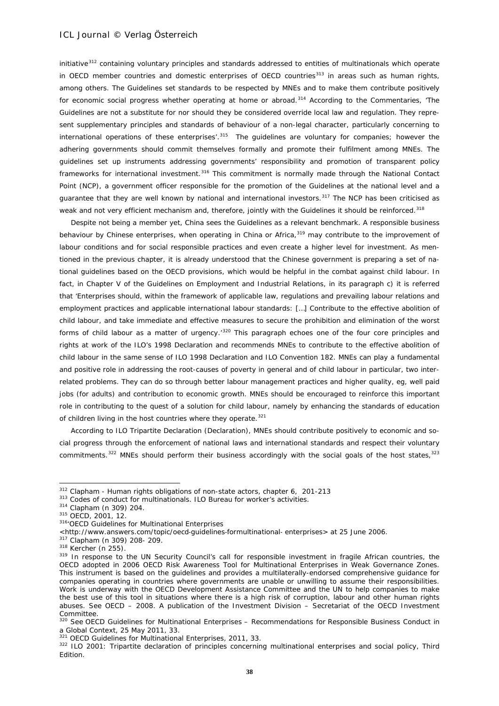initiative<sup>[312](#page-37-0)</sup> containing voluntary principles and standards addressed to entities of multinationals which operate in OECD member countries and domestic enterprises of OECD countries<sup>[313](#page-37-1)</sup> in areas such as human rights, among others. The Guidelines set standards to be respected by MNEs and to make them contribute positively for economic social progress whether operating at home or abroad.<sup>[314](#page-37-2)</sup> According to the Commentaries, 'The Guidelines are not a substitute for nor should they be considered override local law and regulation. They represent supplementary principles and standards of behaviour of a non-legal character, particularly concerning to international operations of these enterprises'.<sup>[315](#page-37-3)</sup> The guidelines are voluntary for companies; however the adhering governments should commit themselves formally and promote their fulfilment among MNEs. The guidelines set up instruments addressing governments' responsibility and promotion of transparent policy frameworks for international investment.[316](#page-37-4) This commitment is normally made through the National Contact Point (NCP), a government officer responsible for the promotion of the Guidelines at the national level and a guarantee that they are well known by national and international investors.<sup>[317](#page-37-5)</sup> The NCP has been criticised as weak and not very efficient mechanism and, therefore, jointly with the Guidelines it should be reinforced.<sup>[318](#page-37-6)</sup>

Despite not being a member yet, China sees the Guidelines as a relevant benchmark. A responsible business behaviour by Chinese enterprises, when operating in China or Africa,<sup>[319](#page-37-7)</sup> may contribute to the improvement of labour conditions and for social responsible practices and even create a higher level for investment. As mentioned in the previous chapter, it is already understood that the Chinese government is preparing a set of national guidelines based on the OECD provisions, which would be helpful in the combat against child labour. In fact, in Chapter V of the Guidelines on Employment and Industrial Relations, in its paragraph c) it is referred that 'Enterprises should, within the framework of applicable law, regulations and prevailing labour relations and employment practices and applicable international labour standards: […] Contribute to the effective abolition of child labour, and take immediate and effective measures to secure the prohibition and elimination of the worst forms of child labour as a matter of urgency.<sup>[320](#page-37-8)</sup> This paragraph echoes one of the four core principles and rights at work of the ILO's 1998 Declaration and recommends MNEs to contribute to the effective abolition of child labour in the same sense of ILO 1998 Declaration and ILO Convention 182. MNEs can play a fundamental and positive role in addressing the root-causes of poverty in general and of child labour in particular, two interrelated problems. They can do so through better labour management practices and higher quality, eg, well paid jobs (for adults) and contribution to economic growth. MNEs should be encouraged to reinforce this important role in contributing to the quest of a solution for child labour, namely by enhancing the standards of education of children living in the host countries where they operate. $321$ 

According to ILO Tripartite Declaration (Declaration), MNEs should contribute positively to economic and social progress through the enforcement of national laws and international standards and respect their voluntary commitments.<sup>[322](#page-37-10)</sup> MNEs should perform their business accordingly with the social goals of the host states,<sup>[323](#page-37-5)</sup>

<span id="page-37-0"></span> $312$  Clapham - Human rights obligations of non-state actors, chapter 6, 201-213

<span id="page-37-1"></span> $313$  Codes of conduct for multinationals. ILO Bureau for worker's activities.<br> $314$  Clapham (n 309) 204.

<span id="page-37-3"></span><span id="page-37-2"></span><sup>315</sup> OECD, 2001, 12.

<span id="page-37-4"></span><sup>316&#</sup>x27;OECD Guidelines for Multinational Enterprises

<sup>&</sup>lt;http://www.answers.com/topic/oecd‐guidelines‐formultinational‐ enterprises> at 25 June 2006. <sup>317</sup> Clapham (n 309) 208- 209.

<span id="page-37-5"></span><sup>318</sup> Kercher (n 255).

<span id="page-37-7"></span><span id="page-37-6"></span><sup>319</sup> In response to the UN Security Council's call for responsible investment in fragile African countries, the OECD adopted in 2006 OECD Risk Awareness Tool for Multinational Enterprises in Weak Governance Zones. This instrument is based on the guidelines and provides a multilaterally-endorsed comprehensive guidance for companies operating in countries where governments are unable or unwilling to assume their responsibilities. Work is underway with the OECD Development Assistance Committee and the UN to help companies to make the best use of this tool in situations where there is a high risk of corruption, labour and other human rights abuses. See OECD – 2008. A publication of the Investment Division – Secretariat of the OECD Investment Committee.

<span id="page-37-8"></span><sup>&</sup>lt;sup>320</sup> See OECD Guidelines for Multinational Enterprises – Recommendations for Responsible Business Conduct in a Global Context, 25 May 2011, 33.

<span id="page-37-9"></span><sup>&</sup>lt;sup>321</sup> OECD Guidelines for Multinational Enterprises, 2011, 33.

<span id="page-37-10"></span><sup>322</sup> ILO 2001: Tripartite declaration of principles concerning multinational enterprises and social policy, Third Edition.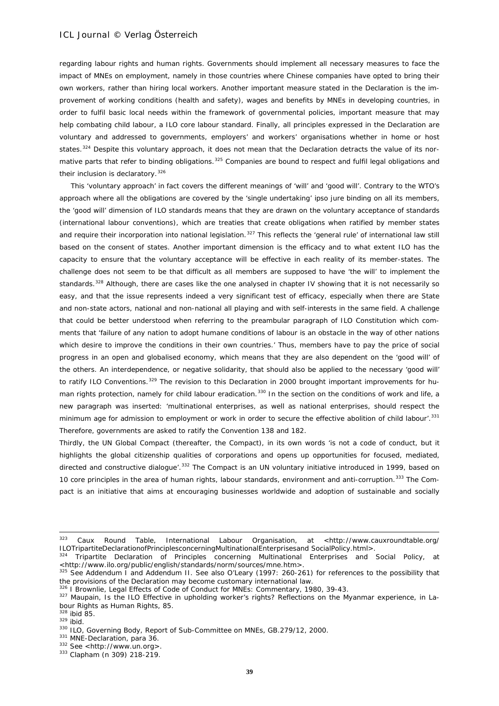regarding labour rights and human rights. Governments should implement all necessary measures to face the impact of MNEs on employment, namely in those countries where Chinese companies have opted to bring their own workers, rather than hiring local workers. Another important measure stated in the Declaration is the improvement of working conditions (health and safety), wages and benefits by MNEs in developing countries, in order to fulfil basic local needs within the framework of governmental policies, important measure that may help combating child labour, a ILO core labour standard. Finally, all principles expressed in the Declaration are voluntary and addressed to governments, employers' and workers' organisations whether in home or host states.<sup>[324](#page-38-0)</sup> Despite this voluntary approach, it does not mean that the Declaration detracts the value of its nor-mative parts that refer to binding obligations.<sup>[325](#page-38-1)</sup> Companies are bound to respect and fulfil legal obligations and their inclusion is declaratory.<sup>[326](#page-38-2)</sup>

This 'voluntary approach' in fact covers the different meanings of 'will' and 'good will'. Contrary to the WTO's approach where all the obligations are covered by the 'single undertaking' *ipso jure* binding on all its members, the 'good will' dimension of ILO standards means that they are drawn on the voluntary acceptance of standards (international labour conventions), which are treaties that create obligations when ratified by member states and require their incorporation into national legislation.<sup>[327](#page-38-3)</sup> This reflects the 'general rule' of international law still based on the consent of states. Another important dimension is the efficacy and to what extent ILO has the capacity to ensure that the voluntary acceptance will be effective in each reality of its member-states. The challenge does not seem to be that difficult as all members are supposed to have 'the will' to implement the standards.<sup>[328](#page-38-4)</sup> Although, there are cases like the one analysed in chapter IV showing that it is not necessarily so easy, and that the issue represents indeed a very significant test of efficacy, especially when there are State and non-state actors, national and non-national all playing and with self-interests in the same field. A challenge that could be better understood when referring to the *preambular* paragraph of ILO Constitution which comments that 'failure of any nation to adopt humane conditions of labour is an obstacle in the way of other nations which desire to improve the conditions in their own countries.' Thus, members have to pay the price of social progress in an open and globalised economy, which means that they are also dependent on the 'good will' of the others. An interdependence, or negative solidarity, that should also be applied to the necessary 'good will' to ratify ILO Conventions.<sup>[329](#page-38-5)</sup> The revision to this Declaration in 2000 brought important improvements for hu-man rights protection, namely for child labour eradication.<sup>[330](#page-38-6)</sup> In the section on the conditions of work and life, a new paragraph was inserted: 'multinational enterprises, as well as national enterprises, should respect the minimum age for admission to employment or work in order to secure the effective abolition of child labour'.<sup>[331](#page-38-7)</sup> Therefore, governments are asked to ratify the Convention 138 and 182.

Thirdly, the UN Global Compact (thereafter, the Compact), in its own words 'is not a code of conduct, but it highlights the global citizenship qualities of corporations and opens up opportunities for focused, mediated, directed and constructive dialogue'.<sup>[332](#page-38-8)</sup> The Compact is an UN voluntary initiative introduced in 1999, based on 10 core principles in the area of human rights, labour standards, environment and anti-corruption.<sup>[333](#page-38-9)</sup> The Compact is an initiative that aims at encouraging businesses worldwide and adoption of sustainable and socially

<sup>323</sup> Caux Round Table, International Labour Organisation, at <http://www.cauxroundtable.org/ ILOTripartiteDeclarationofPrinciplesconcerningMultinationalEnterprisesand SocialPolicy.html>.

<span id="page-38-0"></span><sup>324</sup> Tripartite Declaration of Principles concerning Multinational Enterprises and Social Policy, at <http://www.ilo.org/public/english/standards/norm/sources/mne.htm>.<br><sup>325</sup> See Addendum I and Addendum II. See also O'Leary (1997: 260-261) for references to the possibility that

<span id="page-38-1"></span>the provisions of the Declaration may become customary international law.

<sup>326 |</sup> Brownlie, Legal Effects of Code of Conduct for MNEs: Commentary, 1980, 39-43.

<span id="page-38-3"></span><span id="page-38-2"></span><sup>327</sup> Maupain, Is the ILO Effective in upholding worker's rights? Reflections on the Myanmar experience, in Labour Rights as Human Rights, 85.

<span id="page-38-4"></span> $328$  ibid 85.<br> $329$  ibid.

<span id="page-38-6"></span><span id="page-38-5"></span><sup>330</sup> ILO, Governing Body, Report of Sub-Committee on MNEs, GB.279/12, 2000.<br>  $331$  MNE-Declaration, para 36.<br>  $332$  See <http://www.un.org>.<br>  $333$  Clapham (n 309) 218-219.

<span id="page-38-7"></span>

<span id="page-38-8"></span>

<span id="page-38-9"></span>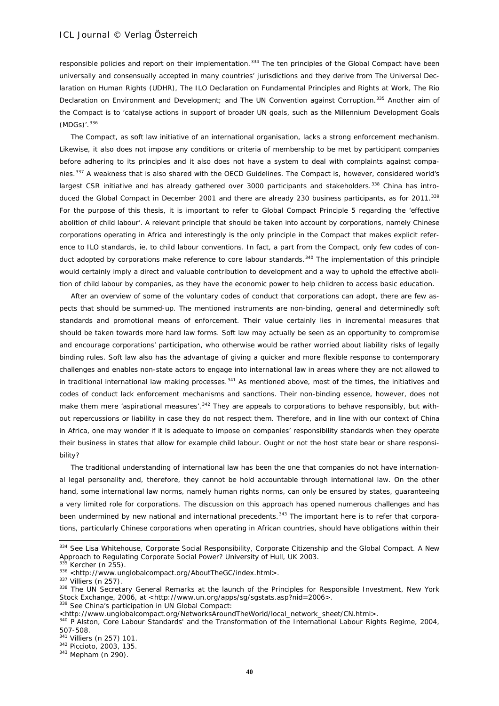responsible policies and report on their implementation.<sup>[334](#page-39-0)</sup> The ten principles of the Global Compact have been universally and consensually accepted in many countries' jurisdictions and they derive from The Universal Declaration on Human Rights (UDHR), The ILO Declaration on Fundamental Principles and Rights at Work, The Rio Declaration on Environment and Development; and The UN Convention against Corruption.<sup>[335](#page-39-1)</sup> Another aim of the Compact is to 'catalyse actions in support of broader UN goals, such as the Millennium Development Goals (MDGs)'. [336](#page-39-2)

The Compact, as soft law initiative of an international organisation, lacks a strong enforcement mechanism. Likewise, it also does not impose any conditions or criteria of membership to be met by participant companies before adhering to its principles and it also does not have a system to deal with complaints against companies.[337](#page-39-3) A weakness that is also shared with the OECD Guidelines. The Compact is, however, considered world's largest CSR initiative and has already gathered over 3000 participants and stakeholders.<sup>[338](#page-39-4)</sup> China has intro-duced the Global Compact in December 2001 and there are already 230 business participants, as for 2011.<sup>[339](#page-39-5)</sup> For the purpose of this thesis, it is important to refer to Global Compact Principle 5 regarding the 'effective abolition of child labour'. A relevant principle that should be taken into account by corporations, namely Chinese corporations operating in Africa and interestingly is the only principle in the Compact that makes explicit reference to ILO standards, ie, to child labour conventions. In fact, a part from the Compact, only few codes of con-duct adopted by corporations make reference to core labour standards.<sup>[340](#page-39-6)</sup> The implementation of this principle would certainly imply a direct and valuable contribution to development and a way to uphold the effective abolition of child labour by companies, as they have the economic power to help children to access basic education.

After an overview of some of the voluntary codes of conduct that corporations can adopt, there are few aspects that should be summed-up. The mentioned instruments are non-binding, general and determinedly soft standards and promotional means of enforcement. Their value certainly lies in incremental measures that should be taken towards more hard law forms. Soft law may actually be seen as an opportunity to compromise and encourage corporations' participation, who otherwise would be rather worried about liability risks of legally binding rules. Soft law also has the advantage of giving a quicker and more flexible response to contemporary challenges and enables non-state actors to engage into international law in areas where they are not allowed to in traditional international law making processes. $341$  As mentioned above, most of the times, the initiatives and codes of conduct lack enforcement mechanisms and sanctions. Their non-binding essence, however, does not make them mere '*aspirational* measures'. [342](#page-39-8) They are appeals to corporations to behave responsibly, but without repercussions or liability in case they do not respect them. Therefore, and in line with our context of China in Africa, one may wonder if it is adequate to impose on companies' responsibility standards when they operate their business in states that allow for example child labour. Ought or not the host state bear or share responsibility?

The traditional understanding of international law has been the one that companies do not have international legal personality and, therefore, they cannot be hold accountable through international law. On the other hand, some international law norms, namely human rights norms, can only be ensured by states, guaranteeing a very limited role for corporations. The discussion on this approach has opened numerous challenges and has been undermined by new national and international precedents.<sup>[343](#page-39-9)</sup> The important here is to refer that corporations, particularly Chinese corporations when operating in African countries, should have obligations within their

-

<span id="page-39-5"></span>339 See China's participation in UN Global Compact:<br><http://www.unglobalcompact.org/NetworksAroundTheWorld/local\_network\_sheet/CN.html>.

<span id="page-39-0"></span><sup>334</sup> See Lisa Whitehouse, Corporate Social Responsibility, Corporate Citizenship and the Global Compact. A New Approach to Regulating Corporate Social Power? University of Hull, UK 2003.

<span id="page-39-1"></span>Kercher (n 255).

<span id="page-39-2"></span><sup>336 &</sup>lt;http://www.unglobalcompact.org/AboutTheGC/index.html>.<br><sup>337</sup> Villiers (n 257).

<span id="page-39-4"></span><span id="page-39-3"></span><sup>338</sup> The UN Secretary General Remarks at the launch of the Principles for Responsible Investment, New York Stock Exchange, 2006, at <http://www.un.org/apps/sg/sgstats.asp?nid=2006>.

<span id="page-39-6"></span><sup>&</sup>lt;sup>340</sup> P Alston, Core Labour Standards' and the Transformation of the International Labour Rights Regime, 2004, 507-508.

<span id="page-39-7"></span><sup>341</sup> Villiers (n 257) 101.

<span id="page-39-8"></span><sup>342</sup> Piccioto, 2003, 135.

<span id="page-39-9"></span><sup>343</sup> Mepham (n 290).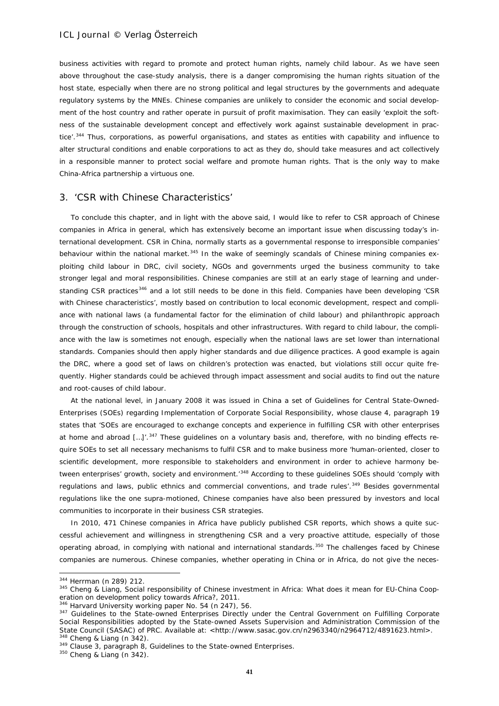business activities with regard to promote and protect human rights, namely child labour. As we have seen above throughout the case-study analysis, there is a danger compromising the human rights situation of the host state, especially when there are no strong political and legal structures by the governments and adequate regulatory systems by the MNEs. Chinese companies are unlikely to consider the economic and social development of the host country and rather operate in pursuit of profit maximisation. They can easily 'exploit the softness of the sustainable development concept and effectively work against sustainable development in prac-tice'.<sup>[344](#page-40-0)</sup> Thus, corporations, as powerful organisations, and states as entities with capability and influence to alter structural conditions and enable corporations to act as they do, should take measures and act collectively in a responsible manner to protect social welfare and promote human rights. That is the only way to make China-Africa partnership a virtuous one.

### 3. 'CSR with Chinese Characteristics'

To conclude this chapter, and in light with the above said, I would like to refer to CSR approach of Chinese companies in Africa in general, which has extensively become an important issue when discussing today's international development. CSR in China, normally starts as a governmental response to irresponsible companies' behaviour within the national market.<sup>[345](#page-40-1)</sup> In the wake of seemingly scandals of Chinese mining companies exploiting child labour in DRC, civil society, NGOs and governments urged the business community to take stronger legal and moral responsibilities. Chinese companies are still at an early stage of learning and under-standing CSR practices<sup>[346](#page-40-2)</sup> and a lot still needs to be done in this field. Companies have been developing 'CSR with Chinese characteristics', mostly based on contribution to local economic development, respect and compliance with national laws (a fundamental factor for the elimination of child labour) and philanthropic approach through the construction of schools, hospitals and other infrastructures. With regard to child labour, the compliance with the law is sometimes not enough, especially when the national laws are set lower than international standards. Companies should then apply higher standards and due diligence practices. A good example is again the DRC, where a good set of laws on children's protection was enacted, but violations still occur quite frequently. Higher standards could be achieved through impact assessment and social audits to find out the nature and root-causes of child labour.

At the national level, in January 2008 it was issued in China a set of Guidelines for Central State-Owned-Enterprises (SOEs) regarding Implementation of Corporate Social Responsibility, whose clause 4, paragraph 19 states that 'SOEs are encouraged to exchange concepts and experience in fulfilling CSR with other enterprises at home and abroad [...]<sup>'</sup>.<sup>[347](#page-40-3)</sup> These guidelines on a voluntary basis and, therefore, with no binding effects require SOEs to set all necessary mechanisms to fulfil CSR and to make business more 'human-oriented, closer to scientific development, more responsible to stakeholders and environment in order to achieve harmony be-tween enterprises' growth, society and environment.<sup>[348](#page-40-4)</sup> According to these guidelines SOEs should 'comply with regulations and laws, public ethnics and commercial conventions, and trade rules<sup>', [349](#page-40-5)</sup> Besides governmental regulations like the one supra-motioned, Chinese companies have also been pressured by investors and local communities to incorporate in their business CSR strategies.

In 2010, 471 Chinese companies in Africa have publicly published CSR reports, which shows a quite successful achievement and willingness in strengthening CSR and a very proactive attitude, especially of those operating abroad, in complying with national and international standards.<sup>[350](#page-40-6)</sup> The challenges faced by Chinese companies are numerous. Chinese companies, whether operating in China or in Africa, do not give the neces-

<span id="page-40-0"></span><sup>344</sup> Herrman (n 289) 212.

<span id="page-40-1"></span><sup>345</sup> Cheng & Liang, Social responsibility of Chinese investment in Africa: What does it mean for EU-China Cooperation on development policy towards Africa?*,* 2011.

<sup>&</sup>lt;sup>346</sup> Harvard University working paper No. 54 (n 247), 56.

<span id="page-40-3"></span><span id="page-40-2"></span><sup>&</sup>lt;sup>347</sup> Guidelines to the State-owned Enterprises Directly under the Central Government on Fulfilling Corporate Social Responsibilities adopted by the State-owned Assets Supervision and Administration Commission of the State Council (SASAC) of PRC. Available at: <http://www.sasac.gov.cn/n2963340/n2964712/4891623.html>. 348 Cheng & Liang (n 342).

<span id="page-40-5"></span><span id="page-40-4"></span><sup>&</sup>lt;sup>349</sup> Clause 3, paragraph 8, Guidelines to the State-owned Enterprises.

<span id="page-40-6"></span><sup>350</sup> Cheng & Liang (n 342).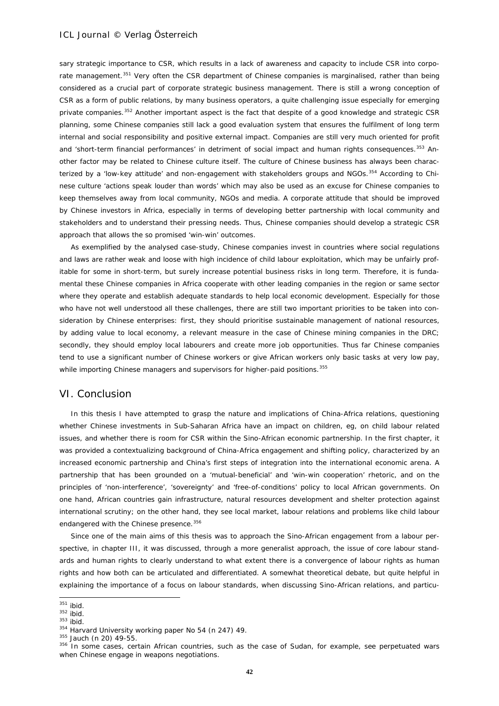sary strategic importance to CSR, which results in a lack of awareness and capacity to include CSR into corpo-rate management.<sup>[351](#page-41-0)</sup> Very often the CSR department of Chinese companies is marginalised, rather than being considered as a crucial part of corporate strategic business management. There is still a wrong conception of CSR as a form of public relations, by many business operators, a quite challenging issue especially for emerging private companies.<sup>[352](#page-41-1)</sup> Another important aspect is the fact that despite of a good knowledge and strategic CSR planning, some Chinese companies still lack a good evaluation system that ensures the fulfilment of long term internal and social responsibility and positive external impact. Companies are still very much oriented for profit and 'short-term financial performances' in detriment of social impact and human rights consequences.<sup>[353](#page-41-2)</sup> Another factor may be related to Chinese culture itself. The culture of Chinese business has always been charac-terized by a 'low-key attitude' and non-engagement with stakeholders groups and NGOs.<sup>[354](#page-41-3)</sup> According to Chinese culture 'actions speak louder than words' which may also be used as an excuse for Chinese companies to keep themselves away from local community, NGOs and media. A corporate attitude that should be improved by Chinese investors in Africa, especially in terms of developing better partnership with local community and stakeholders and to understand their pressing needs. Thus, Chinese companies should develop a strategic CSR approach that allows the so promised 'win-win' outcomes.

As exemplified by the analysed case-study, Chinese companies invest in countries where social regulations and laws are rather weak and loose with high incidence of child labour exploitation, which may be unfairly profitable for some in short-term, but surely increase potential business risks in long term. Therefore, it is fundamental these Chinese companies in Africa cooperate with other leading companies in the region or same sector where they operate and establish adequate standards to help local economic development. Especially for those who have not well understood all these challenges, there are still two important priorities to be taken into consideration by Chinese enterprises: first, they should prioritise sustainable management of national resources, by adding value to local economy, a relevant measure in the case of Chinese mining companies in the DRC; secondly, they should employ local labourers and create more job opportunities. Thus far Chinese companies tend to use a significant number of Chinese workers or give African workers only basic tasks at very low pay, while importing Chinese managers and supervisors for higher-paid positions.<sup>[355](#page-41-4)</sup>

### VI. Conclusion

In this thesis I have attempted to grasp the nature and implications of China-Africa relations, questioning whether Chinese investments in Sub-Saharan Africa have an impact on children, eg, on child labour related issues, and whether there is room for CSR within the Sino-African economic partnership. In the first chapter, it was provided a contextualizing background of China-Africa engagement and shifting policy, characterized by an increased economic partnership and China's first steps of integration into the international economic arena. A partnership that has been grounded on a 'mutual-beneficial' and 'win-win cooperation' rhetoric, and on the principles of 'non-interference', 'sovereignty' and 'free-of-conditions' policy to local African governments. On one hand, African countries gain infrastructure, natural resources development and shelter protection against international scrutiny; on the other hand, they see local market, labour relations and problems like child labour endangered with the Chinese presence. [356](#page-41-5)

Since one of the main aims of this thesis was to approach the Sino-African engagement from a labour perspective, in chapter III, it was discussed, through a more generalist approach, the issue of core labour standards and human rights to clearly understand to what extent there is a convergence of labour rights as human rights and how both can be articulated and differentiated. A somewhat theoretical debate, but quite helpful in explaining the importance of a focus on labour standards, when discussing Sino-African relations, and particu-

1

<span id="page-41-2"></span> $353$  ibid.

 $351$  ibid.

<span id="page-41-1"></span><span id="page-41-0"></span> $352$  ibid.

<span id="page-41-3"></span> $354$  Harvard University working paper No 54 (n 247) 49.<br> $355$  Jauch (n 20) 49-55.

<span id="page-41-5"></span><span id="page-41-4"></span><sup>356</sup> In some cases, certain African countries, such as the case of Sudan, for example, see perpetuated wars when Chinese engage in weapons negotiations.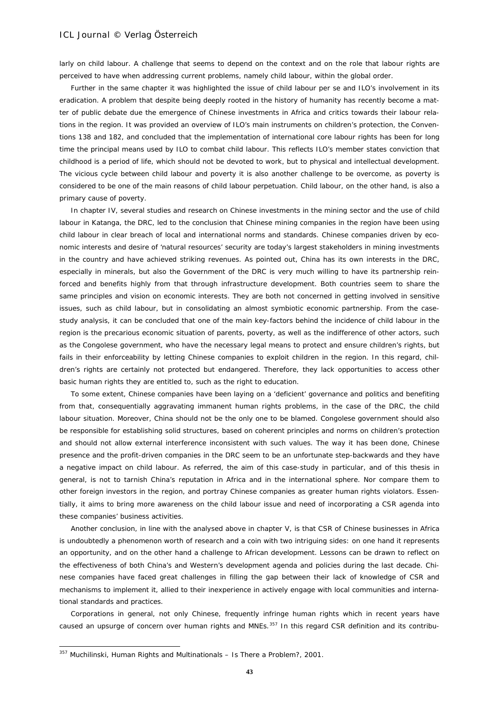larly on child labour. A challenge that seems to depend on the context and on the role that labour rights are perceived to have when addressing current problems, namely child labour, within the global order.

Further in the same chapter it was highlighted the issue of child labour *per se* and ILO's involvement in its eradication. A problem that despite being deeply rooted in the history of humanity has recently become a matter of public debate due the emergence of Chinese investments in Africa and critics towards their labour relations in the region. It was provided an overview of ILO's main instruments on children's protection, the Conventions 138 and 182, and concluded that the implementation of international core labour rights has been for long time the principal means used by ILO to combat child labour. This reflects ILO's member states conviction that childhood is a period of life, which should not be devoted to work, but to physical and intellectual development. The vicious cycle between child labour and poverty it is also another challenge to be overcome, as poverty is considered to be one of the main reasons of child labour perpetuation. Child labour, on the other hand, is also a primary cause of poverty.

In chapter IV, several studies and research on Chinese investments in the mining sector and the use of child labour in Katanga, the DRC, led to the conclusion that Chinese mining companies in the region have been using child labour in clear breach of local and international norms and standards. Chinese companies driven by economic interests and desire of 'natural resources' security are today's largest stakeholders in mining investments in the country and have achieved striking revenues. As pointed out, China has its own interests in the DRC, especially in minerals, but also the Government of the DRC is very much willing to have its partnership reinforced and benefits highly from that through infrastructure development. Both countries seem to share the same principles and vision on economic interests. They are both not concerned in getting involved in sensitive issues, such as child labour, but in consolidating an almost symbiotic economic partnership. From the casestudy analysis, it can be concluded that one of the main key-factors behind the incidence of child labour in the region is the precarious economic situation of parents, poverty, as well as the indifference of other actors, such as the Congolese government, who have the necessary legal means to protect and ensure children's rights, but fails in their enforceability by letting Chinese companies to exploit children in the region. In this regard, children's rights are certainly not protected but endangered. Therefore, they lack opportunities to access other basic human rights they are entitled to, such as the right to education.

To some extent, Chinese companies have been laying on a 'deficient' governance and politics and benefiting from that, consequentially aggravating immanent human rights problems, in the case of the DRC, the child labour situation. Moreover, China should not be the only one to be blamed. Congolese government should also be responsible for establishing solid structures, based on coherent principles and norms on children's protection and should not allow external interference inconsistent with such values. The way it has been done, Chinese presence and the profit-driven companies in the DRC seem to be an unfortunate step-backwards and they have a negative impact on child labour. As referred, the aim of this case-study in particular, and of this thesis in general, is not to tarnish China's reputation in Africa and in the international sphere. Nor compare them to other foreign investors in the region, and portray Chinese companies as greater human rights violators. Essentially, it aims to bring more awareness on the child labour issue and need of incorporating a CSR agenda into these companies' business activities.

Another conclusion, in line with the analysed above in chapter V, is that CSR of Chinese businesses in Africa is undoubtedly a phenomenon worth of research and a coin with two intriguing sides: on one hand it represents an opportunity, and on the other hand a challenge to African development. Lessons can be drawn to reflect on the effectiveness of both China's and Western's development agenda and policies during the last decade. Chinese companies have faced great challenges in filling the gap between their lack of knowledge of CSR and mechanisms to implement it, allied to their inexperience in actively engage with local communities and international standards and practices.

Corporations in general, not only Chinese, frequently infringe human rights which in recent years have caused an upsurge of concern over human rights and MNEs.<sup>[357](#page-42-0)</sup> In this regard CSR definition and its contribu-

<span id="page-42-0"></span><sup>357</sup> Muchilinski, Human Rights and Multinationals – Is There a Problem?, 2001.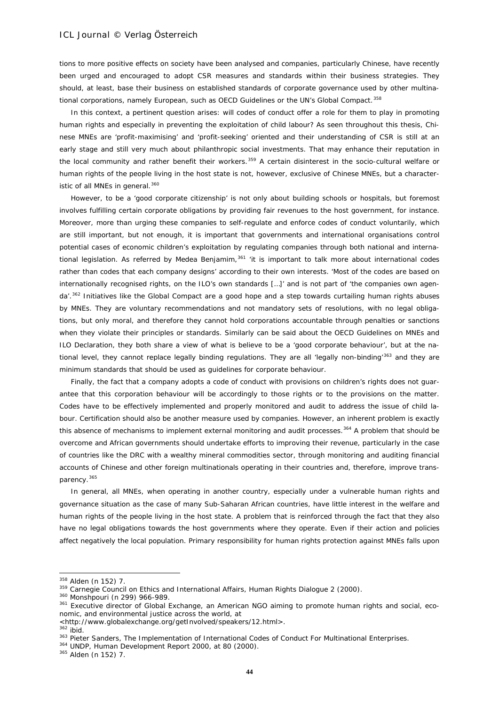tions to more positive effects on society have been analysed and companies, particularly Chinese, have recently been urged and encouraged to adopt CSR measures and standards within their business strategies. They should, at least, base their business on established standards of corporate governance used by other multina-tional corporations, namely European, such as OECD Guidelines or the UN's Global Compact.<sup>[358](#page-43-0)</sup>

In this context, a pertinent question arises: will codes of conduct offer a role for them to play in promoting human rights and especially in preventing the exploitation of child labour? As seen throughout this thesis, Chinese MNEs are 'profit-maximising' and 'profit-seeking' oriented and their understanding of CSR is still at an early stage and still very much about philanthropic social investments. That may enhance their reputation in the local community and rather benefit their workers.<sup>[359](#page-43-1)</sup> A certain disinterest in the socio-cultural welfare or human rights of the people living in the host state is not, however, exclusive of Chinese MNEs, but a character-istic of all MNEs in general.<sup>[360](#page-43-2)</sup>

However, to be a 'good corporate citizenship' is not only about building schools or hospitals, but foremost involves fulfilling certain corporate obligations by providing fair revenues to the host government, for instance. Moreover, more than urging these companies to self-regulate and enforce codes of conduct voluntarily, which are still important, but not enough, it is important that governments and international organisations control potential cases of economic children's exploitation by regulating companies through both national and international legislation. As referred by Medea Benjamim, $361$  'it is important to talk more about international codes rather than codes that each company designs' according to their own interests. 'Most of the codes are based on internationally recognised rights, on the ILO's own standards […]' and is not part of 'the companies own agen-da'.<sup>[362](#page-43-4)</sup> Initiatives like the Global Compact are a good hope and a step towards curtailing human rights abuses by MNEs. They are voluntary recommendations and not mandatory sets of resolutions, with no legal obligations, but only moral, and therefore they cannot hold corporations accountable through penalties or sanctions when they violate their principles or standards. Similarly can be said about the OECD Guidelines on MNEs and ILO Declaration, they both share a view of what is believe to be a 'good corporate behaviour', but at the na-tional level, they cannot replace legally binding regulations. They are all 'legally non-binding'<sup>[363](#page-43-5)</sup> and they are minimum standards that should be used as guidelines for corporate behaviour.

Finally, the fact that a company adopts a code of conduct with provisions on children's rights does not guarantee that this corporation behaviour will be accordingly to those rights or to the provisions on the matter. Codes have to be effectively implemented and properly monitored and audit to address the issue of child labour. Certification should also be another measure used by companies. However, an inherent problem is exactly this absence of mechanisms to implement external monitoring and audit processes.<sup>[364](#page-43-6)</sup> A problem that should be overcome and African governments should undertake efforts to improving their revenue, particularly in the case of countries like the DRC with a wealthy mineral commodities sector, through monitoring and auditing financial accounts of Chinese and other foreign multinationals operating in their countries and, therefore, improve trans-parency.<sup>[365](#page-43-7)</sup>

In general, all MNEs, when operating in another country, especially under a vulnerable human rights and governance situation as the case of many Sub-Saharan African countries, have little interest in the welfare and human rights of the people living in the host state. A problem that is reinforced through the fact that they also have no legal obligations towards the host governments where they operate. Even if their action and policies affect negatively the local population. Primary responsibility for human rights protection against MNEs falls upon

<span id="page-43-0"></span><sup>358</sup> Alden (n 152) 7.

<span id="page-43-1"></span><sup>359</sup> Carnegie Council on Ethics and International Affairs, Human Rights Dialogue 2 (2000).

<span id="page-43-2"></span><sup>360</sup> Monshpouri (n 299) 966-989.

<span id="page-43-3"></span><sup>&</sup>lt;sup>361</sup> Executive director of Global Exchange, an American NGO aiming to promote human rights and social, economic, and environmental justice across the world, at <br>
<http://www.globalexchange.org/getInvolved/speakers/12.html>.

<span id="page-43-5"></span><span id="page-43-4"></span><sup>362</sup> ibid.<br>
363 Pieter Sanders, The Implementation of International Codes of Conduct For Multinational Enterprises.<br>
364 UNDP, Human Development Report 2000, at 80 (2000).

<span id="page-43-6"></span>

<span id="page-43-7"></span><sup>365</sup> Alden (n 152) 7.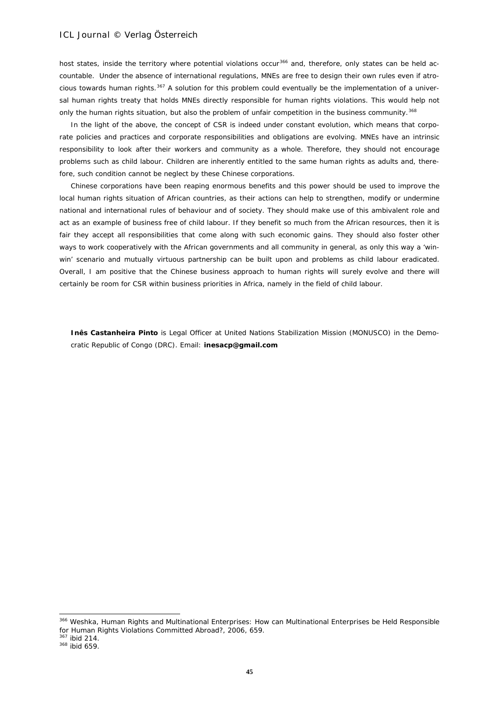host states, inside the territory where potential violations occur<sup>[366](#page-44-0)</sup> and, therefore, only states can be held accountable. Under the absence of international regulations, MNEs are free to design their own rules even if atrocious towards human rights. $367$  A solution for this problem could eventually be the implementation of a universal human rights treaty that holds MNEs directly responsible for human rights violations. This would help not only the human rights situation, but also the problem of unfair competition in the business community.<sup>[368](#page-44-2)</sup>

In the light of the above, the concept of CSR is indeed under constant evolution, which means that corporate policies and practices and corporate responsibilities and obligations are evolving. MNEs have an intrinsic responsibility to look after their workers and community as a whole. Therefore, they should not encourage problems such as child labour. Children are inherently entitled to the same human rights as adults and, therefore, such condition cannot be neglect by these Chinese corporations.

Chinese corporations have been reaping enormous benefits and this power should be used to improve the local human rights situation of African countries, as their actions can help to strengthen, modify or undermine national and international rules of behaviour and of society. They should make use of this ambivalent role and act as an example of business free of child labour. If they benefit so much from the African resources, then it is fair they accept all responsibilities that come along with such economic gains. They should also foster other ways to work cooperatively with the African governments and all community in general, as only this way a 'winwin' scenario and mutually virtuous partnership can be built upon and problems as child labour eradicated. Overall, I am positive that the Chinese business approach to human rights will surely evolve and there will certainly be room for CSR within business priorities in Africa, namely in the field of child labour.

**Inês Castanheira Pinto** is Legal Officer at United Nations Stabilization Mission (MONUSCO) in the Democratic Republic of Congo (DRC). Email: **inesacp@gmail.com**

<span id="page-44-0"></span><sup>366</sup> Weshka, Human Rights and Multinational Enterprises: How can Multinational Enterprises be Held Responsible for Human Rights Violations Committed Abroad?, 2006, 659.

<span id="page-44-1"></span> $367$  ibid 214.

<span id="page-44-2"></span><sup>368</sup> ibid 659.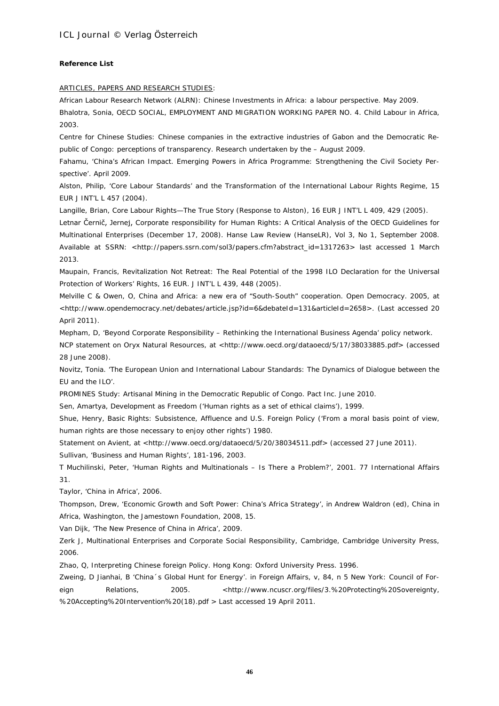### **Reference List**

### ARTICLES, PAPERS AND RESEARCH STUDIES:

African Labour Research Network (ALRN): Chinese Investments in Africa: a labour perspective. May 2009. Bhalotra, Sonia, *OECD SOCIAL, EMPLOYMENT AND MIGRATION WORKING PAPER NO. 4. Child Labour in Africa*, 2003.

Centre for Chinese Studies: Chinese companies in the extractive industries of Gabon and the Democratic Republic of Congo: perceptions of transparency. Research undertaken by the – August 2009.

Fahamu, '*China's African Impact. Emerging Powers in Africa Programme: Strengthening the Civil Society Perspective*'. April 2009.

Alston, Philip, '*Core Labour Standards' and the Transformation of the International Labour Rights Regime*, 15 EUR J INT'L L 457 (2004).

Langille, Brian, *Core Labour Rights—The True Story (Response to Alston)*, 16 EUR J INT'L L 409, 429 (2005).

Letnar Černič, Jernej, Corporate responsibility for Human Rights: A Critical Analysis of the OECD Guidelines for Multinational Enterprises (December 17, 2008). Hanse Law Review (HanseLR), Vol 3, No 1, September 2008. Available at SSRN: <http://papers.ssrn.com/sol3/papers.cfm?abstract\_id=1317263> last accessed 1 March 2013.

Maupain, Francis, *Revitalization Not Retreat: The Real Potential of the 1998 ILO Declaration for the Universal Protection of Workers' Rights*, 16 EUR. J INT'L L 439, 448 (2005).

Melville C & Owen, O, *China and Africa: a new era of "South-South" cooperation. Open Democracy*. 2005, at <http://www.opendemocracy.net/debates/article.jsp?id=6&debateId=131&articleId=2658>. (Last accessed 20 April 2011).

Mepham, D, 'Beyond Corporate Responsibility – Rethinking the International Business Agenda' policy network.

NCP statement on Oryx Natural Resources, at <http://www.oecd.org/dataoecd/5/17/38033885.pdf> (accessed 28 June 2008).

Novitz, Tonia. 'The European Union and International Labour Standards: The Dynamics of Dialogue between the EU and the ILO'.

PROMINES Study: Artisanal Mining in the Democratic Republic of Congo. Pact Inc. June 2010.

Sen, Amartya, Development as Freedom ('Human rights as a set of ethical claims'), 1999.

Shue, Henry, Basic Rights: Subsistence, Affluence and U.S. Foreign Policy ('From a moral basis point of view, human rights are those necessary to enjoy other rights') 1980.

Statement on Avient, at <http://www.oecd.org/dataoecd/5/20/38034511.pdf> (accessed 27 June 2011).

Sullivan, 'Business and Human Rights', 181-196, 2003.

T Muchilinski, Peter, 'Human Rights and Multinationals – Is There a Problem?', 2001. 77 International Affairs 31.

Taylor, 'China in Africa', 2006.

Thompson, Drew, 'Economic Growth and Soft Power: China's Africa Strategy', in Andrew Waldron (ed), China in Africa, Washington, the Jamestown Foundation, 2008, 15.

Van Dijk, 'The New Presence of China in Africa', 2009.

Zerk J, *Multinational Enterprises and Corporate Social Responsibility,* Cambridge, Cambridge University Press, 2006.

Zhao, Q, *Interpreting Chinese foreign Policy*. Hong Kong: Oxford University Press. 1996.

Zweing, D Jianhai, B 'China´s Global Hunt for Energy'. *in Foreign Affairs*, v, 84, n 5 New York: Council of Foreign Relations, 2005. <http://www.ncuscr.org/files/3.%20Protecting%20Sovereignty, %20Accepting%20Intervention%20(18).pdf > Last accessed 19 April 2011.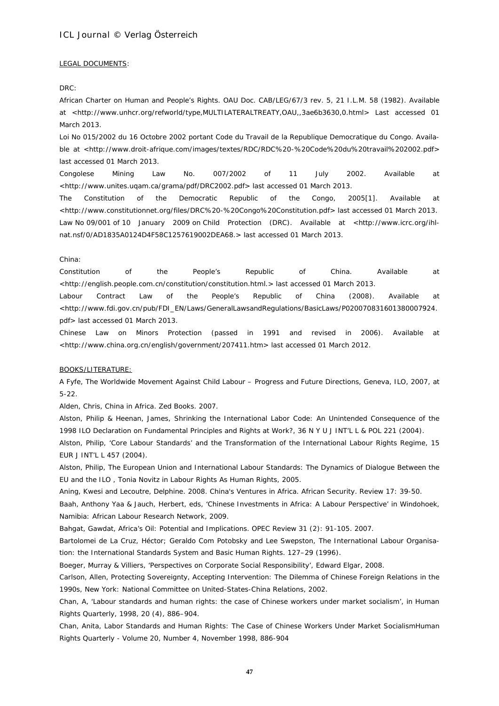#### LEGAL DOCUMENTS:

*DRC*:

African Charter on Human and People's Rights. OAU Doc. CAB/LEG/67/3 rev. 5, 21 I.L.M. 58 (1982). Available at <http://www.unhcr.org/refworld/type,MULTILATERALTREATY,OAU,,3ae6b3630,0.html> Last accessed 01 March 2013.

Loi No 015/2002 du 16 Octobre 2002 portant Code du Travail de la Republique Democratique du Congo. Available at <http://www.droit-afrique.com/images/textes/RDC/RDC%20-%20Code%20du%20travail%202002.pdf> last accessed 01 March 2013.

Congolese Mining Law No. 007/2002 of 11 July 2002. Available at <http://www.unites.uqam.ca/grama/pdf/DRC2002.pdf> last accessed 01 March 2013.

The Constitution of the Democratic Republic of the Congo, 2005[1]. Available at <http://www.constitutionnet.org/files/DRC%20-%20Congo%20Constitution.pdf> last accessed 01 March 2013. Law No 09/001 of 10 January 2009 on Child Protection (DRC). Available at <http://www.icrc.org/ihlnat.nsf/0/AD1835A0124D4F58C1257619002DEA68.> last accessed 01 March 2013.

#### *China*:

Constitution of the People's Republic of China. Available at <http://english.people.com.cn/constitution/constitution.html.> last accessed 01 March 2013.

Labour Contract Law of the People's Republic of China (2008). Available at <http://www.fdi.gov.cn/pub/FDI\_EN/Laws/GeneralLawsandRegulations/BasicLaws/P020070831601380007924. pdf> last accessed 01 March 2013.

Chinese Law on Minors Protection (passed in 1991 and revised in 2006). Available at <http://www.china.org.cn/english/government/207411.htm> last accessed 01 March 2012.

#### BOOKS/LITERATURE:

A Fyfe, The Worldwide Movement Against Child Labour – Progress and Future Directions, Geneva, ILO, 2007, at 5-22.

Alden, Chris, *China in Africa*. Zed Books. 2007.

Alston, Philip & Heenan, James, *Shrinking the International Labor Code: An Unintended Consequence of the 1998 ILO Declaration on Fundamental Principles and Rights at Work?*, 36 N Y U J INT'L L & POL 221 (2004).

Alston, Philip, '*Core Labour Standards' and the Transformation of the International Labour Rights Regime*, 15 EUR J INT'L L 457 (2004).

*Alston, Philip,* The European Union and International Labour Standards: The Dynamics of Dialogue Between the EU and the ILO , *Tonia Novitz in* Labour Rights As Human Rights, 2005.

Aning*,* Kwesi and Lecoutre, Delphine*.* 2008. *China's Ventures in Africa*. *African* Security. Review 17: 39-50.

Baah, Anthony Yaa & Jauch, Herbert, eds, 'Chinese Investments in Africa: A Labour Perspective' *in Windohoek, Namibia: African Labour Research Network*, 2009.

Bahgat, Gawdat, *Africa's Oil: Potential and Implications*. *OPEC Review* 31 (2): 91-105. 2007.

Bartolomei de La Cruz, Héctor; Geraldo Com Potobsky and Lee Swepston, The International Labour Organisation: the International Standards System and Basic Human Rights. 127–29 (1996).

Boeger, Murray & Villiers, 'Perspectives on Corporate Social Responsibility', Edward Elgar, 2008.

Carlson, Allen, *Protecting Sovereignty, Accepting Intervention: The Dilemma of Chinese Foreign Relations in the 1990s*, New York: National Committee on United-States-China Relations, 2002.

Chan, A, '*Labour standards and human rights: the case of Chinese workers under market socialism'*, *in Human Rights Quarterly*, 1998, 20 (4), 886–904.

Chan, Anita, *Labor Standards and Human Rights: The Case of Chinese Workers Under Market Socialism*Human Rights Quarterly - Volume 20, Number 4, November 1998, 886-904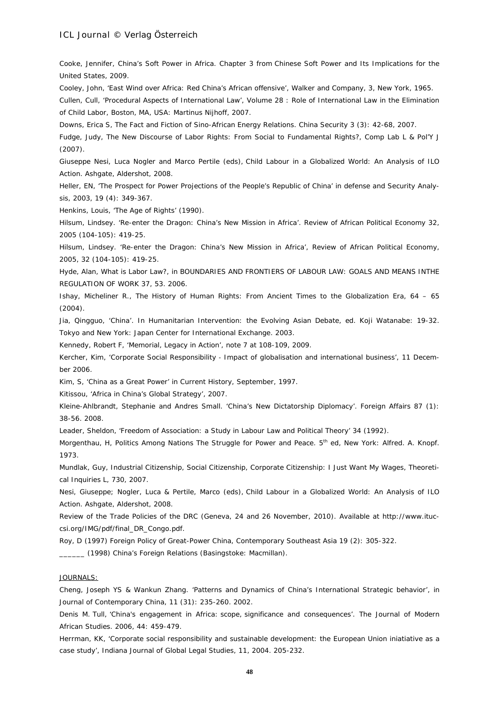Cooke, Jennifer, *China's Soft Power in Africa*. Chapter 3 from *Chinese Soft Power and Its Implications for the United States,* 2009.

Cooley, John, 'East Wind over Africa: Red China's African offensive', Walker and Company, 3, New York, 1965.

Cullen, Cull, 'Procedural Aspects of International Law', Volume 28 : Role of International Law in the Elimination of Child Labor, Boston, MA, USA: Martinus Nijhoff, 2007.

Downs, Erica S, *The Fact and Fiction of Sino-African Energy Relations*. *China Security* 3 (3): 42-68, 2007.

Fudge, Judy, *The New Discourse of Labor Rights: From Social to Fundamental Rights?*, Comp Lab L & Pol'Y J (2007).

Giuseppe Nesi, Luca Nogler and Marco Pertile (eds), *Child Labour in a Globalized World: An Analysis of ILO Action.* Ashgate, Aldershot, 2008.

Heller, EN, 'The Prospect for Power Projections of the People's Republic of China' *in defense and Security Analysis,* 2003, 19 (4): 349-367.

Henkins, Louis, 'The Age of Rights' (1990).

Hilsum, Lindsey. 'Re-enter the Dragon: China's New Mission in Africa'. *Review of African Political Economy* 32, 2005 (104-105): 419-25.

Hilsum, Lindsey. 'Re-enter the Dragon: China's New Mission in Africa', *Review of African Political Economy,* 2005, 32 (104-105): 419-25.

Hyde, Alan, *What is Labor Law?*, *in* BOUNDARIES AND FRONTIERS OF LABOUR LAW: GOALS AND MEANS INTHE REGULATION OF WORK 37, 53. 2006.

Ishay, Micheliner R., *The History of Human Rights: From Ancient Times to the Globalization Era*, 64 – 65 (2004).

Jia, Qingguo, 'China'. *In Humanitarian Intervention: the Evolving Asian Debate*, ed. Koji Watanabe: 19-32. Tokyo and New York: Japan Center for International Exchange. 2003.

Kennedy, Robert F, 'Memorial, Legacy in Action', note 7 at 108-109, 2009.

Kercher, Kim, 'Corporate Social Responsibility ‐ Impact of globalisation and international business', 11 December 2006.

Kim, S, 'China as a Great Power' *in Current History*, September, 1997.

Kitissou, 'Africa in China's Global Strategy', 2007.

Kleine-Ahlbrandt, Stephanie and Andres Small. 'China's New Dictatorship Diplomacy'. *Foreign Affairs* 87 (1): 38-56. 2008.

Leader, Sheldon, 'Freedom of Association: a Study in Labour Law and Political Theory' 34 (1992).

Morgenthau, H, *Politics Among Nations The Struggle for Power and Peace*. 5th ed, New York: Alfred. A. Knopf. 1973.

Mundlak, Guy, *Industrial Citizenship, Social Citizenship, Corporate Citizenship: I Just Want My Wages*, Theoretical Inquiries L, 730, 2007.

Nesi, Giuseppe; Nogler, Luca & Pertile, Marco (eds), *Child Labour in a Globalized World: An Analysis of ILO Action.* Ashgate, Aldershot, 2008.

Review of the Trade Policies of the DRC (Geneva, 24 and 26 November, 2010). Available at http://www.ituccsi.org/IMG/pdf/final\_DR\_Congo.pdf.

Roy, D (1997) Foreign Policy of Great-Power China, *Contemporary Southeast Asia* 19 (2): 305-322.

\_\_\_\_\_\_ (1998) *China's Foreign Relations* (Basingstoke: Macmillan).

#### JOURNALS:

Cheng, Joseph YS & Wankun Zhang. 'Patterns and Dynamics of China's International Strategic behavior'*, in Journal of Contemporary China*, 11 (31): 235-260. 2002.

Denis M*.* Tull*,* '*China's engagement in Africa*: *scope*, *significance and consequences'*. *The Journal of Modern African Studies*. 2006, 44: 459-479.

Herrman, KK, 'Corporate social responsibility and sustainable development: the European Union iniatiative as a case study', Indiana Journal of Global Legal Studies, 11, 2004. 205-232.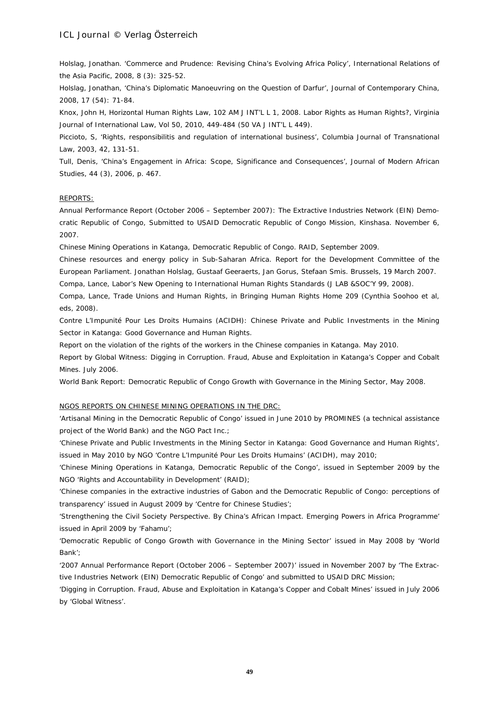Holslag, Jonathan. 'Commerce and Prudence: Revising China's Evolving Africa Policy', *International Relations of the Asia Pacific,* 2008, 8 (3): 325-52.

Holslag, Jonathan, 'China's Diplomatic Manoeuvring on the Question of Darfur', *Journal of Contemporary China,*  2008, 17 (54): 71-84.

Knox, John H, *Horizontal Human Rights Law*, 102 AM J INT'L L 1, 2008. Labor Rights as Human Rights?, Virginia Journal of International Law, Vol 50, 2010, 449-484 (50 VA J INT'L L 449).

Piccioto, S, 'Rights, responsibilitis and regulation of international business', Columbia Journal of Transnational Law, 2003, 42, 131-51.

Tull, Denis, 'China's Engagement in Africa: Scope, Significance and Consequences', Journal of Modern African Studies, 44 (3), 2006, p. 467.

### REPORTS:

Annual Performance Report (October 2006 – September 2007): The Extractive Industries Network (EIN) Democratic Republic of Congo, Submitted to USAID Democratic Republic of Congo Mission, Kinshasa. November 6, 2007.

Chinese Mining Operations in Katanga, Democratic Republic of Congo. RAID, September 2009.

Chinese resources and energy policy in Sub-Saharan Africa. Report for the Development Committee of the European Parliament. Jonathan Holslag, Gustaaf Geeraerts, Jan Gorus, Stefaan Smis. Brussels, 19 March 2007.

Compa, Lance, *Labor's New Opening to International Human Rights Standards* (J LAB &SOC'Y 99, 2008).

Compa, Lance, *Trade Unions and Human Rights*, *in* Bringing Human Rights Home 209 (Cynthia Soohoo et al, eds, 2008).

Contre L'Impunité Pour Les Droits Humains (ACIDH): Chinese Private and Public Investments in the Mining Sector in Katanga: Good Governance and Human Rights.

Report on the violation of the rights of the workers in the Chinese companies in Katanga. May 2010.

Report by Global Witness: Digging in Corruption. Fraud, Abuse and Exploitation in Katanga's Copper and Cobalt Mines. July 2006.

World Bank Report: Democratic Republic of Congo Growth with Governance in the Mining Sector, May 2008.

#### NGOS REPORTS ON CHINESE MINING OPERATIONS IN THE DRC:

*'Artisanal Mining in the Democratic Republic of Congo'* issued in June 2010 by PROMINES (a technical assistance project of the World Bank) and the NGO Pact Inc.;

*'Chinese Private and Public Investments in the Mining Sector in Katanga: Good Governance and Human Rights'*, issued in May 2010 by NGO 'Contre L'Impunité Pour Les Droits Humains' (ACIDH), may 2010;

*'Chinese Mining Operations in Katanga, Democratic Republic of the Congo'*, issued in September 2009 by the NGO 'Rights and Accountability in Development' (RAID);

'Chinese companies in the extractive industries of Gabon and the Democratic Republic of Congo: perceptions of *transparency'* issued in August 2009 by 'Centre for Chinese Studies';

*'Strengthening the Civil Society Perspective. By China's African Impact. Emerging Powers in Africa Programme'* issued in April 2009 by 'Fahamu';

*'Democratic Republic of Congo Growth with Governance in the Mining Sector'* issued in May 2008 by 'World Bank';

*'2007 Annual Performance Report (October 2006 – September 2007)'* issued in November 2007 by 'The Extractive Industries Network (EIN) Democratic Republic of Congo' and submitted to USAID DRC Mission;

*'Digging in Corruption. Fraud, Abuse and Exploitation in Katanga's Copper and Cobalt Mines'* issued in July 2006 by 'Global Witness'.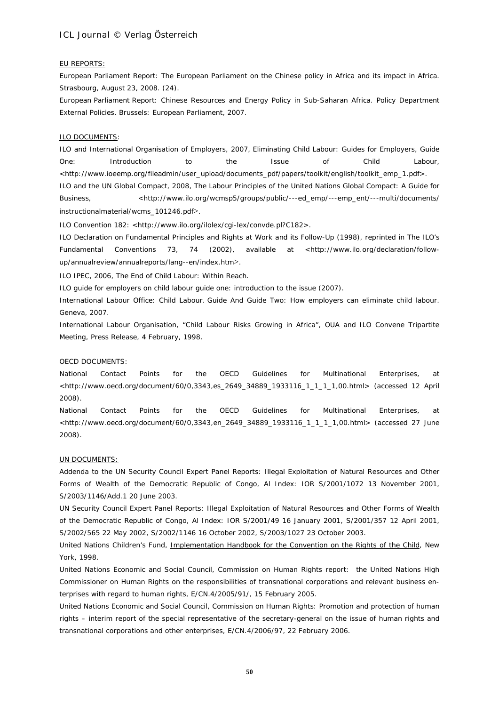#### EU REPORTS:

European Parliament Report: *The European Parliament on the Chinese policy in Africa and its impact in Africa*. Strasbourg, August 23, 2008. (24).

European Parliament Report: *Chinese Resources and Energy Policy in Sub-Saharan Africa*. Policy Department External Policies. Brussels: European Parliament, 2007.

#### ILO DOCUMENTS:

ILO and International Organisation of Employers, 2007, *Eliminating Child Labour: Guides for Employers, Guide One: Introduction to the Issue of Child Labour*, <http://www.ioeemp.org/fileadmin/user\_upload/documents\_pdf/papers/toolkit/english/toolkit\_emp\_1.pdf>. ILO and the UN Global Compact, 2008, *The Labour Principles of the United Nations Global Compact: A Guide for Business*,  $\left\langle h(t) \right\rangle$  <http://www.ilo.org/wcmsp5/groups/public/---ed\_emp/---emp\_ent/---multi/documents/ instructionalmaterial/wcms\_101246.pdf>.

ILO Convention 182: <http://www.ilo.org/ilolex/cgi-lex/convde.pl?C182>.

ILO Declaration on Fundamental Principles and Rights at Work and its Follow-Up (1998), *reprinted in* The ILO's Fundamental Conventions 73, 74 (2002), *available at <*http://www.ilo.org/declaration/followup/annualreview/annualreports/lang--en/index.htm>.

ILO IPEC, 2006, The End of Child Labour: Within Reach*.*

ILO *guide* for employers on child labour guide one*:* introduction to the issue (2007).

International Labour Office: *Child Labour. Guide And Guide Two: How employers can eliminate child labour*. Geneva, 2007.

International Labour Organisation, "Child Labour Risks Growing in Africa", OUA and ILO Convene Tripartite Meeting, Press Release, 4 February, 1998.

#### OECD DOCUMENTS:

National Contact Points for the OECD Guidelines for Multinational Enterprises, at <http://www.oecd.org/document/60/0,3343,es\_2649\_34889\_1933116\_1\_1\_1\_1,00.html> (accessed 12 April 2008).

National Contact Points for the OECD Guidelines for Multinational Enterprises, at <http://www.oecd.org/document/60/0,3343,en\_2649\_34889\_1933116\_1\_1\_1\_1,00.html> (accessed 27 June 2008).

#### UN DOCUMENTS:

Addenda to the UN Security Council Expert Panel Reports: Illegal Exploitation of Natural Resources and Other Forms of Wealth of the Democratic Republic of Congo, Al Index: IOR S/2001/1072 13 November 2001, S/2003/1146/Add.1 20 June 2003.

UN Security Council Expert Panel Reports: Illegal Exploitation of Natural Resources and Other Forms of Wealth of the Democratic Republic of Congo, Al Index: IOR S/2001/49 16 January 2001, S/2001/357 12 April 2001, S/2002/565 22 May 2002, S/2002/1146 16 October 2002, S/2003/1027 23 October 2003.

United Nations Children's Fund, Implementation Handbook for the Convention on the Rights of the Child, New York, 1998.

United Nations Economic and Social Council, Commission on Human Rights report: *the United Nations High Commissioner on Human Rights on the responsibilities of transnational corporations and relevant business enterprises with regard to human rights*, E/CN.4/2005/91/, 15 February 2005.

United Nations Economic and Social Council, Commission on Human Rights: *Promotion and protection of human rights – interim report of the special representative of the secretary-general on the issue of human rights and transnational corporations and other enterprises*, E/CN.4/2006/97, 22 February 2006.